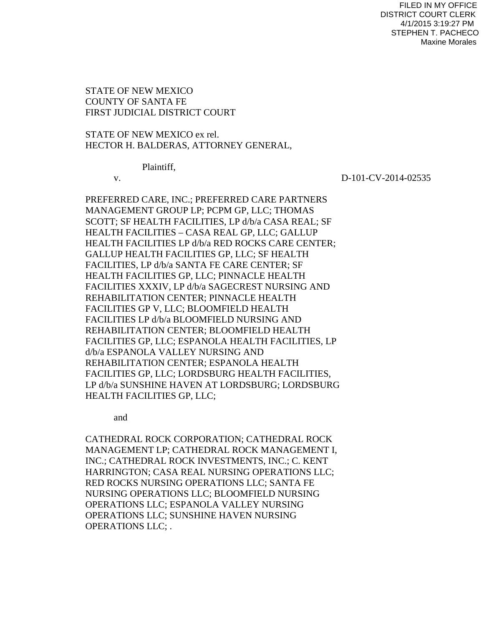# STATE OF NEW MEXICO COUNTY OF SANTA FE FIRST JUDICIAL DISTRICT COURT

STATE OF NEW MEXICO ex rel. HECTOR H. BALDERAS, ATTORNEY GENERAL,

Plaintiff,

v. D-101-CV-2014-02535

PREFERRED CARE, INC.; PREFERRED CARE PARTNERS MANAGEMENT GROUP LP; PCPM GP, LLC; THOMAS SCOTT; SF HEALTH FACILITIES, LP d/b/a CASA REAL; SF HEALTH FACILITIES – CASA REAL GP, LLC; GALLUP HEALTH FACILITIES LP d/b/a RED ROCKS CARE CENTER; GALLUP HEALTH FACILITIES GP, LLC; SF HEALTH FACILITIES, LP d/b/a SANTA FE CARE CENTER; SF HEALTH FACILITIES GP, LLC; PINNACLE HEALTH FACILITIES XXXIV, LP d/b/a SAGECREST NURSING AND REHABILITATION CENTER; PINNACLE HEALTH FACILITIES GP V, LLC; BLOOMFIELD HEALTH FACILITIES LP d/b/a BLOOMFIELD NURSING AND REHABILITATION CENTER; BLOOMFIELD HEALTH FACILITIES GP, LLC; ESPANOLA HEALTH FACILITIES, LP d/b/a ESPANOLA VALLEY NURSING AND REHABILITATION CENTER; ESPANOLA HEALTH FACILITIES GP, LLC; LORDSBURG HEALTH FACILITIES, LP d/b/a SUNSHINE HAVEN AT LORDSBURG; LORDSBURG HEALTH FACILITIES GP, LLC;

and

CATHEDRAL ROCK CORPORATION; CATHEDRAL ROCK MANAGEMENT LP; CATHEDRAL ROCK MANAGEMENT I, INC.; CATHEDRAL ROCK INVESTMENTS, INC.; C. KENT HARRINGTON; CASA REAL NURSING OPERATIONS LLC; RED ROCKS NURSING OPERATIONS LLC; SANTA FE NURSING OPERATIONS LLC; BLOOMFIELD NURSING OPERATIONS LLC; ESPANOLA VALLEY NURSING OPERATIONS LLC; SUNSHINE HAVEN NURSING OPERATIONS LLC; .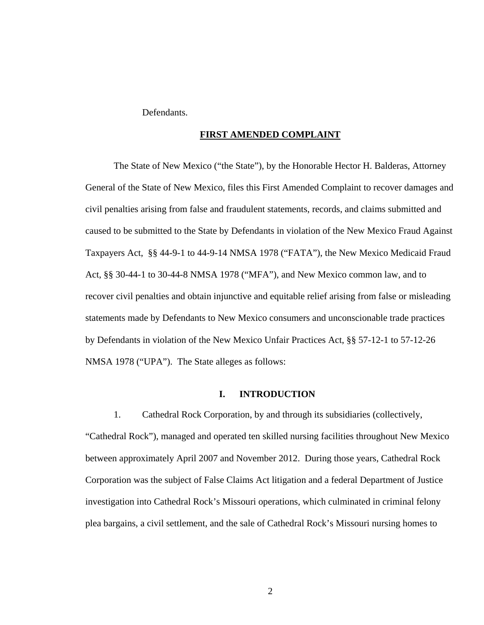Defendants.

#### **FIRST AMENDED COMPLAINT**

 The State of New Mexico ("the State"), by the Honorable Hector H. Balderas, Attorney General of the State of New Mexico, files this First Amended Complaint to recover damages and civil penalties arising from false and fraudulent statements, records, and claims submitted and caused to be submitted to the State by Defendants in violation of the New Mexico Fraud Against Taxpayers Act, §§ 44-9-1 to 44-9-14 NMSA 1978 ("FATA"), the New Mexico Medicaid Fraud Act, §§ 30-44-1 to 30-44-8 NMSA 1978 ("MFA"), and New Mexico common law, and to recover civil penalties and obtain injunctive and equitable relief arising from false or misleading statements made by Defendants to New Mexico consumers and unconscionable trade practices by Defendants in violation of the New Mexico Unfair Practices Act, §§ 57-12-1 to 57-12-26 NMSA 1978 ("UPA"). The State alleges as follows:

#### **I. INTRODUCTION**

1. Cathedral Rock Corporation, by and through its subsidiaries (collectively, "Cathedral Rock"), managed and operated ten skilled nursing facilities throughout New Mexico between approximately April 2007 and November 2012. During those years, Cathedral Rock Corporation was the subject of False Claims Act litigation and a federal Department of Justice investigation into Cathedral Rock's Missouri operations, which culminated in criminal felony plea bargains, a civil settlement, and the sale of Cathedral Rock's Missouri nursing homes to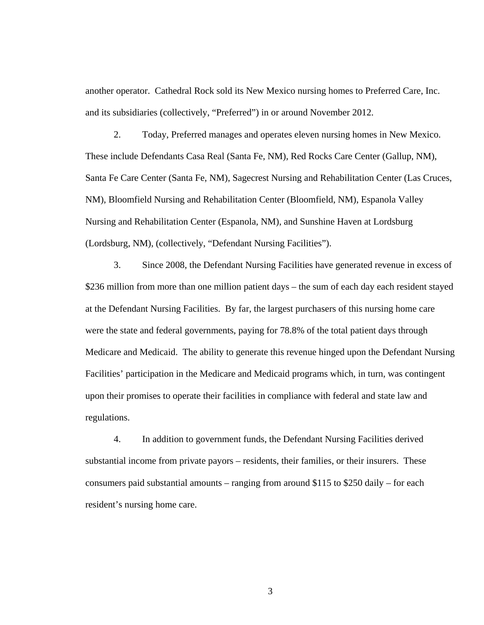another operator. Cathedral Rock sold its New Mexico nursing homes to Preferred Care, Inc. and its subsidiaries (collectively, "Preferred") in or around November 2012.

2. Today, Preferred manages and operates eleven nursing homes in New Mexico. These include Defendants Casa Real (Santa Fe, NM), Red Rocks Care Center (Gallup, NM), Santa Fe Care Center (Santa Fe, NM), Sagecrest Nursing and Rehabilitation Center (Las Cruces, NM), Bloomfield Nursing and Rehabilitation Center (Bloomfield, NM), Espanola Valley Nursing and Rehabilitation Center (Espanola, NM), and Sunshine Haven at Lordsburg (Lordsburg, NM), (collectively, "Defendant Nursing Facilities").

3. Since 2008, the Defendant Nursing Facilities have generated revenue in excess of \$236 million from more than one million patient days – the sum of each day each resident stayed at the Defendant Nursing Facilities. By far, the largest purchasers of this nursing home care were the state and federal governments, paying for 78.8% of the total patient days through Medicare and Medicaid. The ability to generate this revenue hinged upon the Defendant Nursing Facilities' participation in the Medicare and Medicaid programs which, in turn, was contingent upon their promises to operate their facilities in compliance with federal and state law and regulations.

4. In addition to government funds, the Defendant Nursing Facilities derived substantial income from private payors – residents, their families, or their insurers. These consumers paid substantial amounts – ranging from around \$115 to \$250 daily – for each resident's nursing home care.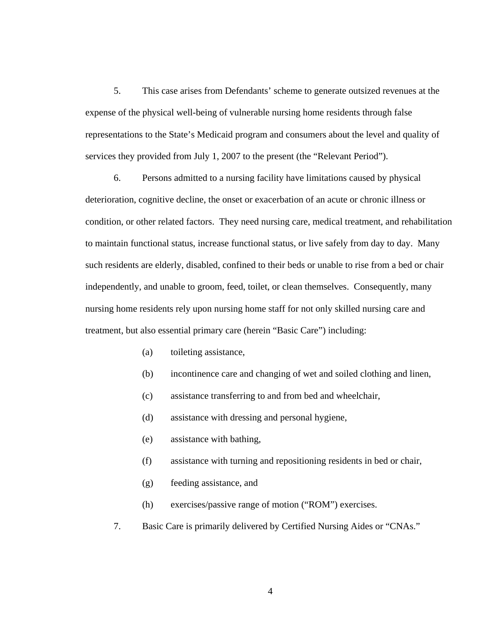5. This case arises from Defendants' scheme to generate outsized revenues at the expense of the physical well-being of vulnerable nursing home residents through false representations to the State's Medicaid program and consumers about the level and quality of services they provided from July 1, 2007 to the present (the "Relevant Period").

6. Persons admitted to a nursing facility have limitations caused by physical deterioration, cognitive decline, the onset or exacerbation of an acute or chronic illness or condition, or other related factors. They need nursing care, medical treatment, and rehabilitation to maintain functional status, increase functional status, or live safely from day to day. Many such residents are elderly, disabled, confined to their beds or unable to rise from a bed or chair independently, and unable to groom, feed, toilet, or clean themselves. Consequently, many nursing home residents rely upon nursing home staff for not only skilled nursing care and treatment, but also essential primary care (herein "Basic Care") including:

- (a) toileting assistance,
- (b) incontinence care and changing of wet and soiled clothing and linen,
- (c) assistance transferring to and from bed and wheelchair,
- (d) assistance with dressing and personal hygiene,
- (e) assistance with bathing,
- (f) assistance with turning and repositioning residents in bed or chair,
- (g) feeding assistance, and
- (h) exercises/passive range of motion ("ROM") exercises.
- 7. Basic Care is primarily delivered by Certified Nursing Aides or "CNAs."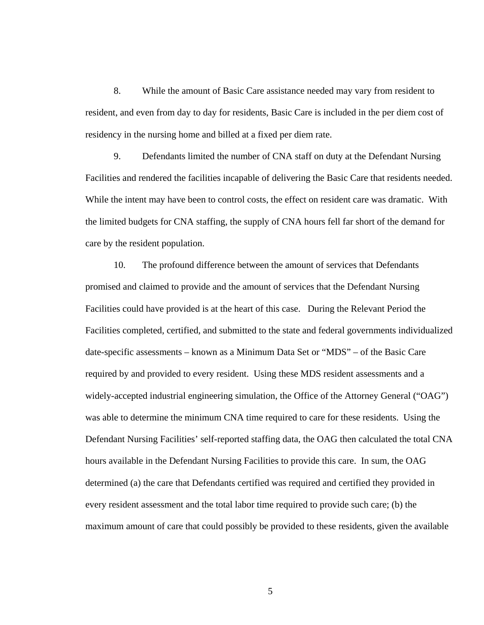8. While the amount of Basic Care assistance needed may vary from resident to resident, and even from day to day for residents, Basic Care is included in the per diem cost of residency in the nursing home and billed at a fixed per diem rate.

9. Defendants limited the number of CNA staff on duty at the Defendant Nursing Facilities and rendered the facilities incapable of delivering the Basic Care that residents needed. While the intent may have been to control costs, the effect on resident care was dramatic. With the limited budgets for CNA staffing, the supply of CNA hours fell far short of the demand for care by the resident population.

10. The profound difference between the amount of services that Defendants promised and claimed to provide and the amount of services that the Defendant Nursing Facilities could have provided is at the heart of this case. During the Relevant Period the Facilities completed, certified, and submitted to the state and federal governments individualized date-specific assessments – known as a Minimum Data Set or "MDS" – of the Basic Care required by and provided to every resident. Using these MDS resident assessments and a widely-accepted industrial engineering simulation, the Office of the Attorney General ("OAG") was able to determine the minimum CNA time required to care for these residents. Using the Defendant Nursing Facilities' self-reported staffing data, the OAG then calculated the total CNA hours available in the Defendant Nursing Facilities to provide this care. In sum, the OAG determined (a) the care that Defendants certified was required and certified they provided in every resident assessment and the total labor time required to provide such care; (b) the maximum amount of care that could possibly be provided to these residents, given the available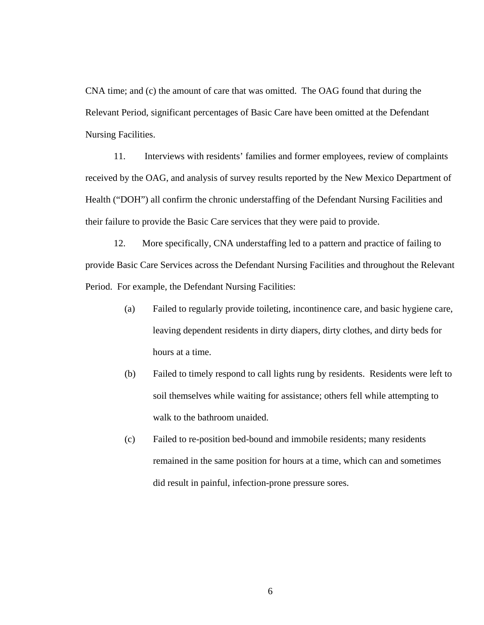CNA time; and (c) the amount of care that was omitted. The OAG found that during the Relevant Period, significant percentages of Basic Care have been omitted at the Defendant Nursing Facilities.

11. Interviews with residents' families and former employees, review of complaints received by the OAG, and analysis of survey results reported by the New Mexico Department of Health ("DOH") all confirm the chronic understaffing of the Defendant Nursing Facilities and their failure to provide the Basic Care services that they were paid to provide.

12. More specifically, CNA understaffing led to a pattern and practice of failing to provide Basic Care Services across the Defendant Nursing Facilities and throughout the Relevant Period. For example, the Defendant Nursing Facilities:

- (a) Failed to regularly provide toileting, incontinence care, and basic hygiene care, leaving dependent residents in dirty diapers, dirty clothes, and dirty beds for hours at a time.
- (b) Failed to timely respond to call lights rung by residents. Residents were left to soil themselves while waiting for assistance; others fell while attempting to walk to the bathroom unaided.
- (c) Failed to re-position bed-bound and immobile residents; many residents remained in the same position for hours at a time, which can and sometimes did result in painful, infection-prone pressure sores.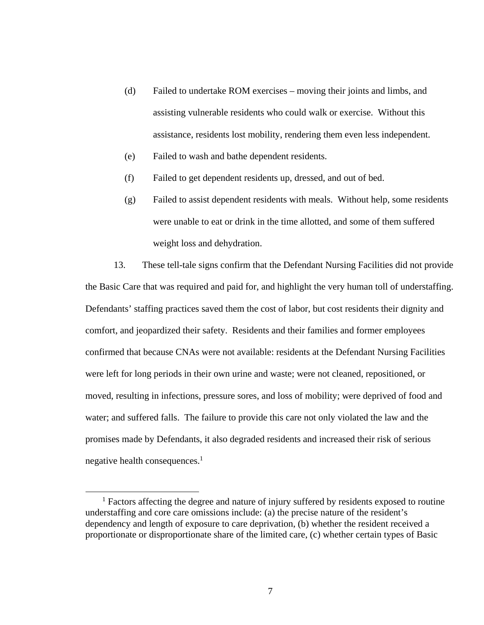- (d) Failed to undertake ROM exercises moving their joints and limbs, and assisting vulnerable residents who could walk or exercise. Without this assistance, residents lost mobility, rendering them even less independent.
- (e) Failed to wash and bathe dependent residents.
- (f) Failed to get dependent residents up, dressed, and out of bed.
- (g) Failed to assist dependent residents with meals. Without help, some residents were unable to eat or drink in the time allotted, and some of them suffered weight loss and dehydration.

13. These tell-tale signs confirm that the Defendant Nursing Facilities did not provide the Basic Care that was required and paid for, and highlight the very human toll of understaffing. Defendants' staffing practices saved them the cost of labor, but cost residents their dignity and comfort, and jeopardized their safety. Residents and their families and former employees confirmed that because CNAs were not available: residents at the Defendant Nursing Facilities were left for long periods in their own urine and waste; were not cleaned, repositioned, or moved, resulting in infections, pressure sores, and loss of mobility; were deprived of food and water; and suffered falls. The failure to provide this care not only violated the law and the promises made by Defendants, it also degraded residents and increased their risk of serious negative health consequences.<sup>1</sup>

 $\frac{1}{1}$ <sup>1</sup> Factors affecting the degree and nature of injury suffered by residents exposed to routine understaffing and core care omissions include: (a) the precise nature of the resident's dependency and length of exposure to care deprivation, (b) whether the resident received a proportionate or disproportionate share of the limited care, (c) whether certain types of Basic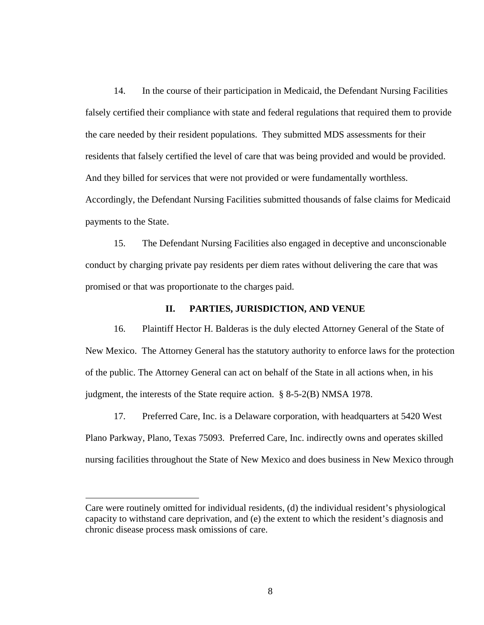14. In the course of their participation in Medicaid, the Defendant Nursing Facilities falsely certified their compliance with state and federal regulations that required them to provide the care needed by their resident populations. They submitted MDS assessments for their residents that falsely certified the level of care that was being provided and would be provided. And they billed for services that were not provided or were fundamentally worthless. Accordingly, the Defendant Nursing Facilities submitted thousands of false claims for Medicaid payments to the State.

15. The Defendant Nursing Facilities also engaged in deceptive and unconscionable conduct by charging private pay residents per diem rates without delivering the care that was promised or that was proportionate to the charges paid.

### **II. PARTIES, JURISDICTION, AND VENUE**

16. Plaintiff Hector H. Balderas is the duly elected Attorney General of the State of New Mexico. The Attorney General has the statutory authority to enforce laws for the protection of the public. The Attorney General can act on behalf of the State in all actions when, in his judgment, the interests of the State require action. § 8-5-2(B) NMSA 1978.

17. Preferred Care, Inc. is a Delaware corporation, with headquarters at 5420 West Plano Parkway, Plano, Texas 75093. Preferred Care, Inc. indirectly owns and operates skilled nursing facilities throughout the State of New Mexico and does business in New Mexico through

 $\overline{a}$ 

Care were routinely omitted for individual residents, (d) the individual resident's physiological capacity to withstand care deprivation, and (e) the extent to which the resident's diagnosis and chronic disease process mask omissions of care.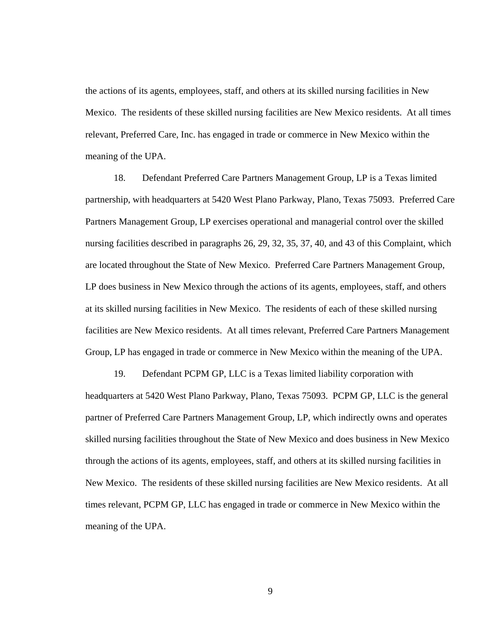the actions of its agents, employees, staff, and others at its skilled nursing facilities in New Mexico. The residents of these skilled nursing facilities are New Mexico residents. At all times relevant, Preferred Care, Inc. has engaged in trade or commerce in New Mexico within the meaning of the UPA.

18. Defendant Preferred Care Partners Management Group, LP is a Texas limited partnership, with headquarters at 5420 West Plano Parkway, Plano, Texas 75093. Preferred Care Partners Management Group, LP exercises operational and managerial control over the skilled nursing facilities described in paragraphs 26, 29, 32, 35, 37, 40, and 43 of this Complaint, which are located throughout the State of New Mexico. Preferred Care Partners Management Group, LP does business in New Mexico through the actions of its agents, employees, staff, and others at its skilled nursing facilities in New Mexico. The residents of each of these skilled nursing facilities are New Mexico residents. At all times relevant, Preferred Care Partners Management Group, LP has engaged in trade or commerce in New Mexico within the meaning of the UPA.

19. Defendant PCPM GP, LLC is a Texas limited liability corporation with headquarters at 5420 West Plano Parkway, Plano, Texas 75093. PCPM GP, LLC is the general partner of Preferred Care Partners Management Group, LP, which indirectly owns and operates skilled nursing facilities throughout the State of New Mexico and does business in New Mexico through the actions of its agents, employees, staff, and others at its skilled nursing facilities in New Mexico. The residents of these skilled nursing facilities are New Mexico residents. At all times relevant, PCPM GP, LLC has engaged in trade or commerce in New Mexico within the meaning of the UPA.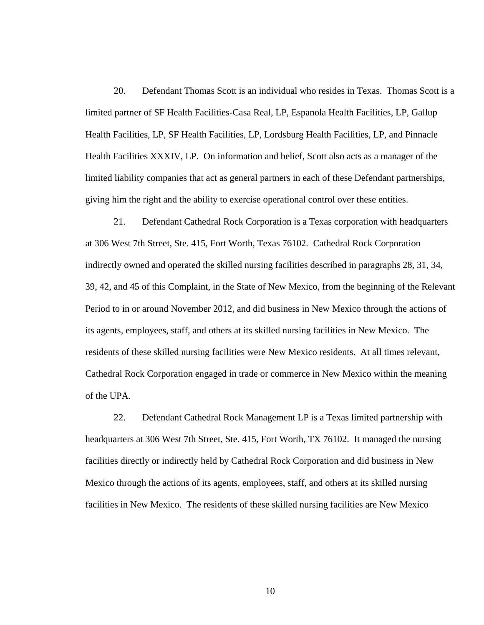20. Defendant Thomas Scott is an individual who resides in Texas. Thomas Scott is a limited partner of SF Health Facilities-Casa Real, LP, Espanola Health Facilities, LP, Gallup Health Facilities, LP, SF Health Facilities, LP, Lordsburg Health Facilities, LP, and Pinnacle Health Facilities XXXIV, LP. On information and belief, Scott also acts as a manager of the limited liability companies that act as general partners in each of these Defendant partnerships, giving him the right and the ability to exercise operational control over these entities.

21. Defendant Cathedral Rock Corporation is a Texas corporation with headquarters at 306 West 7th Street, Ste. 415, Fort Worth, Texas 76102. Cathedral Rock Corporation indirectly owned and operated the skilled nursing facilities described in paragraphs 28, 31, 34, 39, 42, and 45 of this Complaint, in the State of New Mexico, from the beginning of the Relevant Period to in or around November 2012, and did business in New Mexico through the actions of its agents, employees, staff, and others at its skilled nursing facilities in New Mexico. The residents of these skilled nursing facilities were New Mexico residents. At all times relevant, Cathedral Rock Corporation engaged in trade or commerce in New Mexico within the meaning of the UPA.

22. Defendant Cathedral Rock Management LP is a Texas limited partnership with headquarters at 306 West 7th Street, Ste. 415, Fort Worth, TX 76102. It managed the nursing facilities directly or indirectly held by Cathedral Rock Corporation and did business in New Mexico through the actions of its agents, employees, staff, and others at its skilled nursing facilities in New Mexico. The residents of these skilled nursing facilities are New Mexico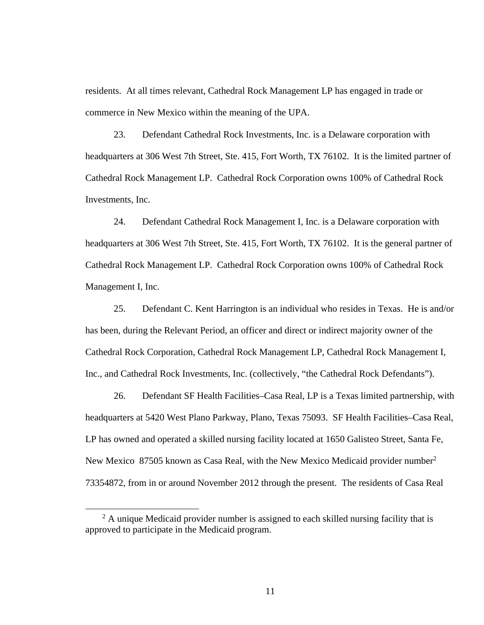residents. At all times relevant, Cathedral Rock Management LP has engaged in trade or commerce in New Mexico within the meaning of the UPA.

23. Defendant Cathedral Rock Investments, Inc. is a Delaware corporation with headquarters at 306 West 7th Street, Ste. 415, Fort Worth, TX 76102. It is the limited partner of Cathedral Rock Management LP. Cathedral Rock Corporation owns 100% of Cathedral Rock Investments, Inc.

24. Defendant Cathedral Rock Management I, Inc. is a Delaware corporation with headquarters at 306 West 7th Street, Ste. 415, Fort Worth, TX 76102. It is the general partner of Cathedral Rock Management LP. Cathedral Rock Corporation owns 100% of Cathedral Rock Management I, Inc.

25. Defendant C. Kent Harrington is an individual who resides in Texas. He is and/or has been, during the Relevant Period, an officer and direct or indirect majority owner of the Cathedral Rock Corporation, Cathedral Rock Management LP, Cathedral Rock Management I, Inc., and Cathedral Rock Investments, Inc. (collectively, "the Cathedral Rock Defendants").

26. Defendant SF Health Facilities–Casa Real, LP is a Texas limited partnership, with headquarters at 5420 West Plano Parkway, Plano, Texas 75093. SF Health Facilities–Casa Real, LP has owned and operated a skilled nursing facility located at 1650 Galisteo Street, Santa Fe, New Mexico 87505 known as Casa Real, with the New Mexico Medicaid provider number<sup>2</sup> 73354872, from in or around November 2012 through the present. The residents of Casa Real

 <sup>2</sup>  $^2$  A unique Medicaid provider number is assigned to each skilled nursing facility that is approved to participate in the Medicaid program.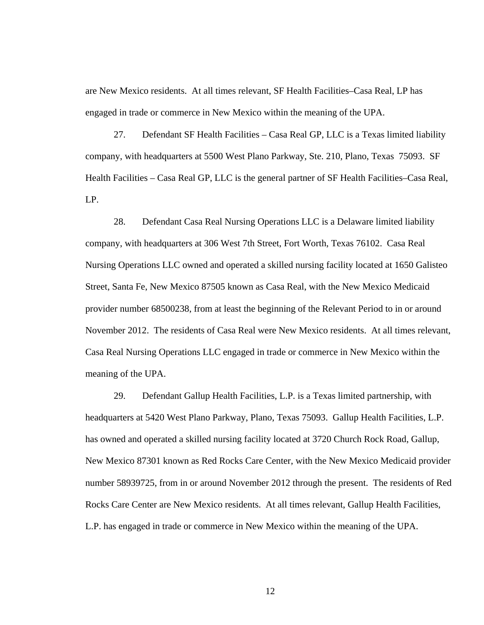are New Mexico residents. At all times relevant, SF Health Facilities–Casa Real, LP has engaged in trade or commerce in New Mexico within the meaning of the UPA.

27. Defendant SF Health Facilities – Casa Real GP, LLC is a Texas limited liability company, with headquarters at 5500 West Plano Parkway, Ste. 210, Plano, Texas 75093. SF Health Facilities – Casa Real GP, LLC is the general partner of SF Health Facilities–Casa Real, LP.

28. Defendant Casa Real Nursing Operations LLC is a Delaware limited liability company, with headquarters at 306 West 7th Street, Fort Worth, Texas 76102. Casa Real Nursing Operations LLC owned and operated a skilled nursing facility located at 1650 Galisteo Street, Santa Fe, New Mexico 87505 known as Casa Real, with the New Mexico Medicaid provider number 68500238, from at least the beginning of the Relevant Period to in or around November 2012. The residents of Casa Real were New Mexico residents. At all times relevant, Casa Real Nursing Operations LLC engaged in trade or commerce in New Mexico within the meaning of the UPA.

29. Defendant Gallup Health Facilities, L.P. is a Texas limited partnership, with headquarters at 5420 West Plano Parkway, Plano, Texas 75093. Gallup Health Facilities, L.P. has owned and operated a skilled nursing facility located at 3720 Church Rock Road, Gallup, New Mexico 87301 known as Red Rocks Care Center, with the New Mexico Medicaid provider number 58939725, from in or around November 2012 through the present. The residents of Red Rocks Care Center are New Mexico residents. At all times relevant, Gallup Health Facilities, L.P. has engaged in trade or commerce in New Mexico within the meaning of the UPA.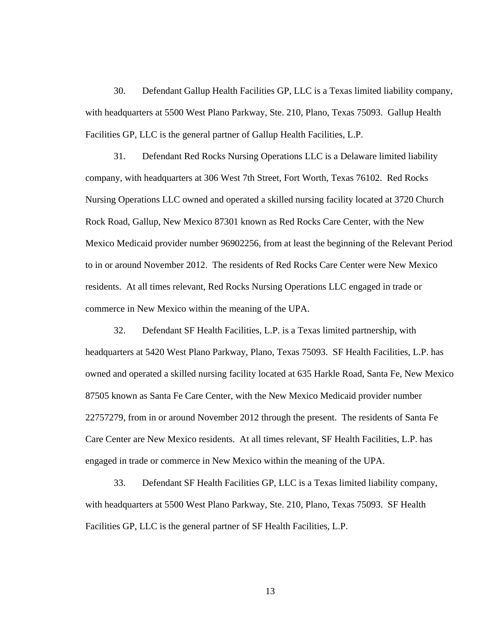30. Defendant Gallup Health Facilities GP, LLC is a Texas limited liability company, with headquarters at 5500 West Plano Parkway, Ste. 210, Plano, Texas 75093. Gallup Health Facilities GP, LLC is the general partner of Gallup Health Facilities, L.P.

31. Defendant Red Rocks Nursing Operations LLC is a Delaware limited liability company, with headquarters at 306 West 7th Street, Fort Worth, Texas 76102. Red Rocks Nursing Operations LLC owned and operated a skilled nursing facility located at 3720 Church Rock Road, Gallup, New Mexico 87301 known as Red Rocks Care Center, with the New Mexico Medicaid provider number 96902256, from at least the beginning of the Relevant Period to in or around November 2012. The residents of Red Rocks Care Center were New Mexico residents. At all times relevant, Red Rocks Nursing Operations LLC engaged in trade or commerce in New Mexico within the meaning of the UPA.

32. Defendant SF Health Facilities, L.P. is a Texas limited partnership, with headquarters at 5420 West Plano Parkway, Plano, Texas 75093. SF Health Facilities, L.P. has owned and operated a skilled nursing facility located at 635 Harkle Road, Santa Fe, New Mexico 87505 known as Santa Fe Care Center, with the New Mexico Medicaid provider number 22757279, from in or around November 2012 through the present. The residents of Santa Fe Care Center are New Mexico residents. At all times relevant, SF Health Facilities, L.P. has engaged in trade or commerce in New Mexico within the meaning of the UPA.

33. Defendant SF Health Facilities GP, LLC is a Texas limited liability company, with headquarters at 5500 West Plano Parkway, Ste. 210, Plano, Texas 75093. SF Health Facilities GP, LLC is the general partner of SF Health Facilities, L.P.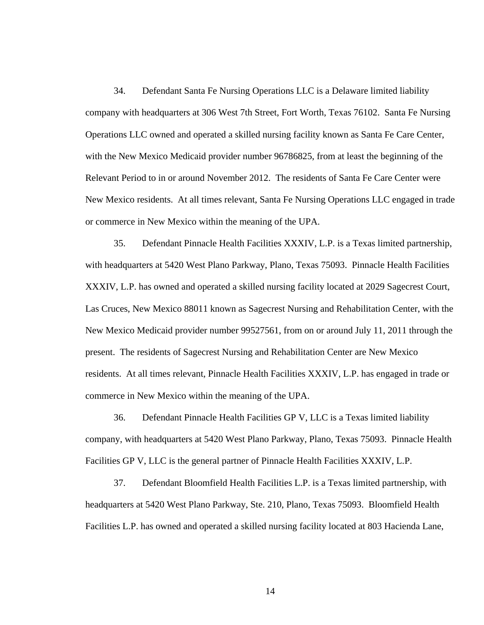34. Defendant Santa Fe Nursing Operations LLC is a Delaware limited liability company with headquarters at 306 West 7th Street, Fort Worth, Texas 76102. Santa Fe Nursing Operations LLC owned and operated a skilled nursing facility known as Santa Fe Care Center, with the New Mexico Medicaid provider number 96786825, from at least the beginning of the Relevant Period to in or around November 2012. The residents of Santa Fe Care Center were New Mexico residents. At all times relevant, Santa Fe Nursing Operations LLC engaged in trade or commerce in New Mexico within the meaning of the UPA.

35. Defendant Pinnacle Health Facilities XXXIV, L.P. is a Texas limited partnership, with headquarters at 5420 West Plano Parkway, Plano, Texas 75093. Pinnacle Health Facilities XXXIV, L.P. has owned and operated a skilled nursing facility located at 2029 Sagecrest Court, Las Cruces, New Mexico 88011 known as Sagecrest Nursing and Rehabilitation Center, with the New Mexico Medicaid provider number 99527561, from on or around July 11, 2011 through the present. The residents of Sagecrest Nursing and Rehabilitation Center are New Mexico residents. At all times relevant, Pinnacle Health Facilities XXXIV, L.P. has engaged in trade or commerce in New Mexico within the meaning of the UPA.

36. Defendant Pinnacle Health Facilities GP V, LLC is a Texas limited liability company, with headquarters at 5420 West Plano Parkway, Plano, Texas 75093. Pinnacle Health Facilities GP V, LLC is the general partner of Pinnacle Health Facilities XXXIV, L.P.

37. Defendant Bloomfield Health Facilities L.P. is a Texas limited partnership, with headquarters at 5420 West Plano Parkway, Ste. 210, Plano, Texas 75093. Bloomfield Health Facilities L.P. has owned and operated a skilled nursing facility located at 803 Hacienda Lane,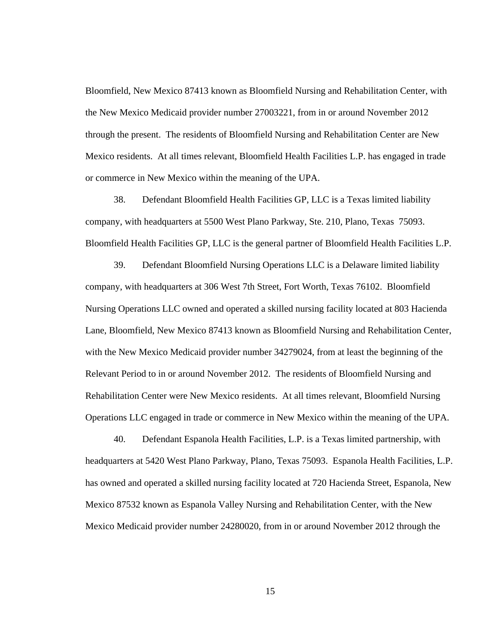Bloomfield, New Mexico 87413 known as Bloomfield Nursing and Rehabilitation Center, with the New Mexico Medicaid provider number 27003221, from in or around November 2012 through the present. The residents of Bloomfield Nursing and Rehabilitation Center are New Mexico residents. At all times relevant, Bloomfield Health Facilities L.P. has engaged in trade or commerce in New Mexico within the meaning of the UPA.

38. Defendant Bloomfield Health Facilities GP, LLC is a Texas limited liability company, with headquarters at 5500 West Plano Parkway, Ste. 210, Plano, Texas 75093. Bloomfield Health Facilities GP, LLC is the general partner of Bloomfield Health Facilities L.P.

39. Defendant Bloomfield Nursing Operations LLC is a Delaware limited liability company, with headquarters at 306 West 7th Street, Fort Worth, Texas 76102. Bloomfield Nursing Operations LLC owned and operated a skilled nursing facility located at 803 Hacienda Lane, Bloomfield, New Mexico 87413 known as Bloomfield Nursing and Rehabilitation Center, with the New Mexico Medicaid provider number 34279024, from at least the beginning of the Relevant Period to in or around November 2012. The residents of Bloomfield Nursing and Rehabilitation Center were New Mexico residents. At all times relevant, Bloomfield Nursing Operations LLC engaged in trade or commerce in New Mexico within the meaning of the UPA.

40. Defendant Espanola Health Facilities, L.P. is a Texas limited partnership, with headquarters at 5420 West Plano Parkway, Plano, Texas 75093. Espanola Health Facilities, L.P. has owned and operated a skilled nursing facility located at 720 Hacienda Street, Espanola, New Mexico 87532 known as Espanola Valley Nursing and Rehabilitation Center, with the New Mexico Medicaid provider number 24280020, from in or around November 2012 through the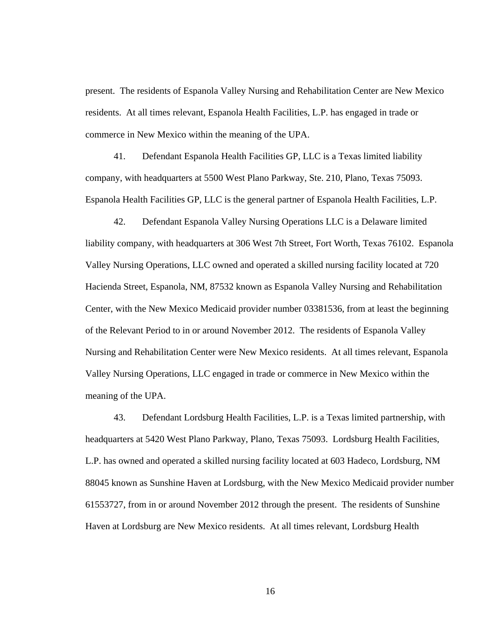present. The residents of Espanola Valley Nursing and Rehabilitation Center are New Mexico residents. At all times relevant, Espanola Health Facilities, L.P. has engaged in trade or commerce in New Mexico within the meaning of the UPA.

41. Defendant Espanola Health Facilities GP, LLC is a Texas limited liability company, with headquarters at 5500 West Plano Parkway, Ste. 210, Plano, Texas 75093. Espanola Health Facilities GP, LLC is the general partner of Espanola Health Facilities, L.P.

42. Defendant Espanola Valley Nursing Operations LLC is a Delaware limited liability company, with headquarters at 306 West 7th Street, Fort Worth, Texas 76102. Espanola Valley Nursing Operations, LLC owned and operated a skilled nursing facility located at 720 Hacienda Street, Espanola, NM, 87532 known as Espanola Valley Nursing and Rehabilitation Center, with the New Mexico Medicaid provider number 03381536, from at least the beginning of the Relevant Period to in or around November 2012. The residents of Espanola Valley Nursing and Rehabilitation Center were New Mexico residents. At all times relevant, Espanola Valley Nursing Operations, LLC engaged in trade or commerce in New Mexico within the meaning of the UPA.

43. Defendant Lordsburg Health Facilities, L.P. is a Texas limited partnership, with headquarters at 5420 West Plano Parkway, Plano, Texas 75093. Lordsburg Health Facilities, L.P. has owned and operated a skilled nursing facility located at 603 Hadeco, Lordsburg, NM 88045 known as Sunshine Haven at Lordsburg, with the New Mexico Medicaid provider number 61553727, from in or around November 2012 through the present. The residents of Sunshine Haven at Lordsburg are New Mexico residents. At all times relevant, Lordsburg Health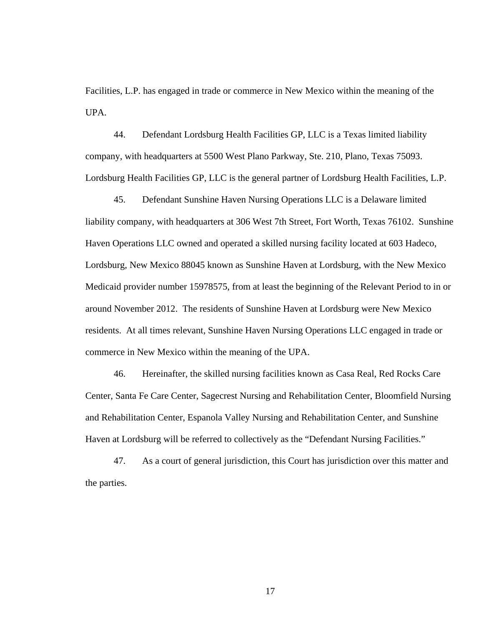Facilities, L.P. has engaged in trade or commerce in New Mexico within the meaning of the UPA.

44. Defendant Lordsburg Health Facilities GP, LLC is a Texas limited liability company, with headquarters at 5500 West Plano Parkway, Ste. 210, Plano, Texas 75093. Lordsburg Health Facilities GP, LLC is the general partner of Lordsburg Health Facilities, L.P.

45. Defendant Sunshine Haven Nursing Operations LLC is a Delaware limited liability company, with headquarters at 306 West 7th Street, Fort Worth, Texas 76102. Sunshine Haven Operations LLC owned and operated a skilled nursing facility located at 603 Hadeco, Lordsburg, New Mexico 88045 known as Sunshine Haven at Lordsburg, with the New Mexico Medicaid provider number 15978575, from at least the beginning of the Relevant Period to in or around November 2012. The residents of Sunshine Haven at Lordsburg were New Mexico residents. At all times relevant, Sunshine Haven Nursing Operations LLC engaged in trade or commerce in New Mexico within the meaning of the UPA.

46. Hereinafter, the skilled nursing facilities known as Casa Real, Red Rocks Care Center, Santa Fe Care Center, Sagecrest Nursing and Rehabilitation Center, Bloomfield Nursing and Rehabilitation Center, Espanola Valley Nursing and Rehabilitation Center, and Sunshine Haven at Lordsburg will be referred to collectively as the "Defendant Nursing Facilities."

47. As a court of general jurisdiction, this Court has jurisdiction over this matter and the parties.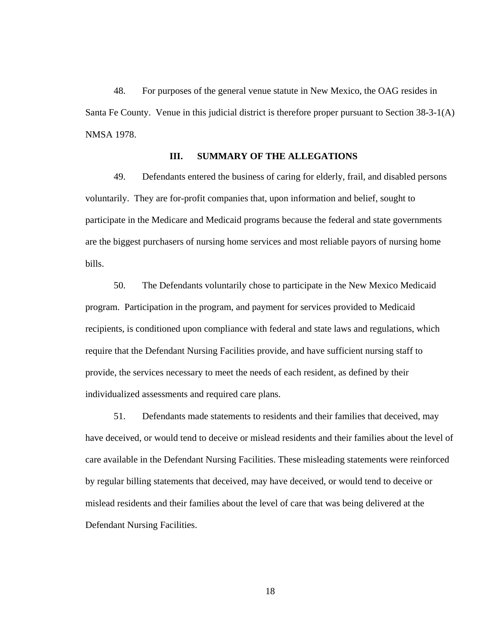48. For purposes of the general venue statute in New Mexico, the OAG resides in Santa Fe County. Venue in this judicial district is therefore proper pursuant to Section 38-3-1(A) NMSA 1978.

## **III. SUMMARY OF THE ALLEGATIONS**

49. Defendants entered the business of caring for elderly, frail, and disabled persons voluntarily. They are for-profit companies that, upon information and belief, sought to participate in the Medicare and Medicaid programs because the federal and state governments are the biggest purchasers of nursing home services and most reliable payors of nursing home bills.

50. The Defendants voluntarily chose to participate in the New Mexico Medicaid program. Participation in the program, and payment for services provided to Medicaid recipients, is conditioned upon compliance with federal and state laws and regulations, which require that the Defendant Nursing Facilities provide, and have sufficient nursing staff to provide, the services necessary to meet the needs of each resident, as defined by their individualized assessments and required care plans.

51. Defendants made statements to residents and their families that deceived, may have deceived, or would tend to deceive or mislead residents and their families about the level of care available in the Defendant Nursing Facilities. These misleading statements were reinforced by regular billing statements that deceived, may have deceived, or would tend to deceive or mislead residents and their families about the level of care that was being delivered at the Defendant Nursing Facilities.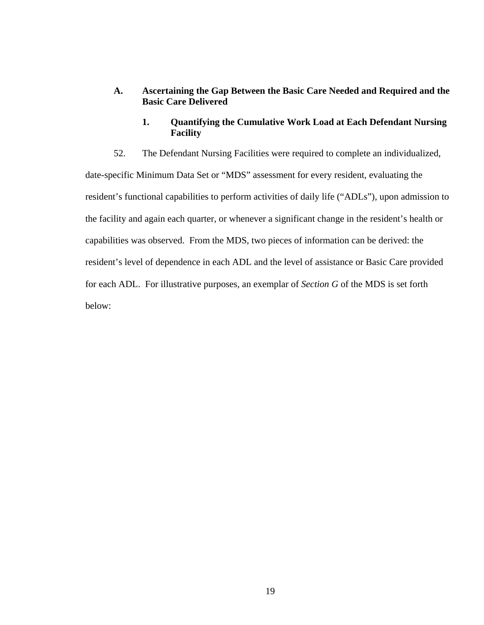- **A. Ascertaining the Gap Between the Basic Care Needed and Required and the Basic Care Delivered** 
	- **1. Quantifying the Cumulative Work Load at Each Defendant Nursing Facility**

52. The Defendant Nursing Facilities were required to complete an individualized, date-specific Minimum Data Set or "MDS" assessment for every resident, evaluating the resident's functional capabilities to perform activities of daily life ("ADLs"), upon admission to the facility and again each quarter, or whenever a significant change in the resident's health or capabilities was observed. From the MDS, two pieces of information can be derived: the resident's level of dependence in each ADL and the level of assistance or Basic Care provided for each ADL. For illustrative purposes, an exemplar of *Section G* of the MDS is set forth

below: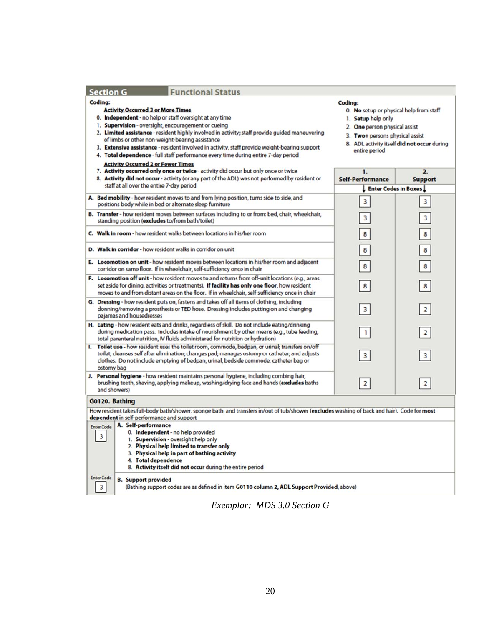| <b>Functional Status</b><br><b>Section G</b>                                                                                                                                                                                                                                                                                                                                                                                                                                                                                                                   |                                                                                                                                                                                                              |                                    |  |
|----------------------------------------------------------------------------------------------------------------------------------------------------------------------------------------------------------------------------------------------------------------------------------------------------------------------------------------------------------------------------------------------------------------------------------------------------------------------------------------------------------------------------------------------------------------|--------------------------------------------------------------------------------------------------------------------------------------------------------------------------------------------------------------|------------------------------------|--|
| Coding:<br><b>Activity Occurred 3 or More Times</b><br>0. Independent - no help or staff oversight at any time<br>1. Supervision - oversight, encouragement or cueing<br>2. Limited assistance - resident highly involved in activity; staff provide guided maneuvering<br>of limbs or other non-weight-bearing assistance<br>3. Extensive assistance - resident involved in activity, staff provide weight-bearing support<br>4. Total dependence - full staff performance every time during entire 7-day period<br><b>Activity Occurred 2 or Fewer Times</b> | Coding:<br>0. No setup or physical help from staff<br>1. Setup help only<br>2. One person physical assist<br>3. Two+ persons physical assist<br>8. ADL activity itself did not occur during<br>entire period |                                    |  |
| 7. Activity occurred only once or twice - activity did occur but only once or twice<br>8. Activity did not occur - activity (or any part of the ADL) was not performed by resident or<br>staff at all over the entire 7-day period                                                                                                                                                                                                                                                                                                                             | 1.<br><b>Self-Performance</b><br>Enter Codes in Boxes                                                                                                                                                        | $\overline{2}$ .<br><b>Support</b> |  |
| A. Bed mobility - how resident moves to and from lying position, turns side to side, and<br>positions body while in bed or alternate sleep furniture                                                                                                                                                                                                                                                                                                                                                                                                           | 3                                                                                                                                                                                                            | 3                                  |  |
| B. Transfer - how resident moves between surfaces including to or from: bed, chair, wheelchair,<br>standing position (excludes to/from bath/toilet)                                                                                                                                                                                                                                                                                                                                                                                                            | 3                                                                                                                                                                                                            | 3                                  |  |
| C. Walk in room - how resident walks between locations in his/her room                                                                                                                                                                                                                                                                                                                                                                                                                                                                                         | 8                                                                                                                                                                                                            | 8                                  |  |
| D. Walk in corridor - how resident walks in corridor on unit                                                                                                                                                                                                                                                                                                                                                                                                                                                                                                   | 8                                                                                                                                                                                                            | 8                                  |  |
| E. Locomotion on unit - how resident moves between locations in his/her room and adjacent<br>corridor on same floor. If in wheelchair, self-sufficiency once in chair                                                                                                                                                                                                                                                                                                                                                                                          | 8                                                                                                                                                                                                            | 8                                  |  |
| F. Locomotion off unit - how resident moves to and returns from off-unit locations (e.g., areas<br>set aside for dining, activities or treatments). If facility has only one floor, how resident<br>moves to and from distant areas on the floor. If in wheelchair, self-sufficiency once in chair                                                                                                                                                                                                                                                             | 8                                                                                                                                                                                                            | 8                                  |  |
| G. Dressing - how resident puts on, fastens and takes off all items of clothing, including<br>donning/removing a prosthesis or TED hose. Dressing includes putting on and changing<br>pajamas and housedresses                                                                                                                                                                                                                                                                                                                                                 | $\overline{\mathbf{3}}$                                                                                                                                                                                      | $\overline{2}$                     |  |
| H. Eating - how resident eats and drinks, regardless of skill. Do not include eating/drinking<br>during medication pass. Includes intake of nourishment by other means (e.g., tube feeding,<br>total parenteral nutrition, IV fluids administered for nutrition or hydration)                                                                                                                                                                                                                                                                                  | $\mathbf{1}$                                                                                                                                                                                                 | $\overline{2}$                     |  |
| I. Toilet use - how resident uses the toilet room, commode, bedpan, or urinal; transfers on/off<br>toilet; cleanses self after elimination; changes pad; manages ostomy or catheter; and adjusts<br>clothes. Do not include emptying of bedpan, urinal, bedside commode, catheter bag or<br>ostomy bag                                                                                                                                                                                                                                                         | $\overline{3}$                                                                                                                                                                                               | 3                                  |  |
| J. Personal hygiene - how resident maintains personal hygiene, including combing hair,<br>brushing teeth, shaving, applying makeup, washing/drying face and hands (excludes baths<br>and showers)                                                                                                                                                                                                                                                                                                                                                              | $\overline{2}$                                                                                                                                                                                               | $\overline{2}$                     |  |
| G0120. Bathing                                                                                                                                                                                                                                                                                                                                                                                                                                                                                                                                                 |                                                                                                                                                                                                              |                                    |  |
| How resident takes full-body bath/shower, sponge bath, and transfers in/out of tub/shower (excludes washing of back and hair). Code for most<br>dependent in self-performance and support                                                                                                                                                                                                                                                                                                                                                                      |                                                                                                                                                                                                              |                                    |  |
| A. Self-performance<br><b>Enter Code</b><br>0. Independent - no help provided<br>3<br>1. Supervision - oversight help only<br>2. Physical help limited to transfer only<br>3. Physical help in part of bathing activity<br>4. Total dependence<br>8. Activity itself did not occur during the entire period                                                                                                                                                                                                                                                    |                                                                                                                                                                                                              |                                    |  |
| <b>Enter Code</b><br><b>B.</b> Support provided<br>3<br>(Bathing support codes are as defined in item G0110 column 2, ADL Support Provided, above)                                                                                                                                                                                                                                                                                                                                                                                                             |                                                                                                                                                                                                              |                                    |  |

*Exemplar: MDS 3.0 Section G*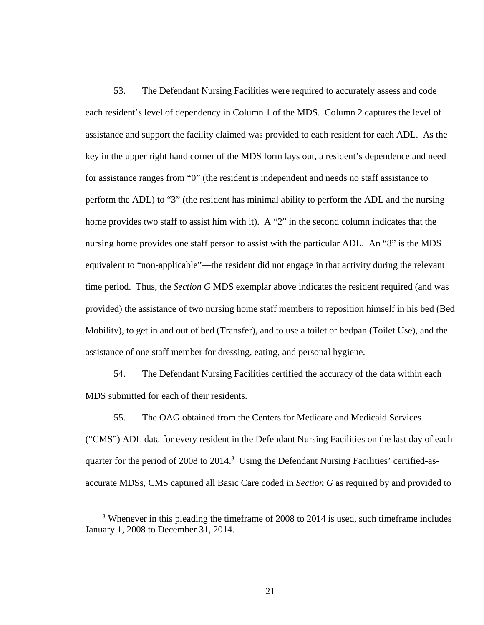53. The Defendant Nursing Facilities were required to accurately assess and code each resident's level of dependency in Column 1 of the MDS. Column 2 captures the level of assistance and support the facility claimed was provided to each resident for each ADL. As the key in the upper right hand corner of the MDS form lays out, a resident's dependence and need for assistance ranges from "0" (the resident is independent and needs no staff assistance to perform the ADL) to "3" (the resident has minimal ability to perform the ADL and the nursing home provides two staff to assist him with it). A "2" in the second column indicates that the nursing home provides one staff person to assist with the particular ADL. An "8" is the MDS equivalent to "non-applicable"—the resident did not engage in that activity during the relevant time period. Thus, the *Section G* MDS exemplar above indicates the resident required (and was provided) the assistance of two nursing home staff members to reposition himself in his bed (Bed Mobility), to get in and out of bed (Transfer), and to use a toilet or bedpan (Toilet Use), and the assistance of one staff member for dressing, eating, and personal hygiene.

54. The Defendant Nursing Facilities certified the accuracy of the data within each MDS submitted for each of their residents.

55. The OAG obtained from the Centers for Medicare and Medicaid Services ("CMS") ADL data for every resident in the Defendant Nursing Facilities on the last day of each quarter for the period of 2008 to 2014.<sup>3</sup> Using the Defendant Nursing Facilities' certified-asaccurate MDSs, CMS captured all Basic Care coded in *Section G* as required by and provided to

 <sup>3</sup> <sup>3</sup> Whenever in this pleading the timeframe of 2008 to 2014 is used, such timeframe includes January 1, 2008 to December 31, 2014.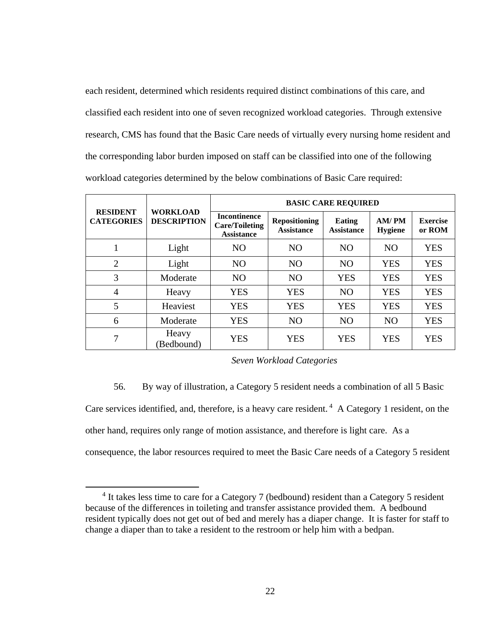each resident, determined which residents required distinct combinations of this care, and classified each resident into one of seven recognized workload categories. Through extensive research, CMS has found that the Basic Care needs of virtually every nursing home resident and the corresponding labor burden imposed on staff can be classified into one of the following workload categories determined by the below combinations of Basic Care required:

|                                      | <b>WORKLOAD</b><br><b>DESCRIPTION</b> | <b>BASIC CARE REQUIRED</b>                                        |                                           |                                    |                         |                           |  |
|--------------------------------------|---------------------------------------|-------------------------------------------------------------------|-------------------------------------------|------------------------------------|-------------------------|---------------------------|--|
| <b>RESIDENT</b><br><b>CATEGORIES</b> |                                       | <b>Incontinence</b><br><b>Care/Toileting</b><br><b>Assistance</b> | <b>Repositioning</b><br><b>Assistance</b> | <b>Eating</b><br><b>Assistance</b> | AM/PM<br><b>Hygiene</b> | <b>Exercise</b><br>or ROM |  |
| 1                                    | Light                                 | N <sub>O</sub>                                                    | N <sub>O</sub>                            | N <sub>O</sub>                     | <b>NO</b>               | <b>YES</b>                |  |
| $\overline{2}$                       | Light                                 | N <sub>O</sub>                                                    | N <sub>O</sub>                            | N <sub>O</sub>                     | <b>YES</b>              | <b>YES</b>                |  |
| 3                                    | Moderate                              | N <sub>O</sub>                                                    | N <sub>O</sub>                            | <b>YES</b>                         | <b>YES</b>              | <b>YES</b>                |  |
| $\overline{4}$                       | Heavy                                 | <b>YES</b>                                                        | <b>YES</b>                                | N <sub>O</sub>                     | <b>YES</b>              | <b>YES</b>                |  |
| 5                                    | Heaviest                              | <b>YES</b>                                                        | <b>YES</b>                                | <b>YES</b>                         | <b>YES</b>              | <b>YES</b>                |  |
| 6                                    | Moderate                              | <b>YES</b>                                                        | N <sub>O</sub>                            | N <sub>O</sub>                     | N <sub>O</sub>          | <b>YES</b>                |  |
| 7                                    | Heavy<br>(Bedbound)                   | <b>YES</b>                                                        | <b>YES</b>                                | <b>YES</b>                         | <b>YES</b>              | <b>YES</b>                |  |

*Seven Workload Categories* 

56. By way of illustration, a Category 5 resident needs a combination of all 5 Basic

Care services identified, and, therefore, is a heavy care resident.  $4\text{ A}$  Category 1 resident, on the other hand, requires only range of motion assistance, and therefore is light care. As a

consequence, the labor resources required to meet the Basic Care needs of a Category 5 resident

 $\overline{4}$ <sup>4</sup> It takes less time to care for a Category 7 (bedbound) resident than a Category 5 resident because of the differences in toileting and transfer assistance provided them. A bedbound resident typically does not get out of bed and merely has a diaper change. It is faster for staff to change a diaper than to take a resident to the restroom or help him with a bedpan.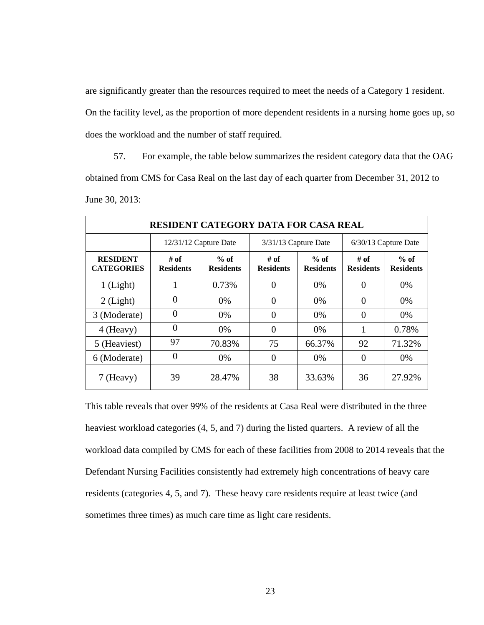are significantly greater than the resources required to meet the needs of a Category 1 resident. On the facility level, as the proportion of more dependent residents in a nursing home goes up, so does the workload and the number of staff required.

57. For example, the table below summarizes the resident category data that the OAG obtained from CMS for Casa Real on the last day of each quarter from December 31, 2012 to June 30, 2013:

| <b>RESIDENT CATEGORY DATA FOR CASA REAL</b> |                          |                            |                          |                            |                             |                            |
|---------------------------------------------|--------------------------|----------------------------|--------------------------|----------------------------|-----------------------------|----------------------------|
|                                             | 12/31/12 Capture Date    |                            | $3/31/13$ Capture Date   |                            | 6/30/13 Capture Date        |                            |
| <b>RESIDENT</b><br><b>CATEGORIES</b>        | # of<br><b>Residents</b> | $%$ of<br><b>Residents</b> | # of<br><b>Residents</b> | $%$ of<br><b>Residents</b> | $\#$ of<br><b>Residents</b> | $%$ of<br><b>Residents</b> |
| $1$ (Light)                                 |                          | 0.73%                      | $\theta$                 | 0%                         | $\theta$                    | 0%                         |
| $2$ (Light)                                 | 0                        | $0\%$                      | $\theta$                 | $0\%$                      | $\theta$                    | 0%                         |
| 3 (Moderate)                                | 0                        | 0%                         | $\theta$                 | 0%                         | $\theta$                    | 0%                         |
| 4 (Heavy)                                   | 0                        | 0%                         | $\theta$                 | 0%                         | 1                           | 0.78%                      |
| 5 (Heaviest)                                | 97                       | 70.83%                     | 75                       | 66.37%                     | 92                          | 71.32%                     |
| 6 (Moderate)                                | $\theta$                 | 0%                         | $\theta$                 | 0%                         | $\theta$                    | 0%                         |
| 7 (Heavy)                                   | 39                       | 28.47%                     | 38                       | 33.63%                     | 36                          | 27.92%                     |

This table reveals that over 99% of the residents at Casa Real were distributed in the three heaviest workload categories (4, 5, and 7) during the listed quarters. A review of all the workload data compiled by CMS for each of these facilities from 2008 to 2014 reveals that the Defendant Nursing Facilities consistently had extremely high concentrations of heavy care residents (categories 4, 5, and 7). These heavy care residents require at least twice (and sometimes three times) as much care time as light care residents.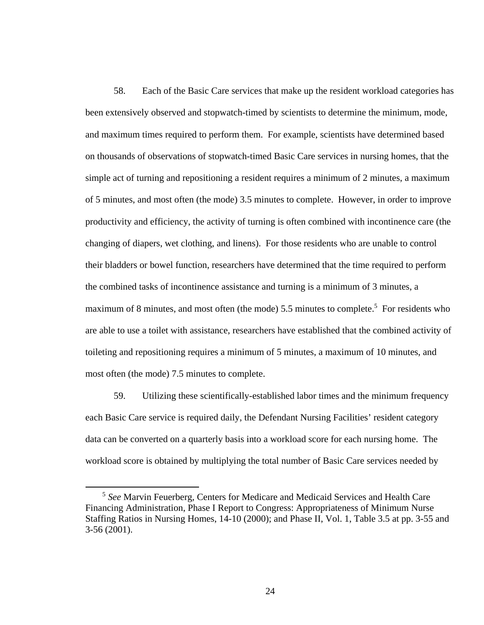58. Each of the Basic Care services that make up the resident workload categories has been extensively observed and stopwatch-timed by scientists to determine the minimum, mode, and maximum times required to perform them. For example, scientists have determined based on thousands of observations of stopwatch-timed Basic Care services in nursing homes, that the simple act of turning and repositioning a resident requires a minimum of 2 minutes, a maximum of 5 minutes, and most often (the mode) 3.5 minutes to complete. However, in order to improve productivity and efficiency, the activity of turning is often combined with incontinence care (the changing of diapers, wet clothing, and linens). For those residents who are unable to control their bladders or bowel function, researchers have determined that the time required to perform the combined tasks of incontinence assistance and turning is a minimum of 3 minutes, a maximum of 8 minutes, and most often (the mode) 5.5 minutes to complete.<sup>5</sup> For residents who are able to use a toilet with assistance, researchers have established that the combined activity of toileting and repositioning requires a minimum of 5 minutes, a maximum of 10 minutes, and most often (the mode) 7.5 minutes to complete.

59. Utilizing these scientifically-established labor times and the minimum frequency each Basic Care service is required daily, the Defendant Nursing Facilities' resident category data can be converted on a quarterly basis into a workload score for each nursing home. The workload score is obtained by multiplying the total number of Basic Care services needed by

 <sup>5</sup> *See* Marvin Feuerberg, Centers for Medicare and Medicaid Services and Health Care Financing Administration, Phase I Report to Congress: Appropriateness of Minimum Nurse Staffing Ratios in Nursing Homes, 14-10 (2000); and Phase II, Vol. 1, Table 3.5 at pp. 3-55 and 3-56 (2001).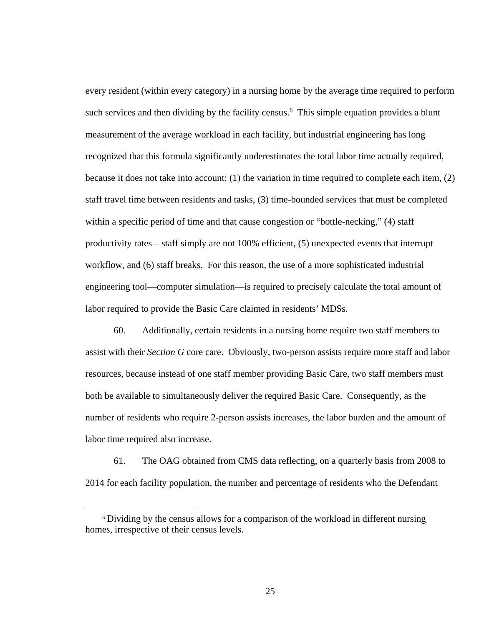every resident (within every category) in a nursing home by the average time required to perform such services and then dividing by the facility census.<sup>6</sup> This simple equation provides a blunt measurement of the average workload in each facility, but industrial engineering has long recognized that this formula significantly underestimates the total labor time actually required, because it does not take into account: (1) the variation in time required to complete each item, (2) staff travel time between residents and tasks, (3) time-bounded services that must be completed within a specific period of time and that cause congestion or "bottle-necking," (4) staff productivity rates – staff simply are not 100% efficient, (5) unexpected events that interrupt workflow, and (6) staff breaks. For this reason, the use of a more sophisticated industrial engineering tool—computer simulation—is required to precisely calculate the total amount of labor required to provide the Basic Care claimed in residents' MDSs.

60. Additionally, certain residents in a nursing home require two staff members to assist with their *Section G* core care. Obviously, two-person assists require more staff and labor resources, because instead of one staff member providing Basic Care, two staff members must both be available to simultaneously deliver the required Basic Care. Consequently, as the number of residents who require 2-person assists increases, the labor burden and the amount of labor time required also increase.

61. The OAG obtained from CMS data reflecting, on a quarterly basis from 2008 to 2014 for each facility population, the number and percentage of residents who the Defendant

 <sup>6</sup> Dividing by the census allows for a comparison of the workload in different nursing homes, irrespective of their census levels.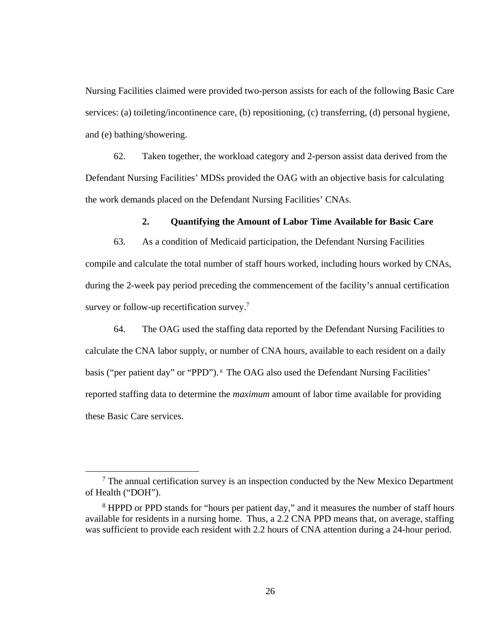Nursing Facilities claimed were provided two-person assists for each of the following Basic Care services: (a) toileting/incontinence care, (b) repositioning, (c) transferring, (d) personal hygiene, and (e) bathing/showering.

62. Taken together, the workload category and 2-person assist data derived from the Defendant Nursing Facilities' MDSs provided the OAG with an objective basis for calculating the work demands placed on the Defendant Nursing Facilities' CNAs.

## **2. Quantifying the Amount of Labor Time Available for Basic Care**

63. As a condition of Medicaid participation, the Defendant Nursing Facilities compile and calculate the total number of staff hours worked, including hours worked by CNAs, during the 2-week pay period preceding the commencement of the facility's annual certification survey or follow-up recertification survey.<sup>7</sup>

64. The OAG used the staffing data reported by the Defendant Nursing Facilities to calculate the CNA labor supply, or number of CNA hours, available to each resident on a daily basis ("per patient day" or "PPD"). <sup>8</sup> The OAG also used the Defendant Nursing Facilities' reported staffing data to determine the *maximum* amount of labor time available for providing these Basic Care services.

 $\overline{7}$  $\frac{7}{1}$  The annual certification survey is an inspection conducted by the New Mexico Department of Health ("DOH").

<sup>&</sup>lt;sup>8</sup> HPPD or PPD stands for "hours per patient day," and it measures the number of staff hours available for residents in a nursing home. Thus, a 2.2 CNA PPD means that, on average, staffing was sufficient to provide each resident with 2.2 hours of CNA attention during a 24-hour period.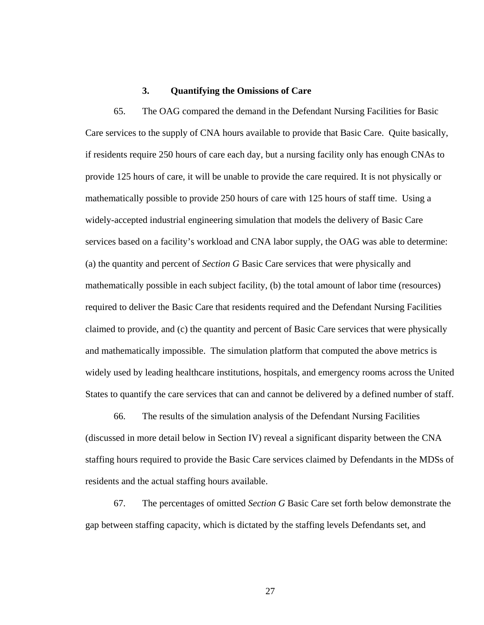### **3. Quantifying the Omissions of Care**

65. The OAG compared the demand in the Defendant Nursing Facilities for Basic Care services to the supply of CNA hours available to provide that Basic Care. Quite basically, if residents require 250 hours of care each day, but a nursing facility only has enough CNAs to provide 125 hours of care, it will be unable to provide the care required. It is not physically or mathematically possible to provide 250 hours of care with 125 hours of staff time. Using a widely-accepted industrial engineering simulation that models the delivery of Basic Care services based on a facility's workload and CNA labor supply, the OAG was able to determine: (a) the quantity and percent of *Section G* Basic Care services that were physically and mathematically possible in each subject facility, (b) the total amount of labor time (resources) required to deliver the Basic Care that residents required and the Defendant Nursing Facilities claimed to provide, and (c) the quantity and percent of Basic Care services that were physically and mathematically impossible. The simulation platform that computed the above metrics is widely used by leading healthcare institutions, hospitals, and emergency rooms across the United States to quantify the care services that can and cannot be delivered by a defined number of staff.

66. The results of the simulation analysis of the Defendant Nursing Facilities (discussed in more detail below in Section IV) reveal a significant disparity between the CNA staffing hours required to provide the Basic Care services claimed by Defendants in the MDSs of residents and the actual staffing hours available.

67. The percentages of omitted *Section G* Basic Care set forth below demonstrate the gap between staffing capacity, which is dictated by the staffing levels Defendants set, and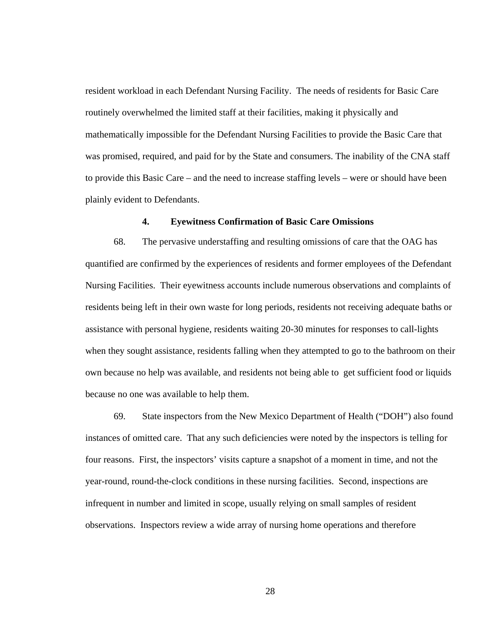resident workload in each Defendant Nursing Facility. The needs of residents for Basic Care routinely overwhelmed the limited staff at their facilities, making it physically and mathematically impossible for the Defendant Nursing Facilities to provide the Basic Care that was promised, required, and paid for by the State and consumers. The inability of the CNA staff to provide this Basic Care – and the need to increase staffing levels – were or should have been plainly evident to Defendants.

## **4. Eyewitness Confirmation of Basic Care Omissions**

68. The pervasive understaffing and resulting omissions of care that the OAG has quantified are confirmed by the experiences of residents and former employees of the Defendant Nursing Facilities. Their eyewitness accounts include numerous observations and complaints of residents being left in their own waste for long periods, residents not receiving adequate baths or assistance with personal hygiene, residents waiting 20-30 minutes for responses to call-lights when they sought assistance, residents falling when they attempted to go to the bathroom on their own because no help was available, and residents not being able to get sufficient food or liquids because no one was available to help them.

69. State inspectors from the New Mexico Department of Health ("DOH") also found instances of omitted care. That any such deficiencies were noted by the inspectors is telling for four reasons. First, the inspectors' visits capture a snapshot of a moment in time, and not the year-round, round-the-clock conditions in these nursing facilities. Second, inspections are infrequent in number and limited in scope, usually relying on small samples of resident observations. Inspectors review a wide array of nursing home operations and therefore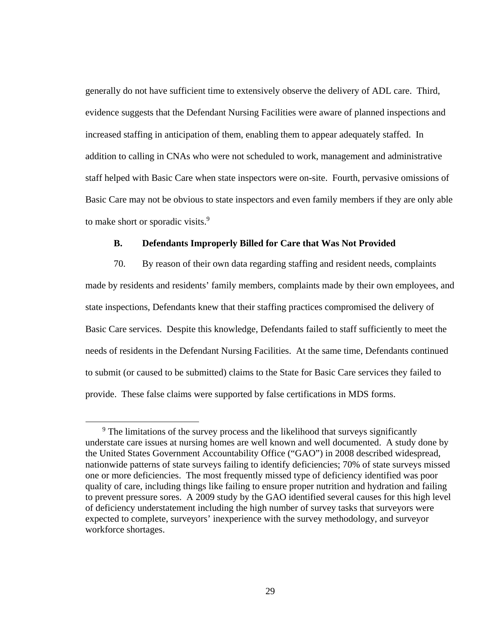generally do not have sufficient time to extensively observe the delivery of ADL care. Third, evidence suggests that the Defendant Nursing Facilities were aware of planned inspections and increased staffing in anticipation of them, enabling them to appear adequately staffed. In addition to calling in CNAs who were not scheduled to work, management and administrative staff helped with Basic Care when state inspectors were on-site. Fourth, pervasive omissions of Basic Care may not be obvious to state inspectors and even family members if they are only able to make short or sporadic visits.<sup>9</sup>

## **B. Defendants Improperly Billed for Care that Was Not Provided**

70. By reason of their own data regarding staffing and resident needs, complaints made by residents and residents' family members, complaints made by their own employees, and state inspections, Defendants knew that their staffing practices compromised the delivery of Basic Care services. Despite this knowledge, Defendants failed to staff sufficiently to meet the needs of residents in the Defendant Nursing Facilities. At the same time, Defendants continued to submit (or caused to be submitted) claims to the State for Basic Care services they failed to provide. These false claims were supported by false certifications in MDS forms.

 $\overline{9}$ <sup>9</sup> The limitations of the survey process and the likelihood that surveys significantly understate care issues at nursing homes are well known and well documented. A study done by the United States Government Accountability Office ("GAO") in 2008 described widespread, nationwide patterns of state surveys failing to identify deficiencies; 70% of state surveys missed one or more deficiencies. The most frequently missed type of deficiency identified was poor quality of care, including things like failing to ensure proper nutrition and hydration and failing to prevent pressure sores. A 2009 study by the GAO identified several causes for this high level of deficiency understatement including the high number of survey tasks that surveyors were expected to complete, surveyors' inexperience with the survey methodology, and surveyor workforce shortages.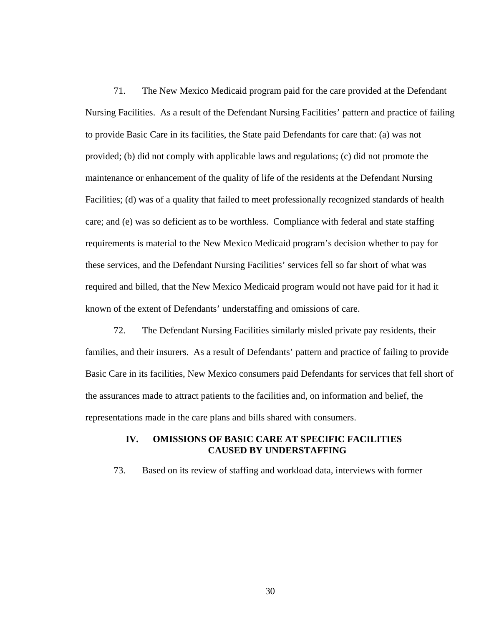71. The New Mexico Medicaid program paid for the care provided at the Defendant Nursing Facilities. As a result of the Defendant Nursing Facilities' pattern and practice of failing to provide Basic Care in its facilities, the State paid Defendants for care that: (a) was not provided; (b) did not comply with applicable laws and regulations; (c) did not promote the maintenance or enhancement of the quality of life of the residents at the Defendant Nursing Facilities; (d) was of a quality that failed to meet professionally recognized standards of health care; and (e) was so deficient as to be worthless. Compliance with federal and state staffing requirements is material to the New Mexico Medicaid program's decision whether to pay for these services, and the Defendant Nursing Facilities' services fell so far short of what was required and billed, that the New Mexico Medicaid program would not have paid for it had it known of the extent of Defendants' understaffing and omissions of care.

72. The Defendant Nursing Facilities similarly misled private pay residents, their families, and their insurers. As a result of Defendants' pattern and practice of failing to provide Basic Care in its facilities, New Mexico consumers paid Defendants for services that fell short of the assurances made to attract patients to the facilities and, on information and belief, the representations made in the care plans and bills shared with consumers.

## **IV. OMISSIONS OF BASIC CARE AT SPECIFIC FACILITIES CAUSED BY UNDERSTAFFING**

73. Based on its review of staffing and workload data, interviews with former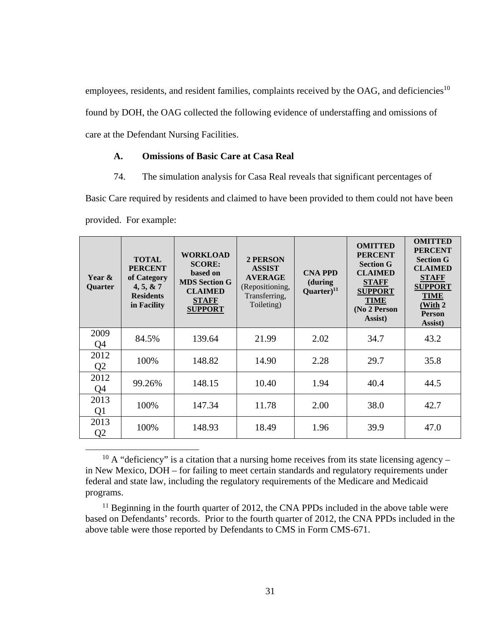employees, residents, and resident families, complaints received by the OAG, and deficiencies<sup>10</sup> found by DOH, the OAG collected the following evidence of understaffing and omissions of care at the Defendant Nursing Facilities.

## **A. Omissions of Basic Care at Casa Real**

74. The simulation analysis for Casa Real reveals that significant percentages of

Basic Care required by residents and claimed to have been provided to them could not have been provided. For example:

| Year &<br>Quarter      | <b>TOTAL</b><br><b>PERCENT</b><br>of Category<br>4, 5, 8, 7<br><b>Residents</b><br>in Facility | <b>WORKLOAD</b><br><b>SCORE:</b><br>based on<br><b>MDS Section G</b><br><b>CLAIMED</b><br><b>STAFF</b><br><b>SUPPORT</b> | 2 PERSON<br><b>ASSIST</b><br><b>AVERAGE</b><br>(Repositioning,<br>Transferring,<br>Toileting) | <b>CNA PPD</b><br>(during<br>Quarter $)^{11}$ | <b>OMITTED</b><br><b>PERCENT</b><br><b>Section G</b><br><b>CLAIMED</b><br><b>STAFF</b><br><b>SUPPORT</b><br><b>TIME</b><br>(No 2 Person<br>Assist) | <b>OMITTED</b><br><b>PERCENT</b><br><b>Section G</b><br><b>CLAIMED</b><br><b>STAFF</b><br><b>SUPPORT</b><br><b>TIME</b><br>(With 2<br><b>Person</b><br>Assist) |
|------------------------|------------------------------------------------------------------------------------------------|--------------------------------------------------------------------------------------------------------------------------|-----------------------------------------------------------------------------------------------|-----------------------------------------------|----------------------------------------------------------------------------------------------------------------------------------------------------|----------------------------------------------------------------------------------------------------------------------------------------------------------------|
| 2009<br>Q <sub>4</sub> | 84.5%                                                                                          | 139.64                                                                                                                   | 21.99                                                                                         | 2.02                                          | 34.7                                                                                                                                               | 43.2                                                                                                                                                           |
| 2012<br>Q <sub>2</sub> | 100%                                                                                           | 148.82                                                                                                                   | 14.90                                                                                         | 2.28                                          | 29.7                                                                                                                                               | 35.8                                                                                                                                                           |
| 2012<br>Q <sub>4</sub> | 99.26%                                                                                         | 148.15                                                                                                                   | 10.40                                                                                         | 1.94                                          | 40.4                                                                                                                                               | 44.5                                                                                                                                                           |
| 2013<br>Q <sub>1</sub> | 100%                                                                                           | 147.34                                                                                                                   | 11.78                                                                                         | 2.00                                          | 38.0                                                                                                                                               | 42.7                                                                                                                                                           |
| 2013<br>Q <sub>2</sub> | 100%                                                                                           | 148.93                                                                                                                   | 18.49                                                                                         | 1.96                                          | 39.9                                                                                                                                               | 47.0                                                                                                                                                           |

 $10$  A "deficiency" is a citation that a nursing home receives from its state licensing agency – in New Mexico, DOH – for failing to meet certain standards and regulatory requirements under federal and state law, including the regulatory requirements of the Medicare and Medicaid programs.

 $11$  Beginning in the fourth quarter of 2012, the CNA PPDs included in the above table were based on Defendants' records. Prior to the fourth quarter of 2012, the CNA PPDs included in the above table were those reported by Defendants to CMS in Form CMS-671.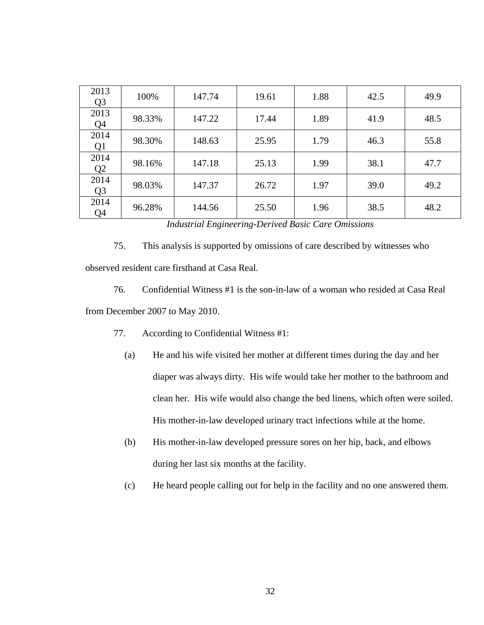| 2013<br>Q <sub>3</sub> | 100%   | 147.74 | 19.61 | 1.88 | 42.5 | 49.9 |
|------------------------|--------|--------|-------|------|------|------|
| 2013<br>Q4             | 98.33% | 147.22 | 17.44 | 1.89 | 41.9 | 48.5 |
| 2014<br>Q1             | 98.30% | 148.63 | 25.95 | 1.79 | 46.3 | 55.8 |
| 2014<br>Q <sub>2</sub> | 98.16% | 147.18 | 25.13 | 1.99 | 38.1 | 47.7 |
| 2014<br>Q <sub>3</sub> | 98.03% | 147.37 | 26.72 | 1.97 | 39.0 | 49.2 |
| 2014<br>Q4             | 96.28% | 144.56 | 25.50 | 1.96 | 38.5 | 48.2 |

*Industrial Engineering-Derived Basic Care Omissions* 

75. This analysis is supported by omissions of care described by witnesses who

observed resident care firsthand at Casa Real.

76. Confidential Witness #1 is the son-in-law of a woman who resided at Casa Real from December 2007 to May 2010.

- 77. According to Confidential Witness #1:
	- (a) He and his wife visited her mother at different times during the day and her diaper was always dirty. His wife would take her mother to the bathroom and clean her. His wife would also change the bed linens, which often were soiled. His mother-in-law developed urinary tract infections while at the home.
	- (b) His mother-in-law developed pressure sores on her hip, back, and elbows during her last six months at the facility.
	- (c) He heard people calling out for help in the facility and no one answered them.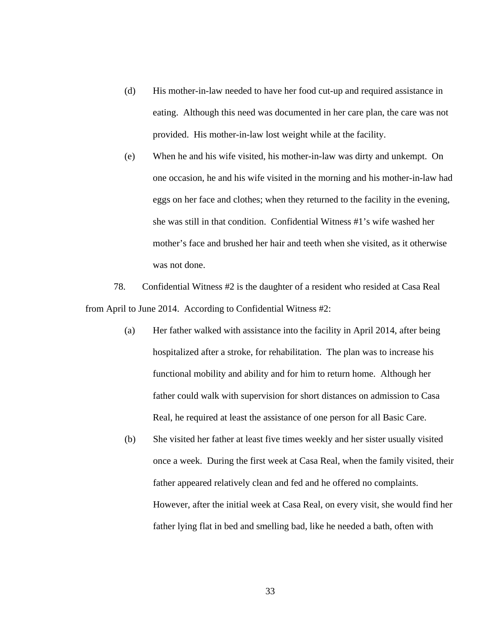- (d) His mother-in-law needed to have her food cut-up and required assistance in eating. Although this need was documented in her care plan, the care was not provided. His mother-in-law lost weight while at the facility.
- (e) When he and his wife visited, his mother-in-law was dirty and unkempt. On one occasion, he and his wife visited in the morning and his mother-in-law had eggs on her face and clothes; when they returned to the facility in the evening, she was still in that condition. Confidential Witness #1's wife washed her mother's face and brushed her hair and teeth when she visited, as it otherwise was not done.

78. Confidential Witness #2 is the daughter of a resident who resided at Casa Real from April to June 2014. According to Confidential Witness #2:

- (a) Her father walked with assistance into the facility in April 2014, after being hospitalized after a stroke, for rehabilitation. The plan was to increase his functional mobility and ability and for him to return home. Although her father could walk with supervision for short distances on admission to Casa Real, he required at least the assistance of one person for all Basic Care.
- (b) She visited her father at least five times weekly and her sister usually visited once a week. During the first week at Casa Real, when the family visited, their father appeared relatively clean and fed and he offered no complaints. However, after the initial week at Casa Real, on every visit, she would find her father lying flat in bed and smelling bad, like he needed a bath, often with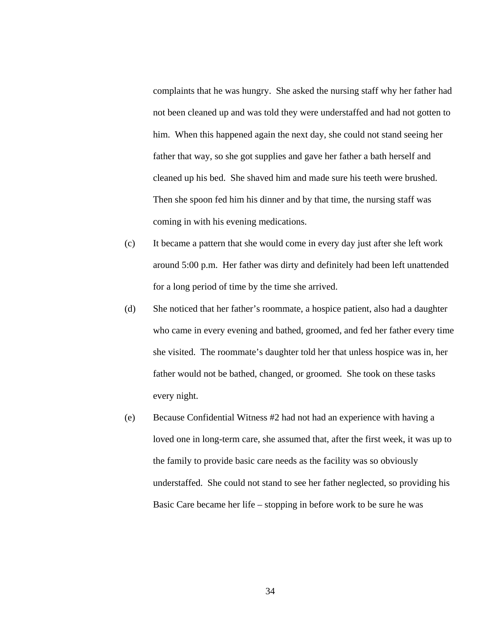complaints that he was hungry. She asked the nursing staff why her father had not been cleaned up and was told they were understaffed and had not gotten to him. When this happened again the next day, she could not stand seeing her father that way, so she got supplies and gave her father a bath herself and cleaned up his bed. She shaved him and made sure his teeth were brushed. Then she spoon fed him his dinner and by that time, the nursing staff was coming in with his evening medications.

- (c) It became a pattern that she would come in every day just after she left work around 5:00 p.m. Her father was dirty and definitely had been left unattended for a long period of time by the time she arrived.
- (d) She noticed that her father's roommate, a hospice patient, also had a daughter who came in every evening and bathed, groomed, and fed her father every time she visited. The roommate's daughter told her that unless hospice was in, her father would not be bathed, changed, or groomed. She took on these tasks every night.
- (e) Because Confidential Witness #2 had not had an experience with having a loved one in long-term care, she assumed that, after the first week, it was up to the family to provide basic care needs as the facility was so obviously understaffed. She could not stand to see her father neglected, so providing his Basic Care became her life – stopping in before work to be sure he was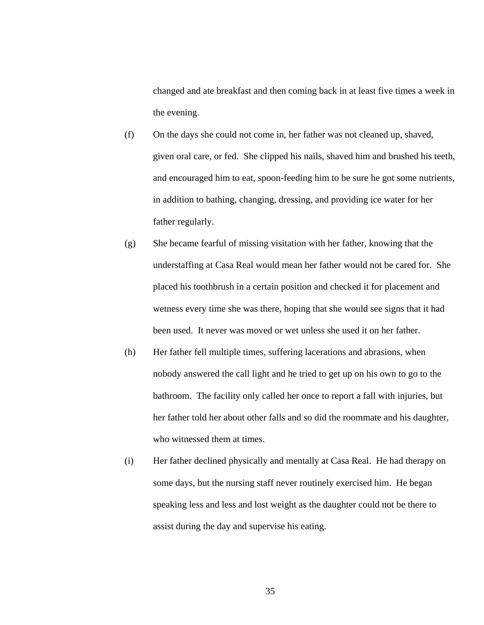changed and ate breakfast and then coming back in at least five times a week in the evening.

- (f) On the days she could not come in, her father was not cleaned up, shaved, given oral care, or fed. She clipped his nails, shaved him and brushed his teeth, and encouraged him to eat, spoon-feeding him to be sure he got some nutrients, in addition to bathing, changing, dressing, and providing ice water for her father regularly.
- (g) She became fearful of missing visitation with her father, knowing that the understaffing at Casa Real would mean her father would not be cared for. She placed his toothbrush in a certain position and checked it for placement and wetness every time she was there, hoping that she would see signs that it had been used. It never was moved or wet unless she used it on her father.
- (h) Her father fell multiple times, suffering lacerations and abrasions, when nobody answered the call light and he tried to get up on his own to go to the bathroom. The facility only called her once to report a fall with injuries, but her father told her about other falls and so did the roommate and his daughter, who witnessed them at times.
- (i) Her father declined physically and mentally at Casa Real. He had therapy on some days, but the nursing staff never routinely exercised him. He began speaking less and less and lost weight as the daughter could not be there to assist during the day and supervise his eating.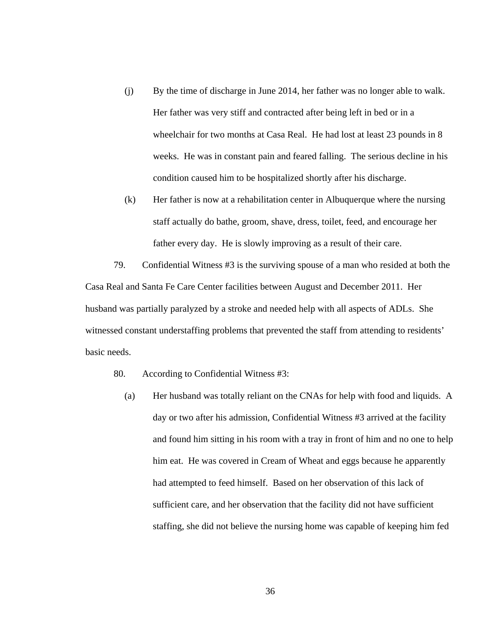- (j) By the time of discharge in June 2014, her father was no longer able to walk. Her father was very stiff and contracted after being left in bed or in a wheelchair for two months at Casa Real. He had lost at least 23 pounds in 8 weeks. He was in constant pain and feared falling. The serious decline in his condition caused him to be hospitalized shortly after his discharge.
- (k) Her father is now at a rehabilitation center in Albuquerque where the nursing staff actually do bathe, groom, shave, dress, toilet, feed, and encourage her father every day. He is slowly improving as a result of their care.

79. Confidential Witness #3 is the surviving spouse of a man who resided at both the Casa Real and Santa Fe Care Center facilities between August and December 2011. Her husband was partially paralyzed by a stroke and needed help with all aspects of ADLs. She witnessed constant understaffing problems that prevented the staff from attending to residents' basic needs.

- 80. According to Confidential Witness #3:
	- (a) Her husband was totally reliant on the CNAs for help with food and liquids. A day or two after his admission, Confidential Witness #3 arrived at the facility and found him sitting in his room with a tray in front of him and no one to help him eat. He was covered in Cream of Wheat and eggs because he apparently had attempted to feed himself. Based on her observation of this lack of sufficient care, and her observation that the facility did not have sufficient staffing, she did not believe the nursing home was capable of keeping him fed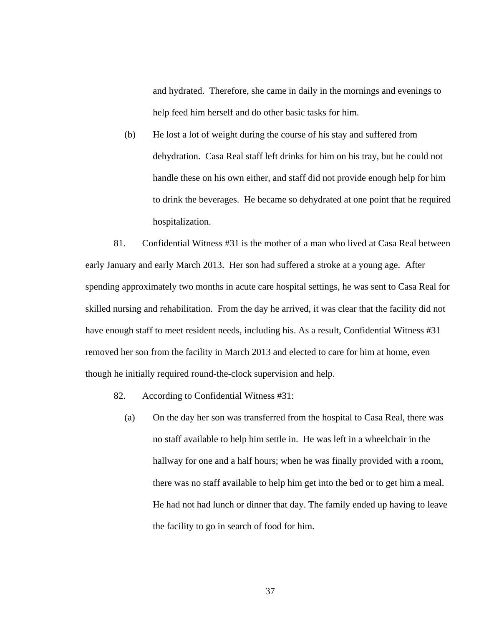and hydrated. Therefore, she came in daily in the mornings and evenings to help feed him herself and do other basic tasks for him.

(b) He lost a lot of weight during the course of his stay and suffered from dehydration. Casa Real staff left drinks for him on his tray, but he could not handle these on his own either, and staff did not provide enough help for him to drink the beverages. He became so dehydrated at one point that he required hospitalization.

81. Confidential Witness #31 is the mother of a man who lived at Casa Real between early January and early March 2013. Her son had suffered a stroke at a young age. After spending approximately two months in acute care hospital settings, he was sent to Casa Real for skilled nursing and rehabilitation. From the day he arrived, it was clear that the facility did not have enough staff to meet resident needs, including his. As a result, Confidential Witness #31 removed her son from the facility in March 2013 and elected to care for him at home, even though he initially required round-the-clock supervision and help.

- 82. According to Confidential Witness #31:
	- (a) On the day her son was transferred from the hospital to Casa Real, there was no staff available to help him settle in. He was left in a wheelchair in the hallway for one and a half hours; when he was finally provided with a room, there was no staff available to help him get into the bed or to get him a meal. He had not had lunch or dinner that day. The family ended up having to leave the facility to go in search of food for him.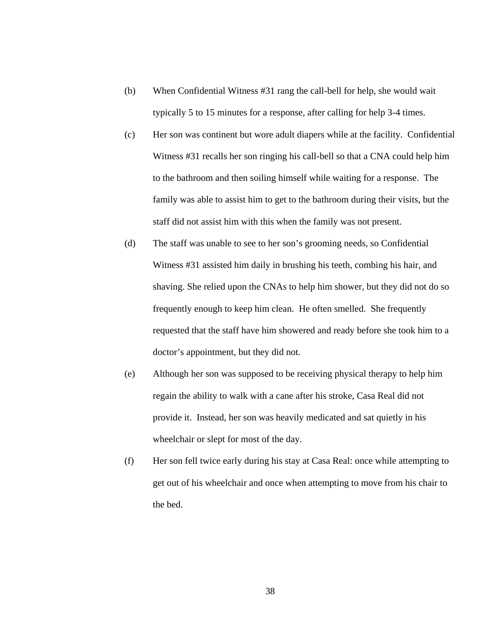- (b) When Confidential Witness #31 rang the call-bell for help, she would wait typically 5 to 15 minutes for a response, after calling for help 3-4 times.
- (c) Her son was continent but wore adult diapers while at the facility. Confidential Witness #31 recalls her son ringing his call-bell so that a CNA could help him to the bathroom and then soiling himself while waiting for a response. The family was able to assist him to get to the bathroom during their visits, but the staff did not assist him with this when the family was not present.
- (d) The staff was unable to see to her son's grooming needs, so Confidential Witness #31 assisted him daily in brushing his teeth, combing his hair, and shaving. She relied upon the CNAs to help him shower, but they did not do so frequently enough to keep him clean. He often smelled. She frequently requested that the staff have him showered and ready before she took him to a doctor's appointment, but they did not.
- (e) Although her son was supposed to be receiving physical therapy to help him regain the ability to walk with a cane after his stroke, Casa Real did not provide it. Instead, her son was heavily medicated and sat quietly in his wheelchair or slept for most of the day.
- (f) Her son fell twice early during his stay at Casa Real: once while attempting to get out of his wheelchair and once when attempting to move from his chair to the bed.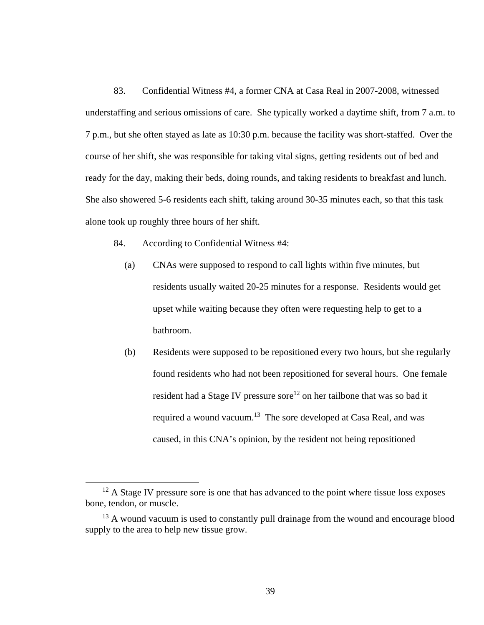83. Confidential Witness #4, a former CNA at Casa Real in 2007-2008, witnessed understaffing and serious omissions of care. She typically worked a daytime shift, from 7 a.m. to 7 p.m., but she often stayed as late as 10:30 p.m. because the facility was short-staffed. Over the course of her shift, she was responsible for taking vital signs, getting residents out of bed and ready for the day, making their beds, doing rounds, and taking residents to breakfast and lunch. She also showered 5-6 residents each shift, taking around 30-35 minutes each, so that this task alone took up roughly three hours of her shift.

- 84. According to Confidential Witness #4:
	- (a) CNAs were supposed to respond to call lights within five minutes, but residents usually waited 20-25 minutes for a response. Residents would get upset while waiting because they often were requesting help to get to a bathroom.
	- (b) Residents were supposed to be repositioned every two hours, but she regularly found residents who had not been repositioned for several hours. One female resident had a Stage IV pressure sore<sup>12</sup> on her tailbone that was so bad it required a wound vacuum.<sup>13</sup> The sore developed at Casa Real, and was caused, in this CNA's opinion, by the resident not being repositioned

 $12$  A Stage IV pressure sore is one that has advanced to the point where tissue loss exposes bone, tendon, or muscle.

<sup>&</sup>lt;sup>13</sup> A wound vacuum is used to constantly pull drainage from the wound and encourage blood supply to the area to help new tissue grow.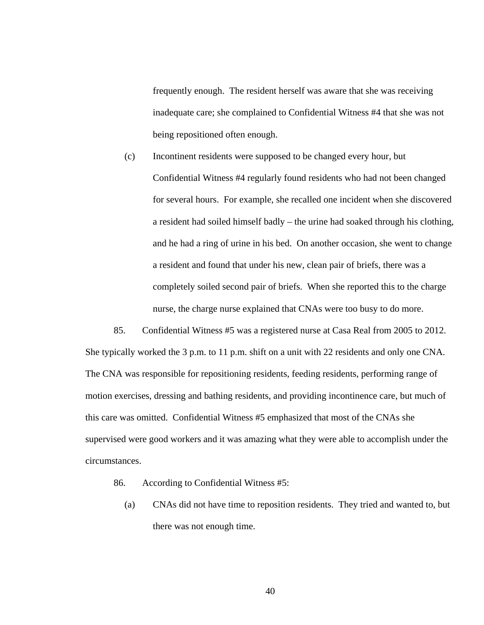frequently enough. The resident herself was aware that she was receiving inadequate care; she complained to Confidential Witness #4 that she was not being repositioned often enough.

(c) Incontinent residents were supposed to be changed every hour, but Confidential Witness #4 regularly found residents who had not been changed for several hours. For example, she recalled one incident when she discovered a resident had soiled himself badly – the urine had soaked through his clothing, and he had a ring of urine in his bed. On another occasion, she went to change a resident and found that under his new, clean pair of briefs, there was a completely soiled second pair of briefs. When she reported this to the charge nurse, the charge nurse explained that CNAs were too busy to do more.

85. Confidential Witness #5 was a registered nurse at Casa Real from 2005 to 2012. She typically worked the 3 p.m. to 11 p.m. shift on a unit with 22 residents and only one CNA. The CNA was responsible for repositioning residents, feeding residents, performing range of motion exercises, dressing and bathing residents, and providing incontinence care, but much of this care was omitted. Confidential Witness #5 emphasized that most of the CNAs she supervised were good workers and it was amazing what they were able to accomplish under the circumstances.

- 86. According to Confidential Witness #5:
	- (a) CNAs did not have time to reposition residents. They tried and wanted to, but there was not enough time.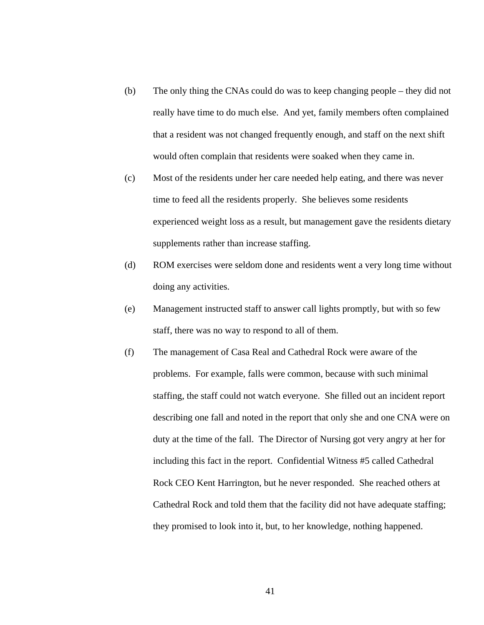- (b) The only thing the CNAs could do was to keep changing people they did not really have time to do much else. And yet, family members often complained that a resident was not changed frequently enough, and staff on the next shift would often complain that residents were soaked when they came in.
- (c) Most of the residents under her care needed help eating, and there was never time to feed all the residents properly. She believes some residents experienced weight loss as a result, but management gave the residents dietary supplements rather than increase staffing.
- (d) ROM exercises were seldom done and residents went a very long time without doing any activities.
- (e) Management instructed staff to answer call lights promptly, but with so few staff, there was no way to respond to all of them.
- (f) The management of Casa Real and Cathedral Rock were aware of the problems. For example, falls were common, because with such minimal staffing, the staff could not watch everyone. She filled out an incident report describing one fall and noted in the report that only she and one CNA were on duty at the time of the fall. The Director of Nursing got very angry at her for including this fact in the report. Confidential Witness #5 called Cathedral Rock CEO Kent Harrington, but he never responded. She reached others at Cathedral Rock and told them that the facility did not have adequate staffing; they promised to look into it, but, to her knowledge, nothing happened.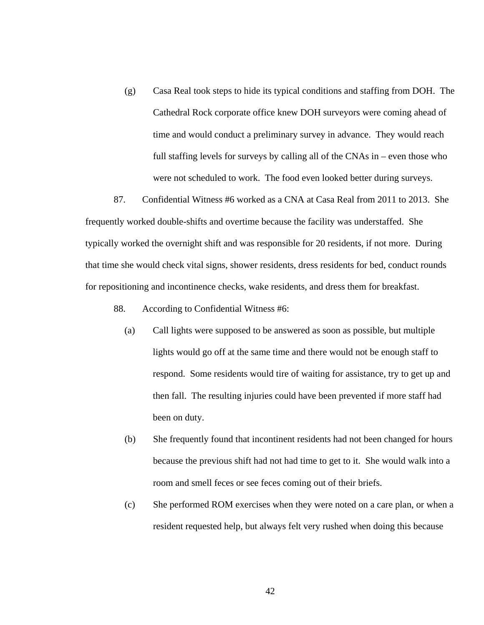(g) Casa Real took steps to hide its typical conditions and staffing from DOH. The Cathedral Rock corporate office knew DOH surveyors were coming ahead of time and would conduct a preliminary survey in advance. They would reach full staffing levels for surveys by calling all of the CNAs in – even those who were not scheduled to work. The food even looked better during surveys.

87. Confidential Witness #6 worked as a CNA at Casa Real from 2011 to 2013. She frequently worked double-shifts and overtime because the facility was understaffed. She typically worked the overnight shift and was responsible for 20 residents, if not more. During that time she would check vital signs, shower residents, dress residents for bed, conduct rounds for repositioning and incontinence checks, wake residents, and dress them for breakfast.

- 88. According to Confidential Witness #6:
	- (a) Call lights were supposed to be answered as soon as possible, but multiple lights would go off at the same time and there would not be enough staff to respond. Some residents would tire of waiting for assistance, try to get up and then fall. The resulting injuries could have been prevented if more staff had been on duty.
	- (b) She frequently found that incontinent residents had not been changed for hours because the previous shift had not had time to get to it. She would walk into a room and smell feces or see feces coming out of their briefs.
	- (c) She performed ROM exercises when they were noted on a care plan, or when a resident requested help, but always felt very rushed when doing this because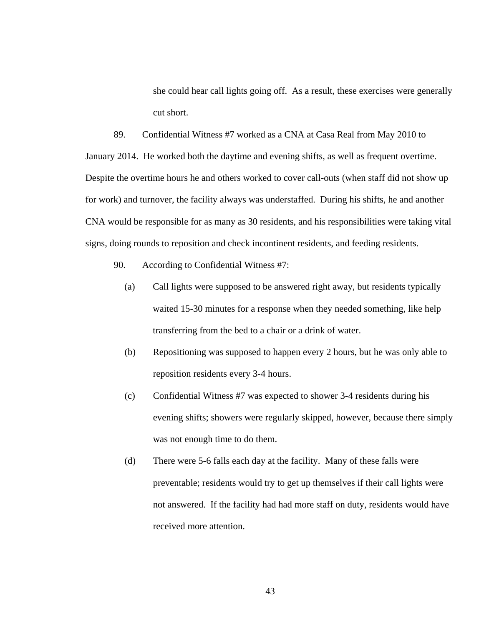she could hear call lights going off. As a result, these exercises were generally cut short.

89. Confidential Witness #7 worked as a CNA at Casa Real from May 2010 to

January 2014. He worked both the daytime and evening shifts, as well as frequent overtime. Despite the overtime hours he and others worked to cover call-outs (when staff did not show up for work) and turnover, the facility always was understaffed. During his shifts, he and another CNA would be responsible for as many as 30 residents, and his responsibilities were taking vital signs, doing rounds to reposition and check incontinent residents, and feeding residents.

- 90. According to Confidential Witness #7:
	- (a) Call lights were supposed to be answered right away, but residents typically waited 15-30 minutes for a response when they needed something, like help transferring from the bed to a chair or a drink of water.
	- (b) Repositioning was supposed to happen every 2 hours, but he was only able to reposition residents every 3-4 hours.
	- (c) Confidential Witness #7 was expected to shower 3-4 residents during his evening shifts; showers were regularly skipped, however, because there simply was not enough time to do them.
	- (d) There were 5-6 falls each day at the facility. Many of these falls were preventable; residents would try to get up themselves if their call lights were not answered. If the facility had had more staff on duty, residents would have received more attention.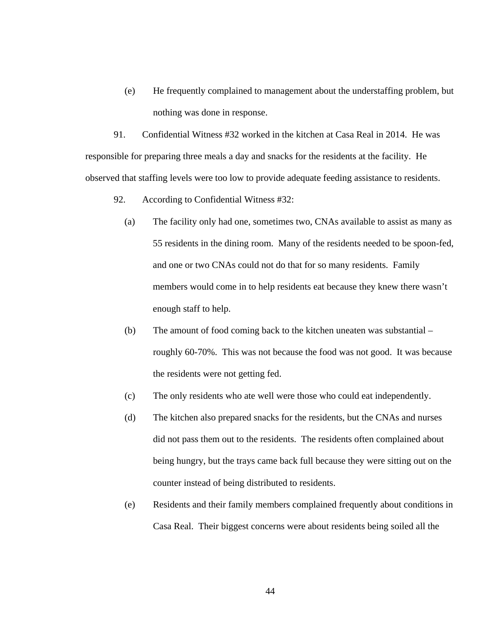(e) He frequently complained to management about the understaffing problem, but nothing was done in response.

91. Confidential Witness #32 worked in the kitchen at Casa Real in 2014. He was responsible for preparing three meals a day and snacks for the residents at the facility. He observed that staffing levels were too low to provide adequate feeding assistance to residents.

- 92. According to Confidential Witness #32:
	- (a) The facility only had one, sometimes two, CNAs available to assist as many as 55 residents in the dining room. Many of the residents needed to be spoon-fed, and one or two CNAs could not do that for so many residents. Family members would come in to help residents eat because they knew there wasn't enough staff to help.
	- (b) The amount of food coming back to the kitchen uneaten was substantial roughly 60-70%. This was not because the food was not good. It was because the residents were not getting fed.
	- (c) The only residents who ate well were those who could eat independently.
	- (d) The kitchen also prepared snacks for the residents, but the CNAs and nurses did not pass them out to the residents. The residents often complained about being hungry, but the trays came back full because they were sitting out on the counter instead of being distributed to residents.
	- (e) Residents and their family members complained frequently about conditions in Casa Real. Their biggest concerns were about residents being soiled all the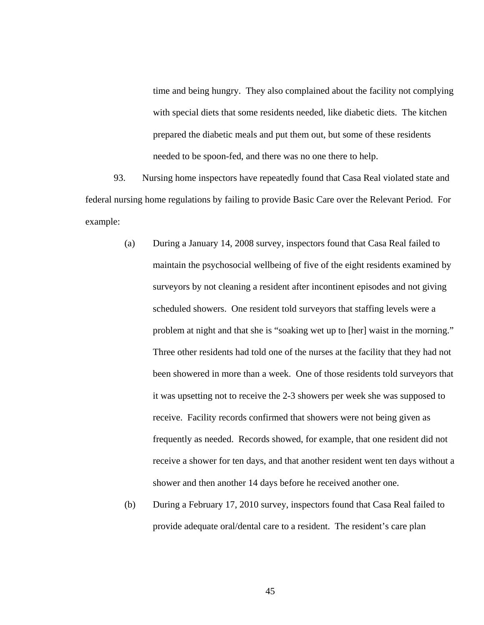time and being hungry. They also complained about the facility not complying with special diets that some residents needed, like diabetic diets. The kitchen prepared the diabetic meals and put them out, but some of these residents needed to be spoon-fed, and there was no one there to help.

93. Nursing home inspectors have repeatedly found that Casa Real violated state and federal nursing home regulations by failing to provide Basic Care over the Relevant Period. For example:

- (a) During a January 14, 2008 survey, inspectors found that Casa Real failed to maintain the psychosocial wellbeing of five of the eight residents examined by surveyors by not cleaning a resident after incontinent episodes and not giving scheduled showers. One resident told surveyors that staffing levels were a problem at night and that she is "soaking wet up to [her] waist in the morning." Three other residents had told one of the nurses at the facility that they had not been showered in more than a week. One of those residents told surveyors that it was upsetting not to receive the 2-3 showers per week she was supposed to receive. Facility records confirmed that showers were not being given as frequently as needed. Records showed, for example, that one resident did not receive a shower for ten days, and that another resident went ten days without a shower and then another 14 days before he received another one.
- (b) During a February 17, 2010 survey, inspectors found that Casa Real failed to provide adequate oral/dental care to a resident. The resident's care plan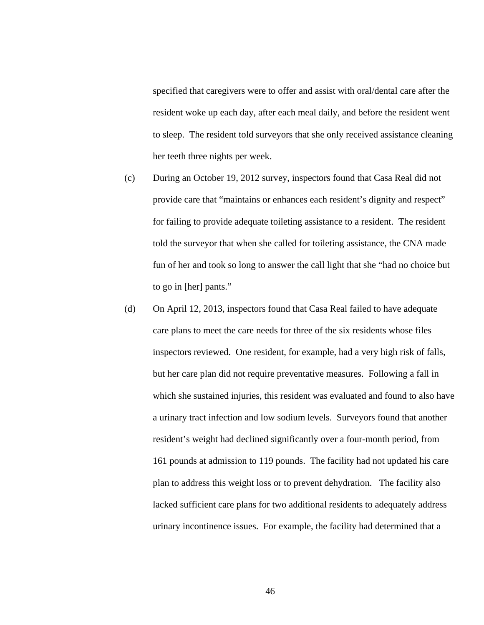specified that caregivers were to offer and assist with oral/dental care after the resident woke up each day, after each meal daily, and before the resident went to sleep. The resident told surveyors that she only received assistance cleaning her teeth three nights per week.

- (c) During an October 19, 2012 survey, inspectors found that Casa Real did not provide care that "maintains or enhances each resident's dignity and respect" for failing to provide adequate toileting assistance to a resident. The resident told the surveyor that when she called for toileting assistance, the CNA made fun of her and took so long to answer the call light that she "had no choice but to go in [her] pants."
- (d) On April 12, 2013, inspectors found that Casa Real failed to have adequate care plans to meet the care needs for three of the six residents whose files inspectors reviewed. One resident, for example, had a very high risk of falls, but her care plan did not require preventative measures. Following a fall in which she sustained injuries, this resident was evaluated and found to also have a urinary tract infection and low sodium levels. Surveyors found that another resident's weight had declined significantly over a four-month period, from 161 pounds at admission to 119 pounds. The facility had not updated his care plan to address this weight loss or to prevent dehydration. The facility also lacked sufficient care plans for two additional residents to adequately address urinary incontinence issues. For example, the facility had determined that a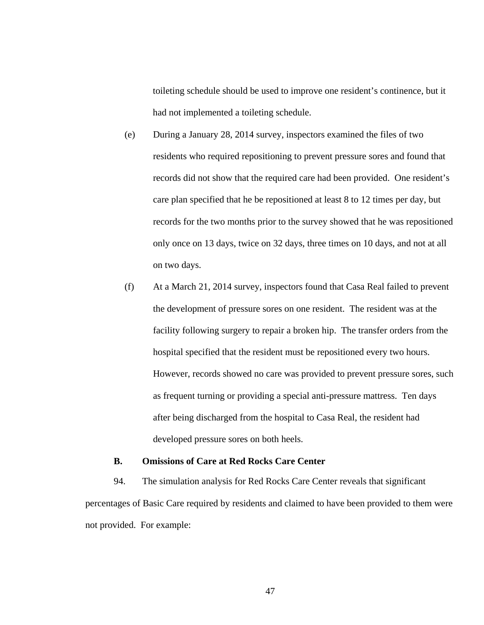toileting schedule should be used to improve one resident's continence, but it had not implemented a toileting schedule.

- (e) During a January 28, 2014 survey, inspectors examined the files of two residents who required repositioning to prevent pressure sores and found that records did not show that the required care had been provided. One resident's care plan specified that he be repositioned at least 8 to 12 times per day, but records for the two months prior to the survey showed that he was repositioned only once on 13 days, twice on 32 days, three times on 10 days, and not at all on two days.
- (f) At a March 21, 2014 survey, inspectors found that Casa Real failed to prevent the development of pressure sores on one resident. The resident was at the facility following surgery to repair a broken hip. The transfer orders from the hospital specified that the resident must be repositioned every two hours. However, records showed no care was provided to prevent pressure sores, such as frequent turning or providing a special anti-pressure mattress. Ten days after being discharged from the hospital to Casa Real, the resident had developed pressure sores on both heels.

## **B. Omissions of Care at Red Rocks Care Center**

94. The simulation analysis for Red Rocks Care Center reveals that significant percentages of Basic Care required by residents and claimed to have been provided to them were not provided. For example: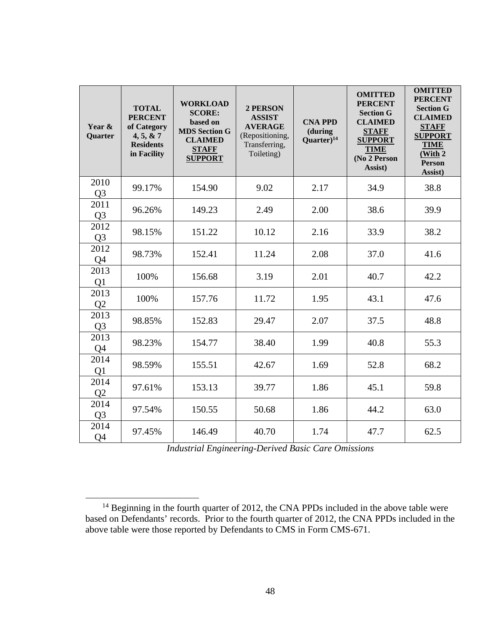| Year &<br>Quarter      | <b>TOTAL</b><br><b>PERCENT</b><br>of Category<br>4, 5, 8, 7<br><b>Residents</b><br>in Facility | <b>WORKLOAD</b><br><b>SCORE:</b><br>based on<br><b>MDS Section G</b><br><b>CLAIMED</b><br><b>STAFF</b><br><b>SUPPORT</b> | 2 PERSON<br><b>ASSIST</b><br><b>AVERAGE</b><br>(Repositioning,<br>Transferring,<br>Toileting) | <b>CNA PPD</b><br>(during<br>Quarter $)^{14}$ | <b>OMITTED</b><br><b>PERCENT</b><br><b>Section G</b><br><b>CLAIMED</b><br><b>STAFF</b><br><b>SUPPORT</b><br><b>TIME</b><br>(No 2 Person<br>Assist) | <b>OMITTED</b><br><b>PERCENT</b><br><b>Section G</b><br><b>CLAIMED</b><br><b>STAFF</b><br><b>SUPPORT</b><br><b>TIME</b><br>(With 2<br><b>Person</b><br>Assist) |
|------------------------|------------------------------------------------------------------------------------------------|--------------------------------------------------------------------------------------------------------------------------|-----------------------------------------------------------------------------------------------|-----------------------------------------------|----------------------------------------------------------------------------------------------------------------------------------------------------|----------------------------------------------------------------------------------------------------------------------------------------------------------------|
| 2010<br>Q <sub>3</sub> | 99.17%                                                                                         | 154.90                                                                                                                   | 9.02                                                                                          | 2.17                                          | 34.9                                                                                                                                               | 38.8                                                                                                                                                           |
| 2011<br>Q <sub>3</sub> | 96.26%                                                                                         | 149.23                                                                                                                   | 2.49                                                                                          | 2.00                                          | 38.6                                                                                                                                               | 39.9                                                                                                                                                           |
| 2012<br>Q <sub>3</sub> | 98.15%                                                                                         | 151.22                                                                                                                   | 10.12                                                                                         | 2.16                                          | 33.9                                                                                                                                               | 38.2                                                                                                                                                           |
| 2012<br>Q <sub>4</sub> | 98.73%                                                                                         | 152.41                                                                                                                   | 11.24                                                                                         | 2.08                                          | 37.0                                                                                                                                               | 41.6                                                                                                                                                           |
| 2013<br>Q1             | 100%                                                                                           | 156.68                                                                                                                   | 3.19                                                                                          | 2.01                                          | 40.7                                                                                                                                               | 42.2                                                                                                                                                           |
| 2013<br>Q2             | 100%                                                                                           | 157.76                                                                                                                   | 11.72                                                                                         | 1.95                                          | 43.1                                                                                                                                               | 47.6                                                                                                                                                           |
| 2013<br>Q <sub>3</sub> | 98.85%                                                                                         | 152.83                                                                                                                   | 29.47                                                                                         | 2.07                                          | 37.5                                                                                                                                               | 48.8                                                                                                                                                           |
| 2013<br>Q4             | 98.23%                                                                                         | 154.77                                                                                                                   | 38.40                                                                                         | 1.99                                          | 40.8                                                                                                                                               | 55.3                                                                                                                                                           |
| 2014<br>Q1             | 98.59%                                                                                         | 155.51                                                                                                                   | 42.67                                                                                         | 1.69                                          | 52.8                                                                                                                                               | 68.2                                                                                                                                                           |
| 2014<br>Q2             | 97.61%                                                                                         | 153.13                                                                                                                   | 39.77                                                                                         | 1.86                                          | 45.1                                                                                                                                               | 59.8                                                                                                                                                           |
| 2014<br>Q <sub>3</sub> | 97.54%                                                                                         | 150.55                                                                                                                   | 50.68                                                                                         | 1.86                                          | 44.2                                                                                                                                               | 63.0                                                                                                                                                           |
| 2014<br>Q4             | 97.45%                                                                                         | 146.49                                                                                                                   | 40.70                                                                                         | 1.74                                          | 47.7                                                                                                                                               | 62.5                                                                                                                                                           |

*Industrial Engineering-Derived Basic Care Omissions* 

<sup>&</sup>lt;sup>14</sup> Beginning in the fourth quarter of 2012, the CNA PPDs included in the above table were based on Defendants' records. Prior to the fourth quarter of 2012, the CNA PPDs included in the above table were those reported by Defendants to CMS in Form CMS-671.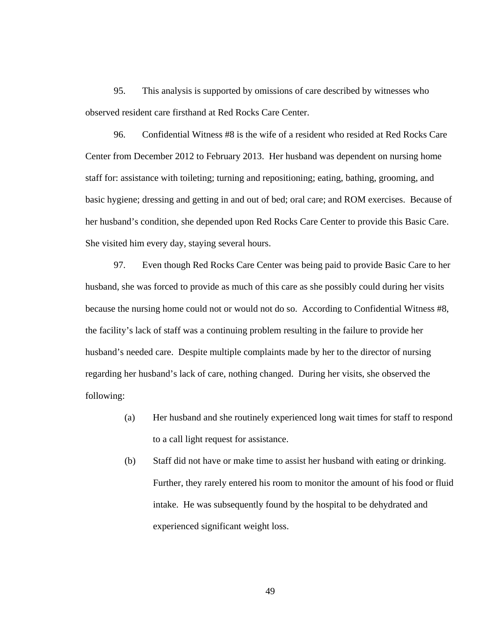95. This analysis is supported by omissions of care described by witnesses who observed resident care firsthand at Red Rocks Care Center.

96. Confidential Witness #8 is the wife of a resident who resided at Red Rocks Care Center from December 2012 to February 2013. Her husband was dependent on nursing home staff for: assistance with toileting; turning and repositioning; eating, bathing, grooming, and basic hygiene; dressing and getting in and out of bed; oral care; and ROM exercises. Because of her husband's condition, she depended upon Red Rocks Care Center to provide this Basic Care. She visited him every day, staying several hours.

97. Even though Red Rocks Care Center was being paid to provide Basic Care to her husband, she was forced to provide as much of this care as she possibly could during her visits because the nursing home could not or would not do so. According to Confidential Witness #8, the facility's lack of staff was a continuing problem resulting in the failure to provide her husband's needed care. Despite multiple complaints made by her to the director of nursing regarding her husband's lack of care, nothing changed. During her visits, she observed the following:

- (a) Her husband and she routinely experienced long wait times for staff to respond to a call light request for assistance.
- (b) Staff did not have or make time to assist her husband with eating or drinking. Further, they rarely entered his room to monitor the amount of his food or fluid intake. He was subsequently found by the hospital to be dehydrated and experienced significant weight loss.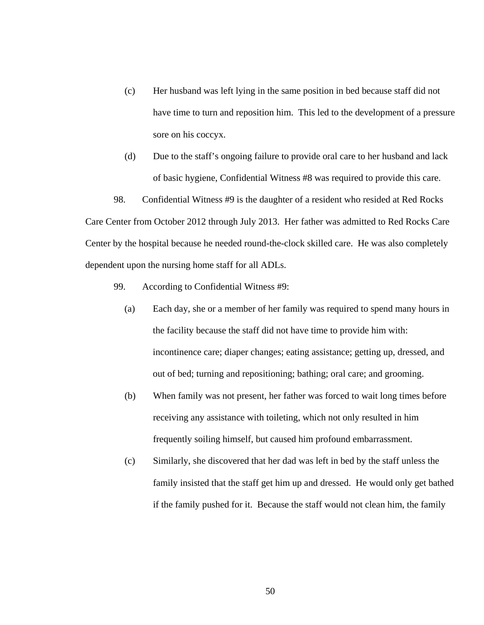- (c) Her husband was left lying in the same position in bed because staff did not have time to turn and reposition him. This led to the development of a pressure sore on his coccyx.
- (d) Due to the staff's ongoing failure to provide oral care to her husband and lack of basic hygiene, Confidential Witness #8 was required to provide this care.

98. Confidential Witness #9 is the daughter of a resident who resided at Red Rocks Care Center from October 2012 through July 2013. Her father was admitted to Red Rocks Care Center by the hospital because he needed round-the-clock skilled care. He was also completely dependent upon the nursing home staff for all ADLs.

- 99. According to Confidential Witness #9:
	- (a) Each day, she or a member of her family was required to spend many hours in the facility because the staff did not have time to provide him with: incontinence care; diaper changes; eating assistance; getting up, dressed, and out of bed; turning and repositioning; bathing; oral care; and grooming.
	- (b) When family was not present, her father was forced to wait long times before receiving any assistance with toileting, which not only resulted in him frequently soiling himself, but caused him profound embarrassment.
	- (c) Similarly, she discovered that her dad was left in bed by the staff unless the family insisted that the staff get him up and dressed. He would only get bathed if the family pushed for it. Because the staff would not clean him, the family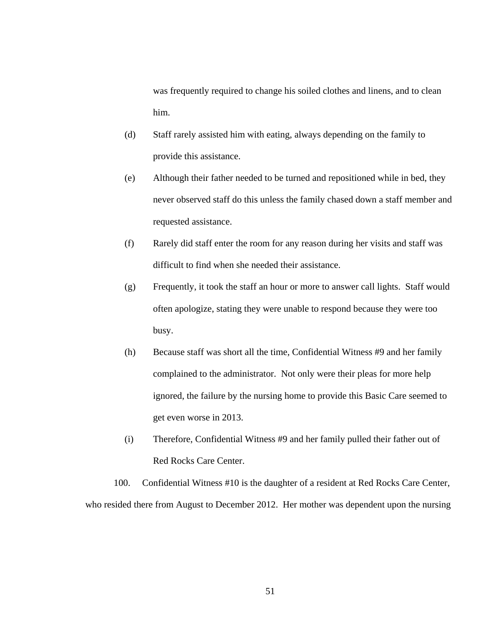was frequently required to change his soiled clothes and linens, and to clean him.

- (d) Staff rarely assisted him with eating, always depending on the family to provide this assistance.
- (e) Although their father needed to be turned and repositioned while in bed, they never observed staff do this unless the family chased down a staff member and requested assistance.
- (f) Rarely did staff enter the room for any reason during her visits and staff was difficult to find when she needed their assistance.
- (g) Frequently, it took the staff an hour or more to answer call lights. Staff would often apologize, stating they were unable to respond because they were too busy.
- (h) Because staff was short all the time, Confidential Witness #9 and her family complained to the administrator. Not only were their pleas for more help ignored, the failure by the nursing home to provide this Basic Care seemed to get even worse in 2013.
- (i) Therefore, Confidential Witness #9 and her family pulled their father out of Red Rocks Care Center.

100. Confidential Witness #10 is the daughter of a resident at Red Rocks Care Center, who resided there from August to December 2012. Her mother was dependent upon the nursing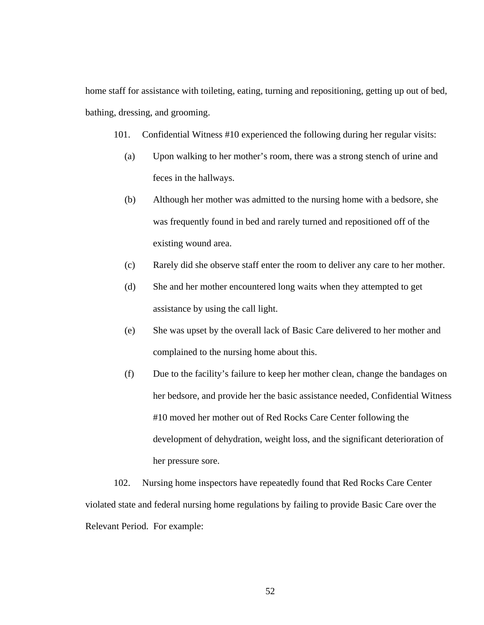home staff for assistance with toileting, eating, turning and repositioning, getting up out of bed, bathing, dressing, and grooming.

- 101. Confidential Witness #10 experienced the following during her regular visits:
	- (a) Upon walking to her mother's room, there was a strong stench of urine and feces in the hallways.
	- (b) Although her mother was admitted to the nursing home with a bedsore, she was frequently found in bed and rarely turned and repositioned off of the existing wound area.
	- (c) Rarely did she observe staff enter the room to deliver any care to her mother.
	- (d) She and her mother encountered long waits when they attempted to get assistance by using the call light.
	- (e) She was upset by the overall lack of Basic Care delivered to her mother and complained to the nursing home about this.
	- (f) Due to the facility's failure to keep her mother clean, change the bandages on her bedsore, and provide her the basic assistance needed, Confidential Witness #10 moved her mother out of Red Rocks Care Center following the development of dehydration, weight loss, and the significant deterioration of her pressure sore.

102. Nursing home inspectors have repeatedly found that Red Rocks Care Center violated state and federal nursing home regulations by failing to provide Basic Care over the Relevant Period. For example: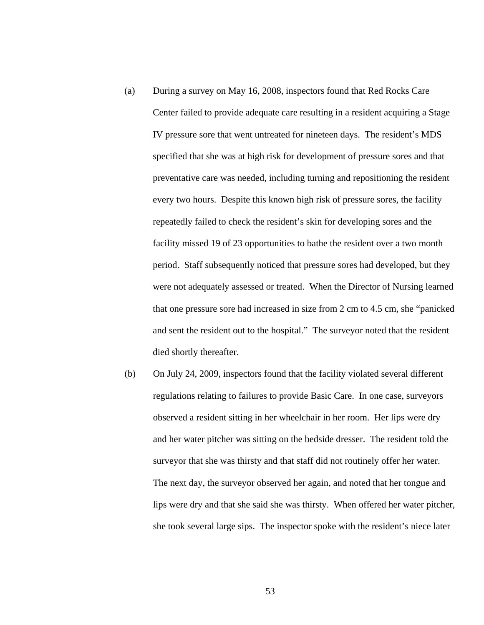- (a) During a survey on May 16, 2008, inspectors found that Red Rocks Care Center failed to provide adequate care resulting in a resident acquiring a Stage IV pressure sore that went untreated for nineteen days. The resident's MDS specified that she was at high risk for development of pressure sores and that preventative care was needed, including turning and repositioning the resident every two hours. Despite this known high risk of pressure sores, the facility repeatedly failed to check the resident's skin for developing sores and the facility missed 19 of 23 opportunities to bathe the resident over a two month period. Staff subsequently noticed that pressure sores had developed, but they were not adequately assessed or treated. When the Director of Nursing learned that one pressure sore had increased in size from 2 cm to 4.5 cm, she "panicked and sent the resident out to the hospital." The surveyor noted that the resident died shortly thereafter.
- (b) On July 24, 2009, inspectors found that the facility violated several different regulations relating to failures to provide Basic Care. In one case, surveyors observed a resident sitting in her wheelchair in her room. Her lips were dry and her water pitcher was sitting on the bedside dresser. The resident told the surveyor that she was thirsty and that staff did not routinely offer her water. The next day, the surveyor observed her again, and noted that her tongue and lips were dry and that she said she was thirsty. When offered her water pitcher, she took several large sips. The inspector spoke with the resident's niece later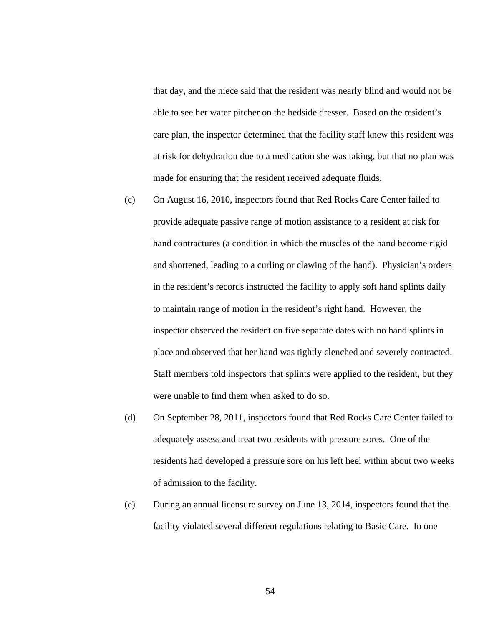that day, and the niece said that the resident was nearly blind and would not be able to see her water pitcher on the bedside dresser. Based on the resident's care plan, the inspector determined that the facility staff knew this resident was at risk for dehydration due to a medication she was taking, but that no plan was made for ensuring that the resident received adequate fluids.

- (c) On August 16, 2010, inspectors found that Red Rocks Care Center failed to provide adequate passive range of motion assistance to a resident at risk for hand contractures (a condition in which the muscles of the hand become rigid and shortened, leading to a curling or clawing of the hand). Physician's orders in the resident's records instructed the facility to apply soft hand splints daily to maintain range of motion in the resident's right hand. However, the inspector observed the resident on five separate dates with no hand splints in place and observed that her hand was tightly clenched and severely contracted. Staff members told inspectors that splints were applied to the resident, but they were unable to find them when asked to do so.
- (d) On September 28, 2011, inspectors found that Red Rocks Care Center failed to adequately assess and treat two residents with pressure sores. One of the residents had developed a pressure sore on his left heel within about two weeks of admission to the facility.
- (e) During an annual licensure survey on June 13, 2014, inspectors found that the facility violated several different regulations relating to Basic Care. In one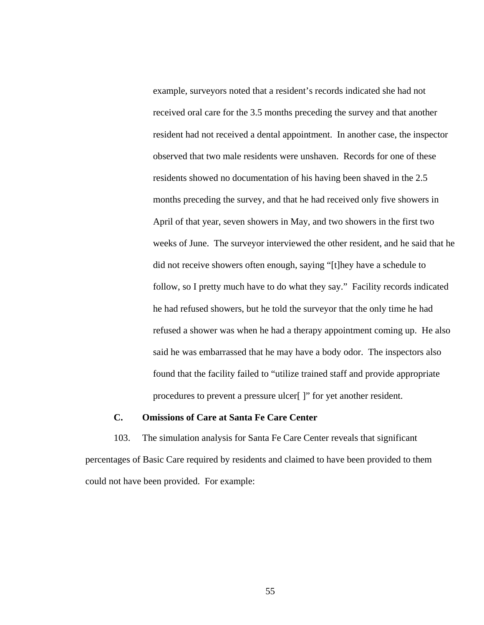example, surveyors noted that a resident's records indicated she had not received oral care for the 3.5 months preceding the survey and that another resident had not received a dental appointment. In another case, the inspector observed that two male residents were unshaven. Records for one of these residents showed no documentation of his having been shaved in the 2.5 months preceding the survey, and that he had received only five showers in April of that year, seven showers in May, and two showers in the first two weeks of June. The surveyor interviewed the other resident, and he said that he did not receive showers often enough, saying "[t]hey have a schedule to follow, so I pretty much have to do what they say." Facility records indicated he had refused showers, but he told the surveyor that the only time he had refused a shower was when he had a therapy appointment coming up. He also said he was embarrassed that he may have a body odor. The inspectors also found that the facility failed to "utilize trained staff and provide appropriate procedures to prevent a pressure ulcer[ ]" for yet another resident.

## **C. Omissions of Care at Santa Fe Care Center**

103. The simulation analysis for Santa Fe Care Center reveals that significant percentages of Basic Care required by residents and claimed to have been provided to them could not have been provided. For example: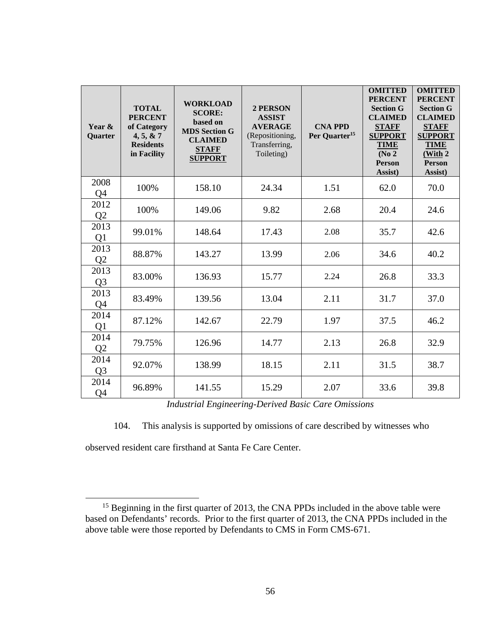| Year &<br><b>Quarter</b> | <b>TOTAL</b><br><b>PERCENT</b><br>of Category<br>4, 5, 8, 7<br><b>Residents</b><br>in Facility | <b>WORKLOAD</b><br><b>SCORE:</b><br>based on<br><b>MDS Section G</b><br><b>CLAIMED</b><br><b>STAFF</b><br><b>SUPPORT</b> | <b>2 PERSON</b><br><b>ASSIST</b><br><b>AVERAGE</b><br>(Repositioning,<br>Transferring,<br>Toileting) | <b>CNA PPD</b><br>Per Quarter <sup>15</sup> | <b>OMITTED</b><br><b>PERCENT</b><br><b>Section G</b><br><b>CLAIMED</b><br><b>STAFF</b><br><b>SUPPORT</b><br><b>TIME</b><br>(No <sub>2</sub> )<br>Person<br>Assist) | <b>OMITTED</b><br><b>PERCENT</b><br><b>Section G</b><br><b>CLAIMED</b><br><b>STAFF</b><br><b>SUPPORT</b><br><b>TIME</b><br>(With 2<br><b>Person</b><br>Assist) |
|--------------------------|------------------------------------------------------------------------------------------------|--------------------------------------------------------------------------------------------------------------------------|------------------------------------------------------------------------------------------------------|---------------------------------------------|--------------------------------------------------------------------------------------------------------------------------------------------------------------------|----------------------------------------------------------------------------------------------------------------------------------------------------------------|
| 2008<br>Q4               | 100%                                                                                           | 158.10                                                                                                                   | 24.34                                                                                                | 1.51                                        | 62.0                                                                                                                                                               | 70.0                                                                                                                                                           |
| 2012<br>Q <sub>2</sub>   | 100%                                                                                           | 149.06                                                                                                                   | 9.82                                                                                                 | 2.68                                        | 20.4                                                                                                                                                               | 24.6                                                                                                                                                           |
| 2013<br>Q <sub>1</sub>   | 99.01%                                                                                         | 148.64                                                                                                                   | 17.43                                                                                                | 2.08                                        | 35.7                                                                                                                                                               | 42.6                                                                                                                                                           |
| 2013<br>Q <sub>2</sub>   | 88.87%                                                                                         | 143.27                                                                                                                   | 13.99                                                                                                | 2.06                                        | 34.6                                                                                                                                                               | 40.2                                                                                                                                                           |
| 2013<br>Q <sub>3</sub>   | 83.00%                                                                                         | 136.93                                                                                                                   | 15.77                                                                                                | 2.24                                        | 26.8                                                                                                                                                               | 33.3                                                                                                                                                           |
| 2013<br>Q4               | 83.49%                                                                                         | 139.56                                                                                                                   | 13.04                                                                                                | 2.11                                        | 31.7                                                                                                                                                               | 37.0                                                                                                                                                           |
| 2014<br>Q <sub>1</sub>   | 87.12%                                                                                         | 142.67                                                                                                                   | 22.79                                                                                                | 1.97                                        | 37.5                                                                                                                                                               | 46.2                                                                                                                                                           |
| 2014<br>Q <sub>2</sub>   | 79.75%                                                                                         | 126.96                                                                                                                   | 14.77                                                                                                | 2.13                                        | 26.8                                                                                                                                                               | 32.9                                                                                                                                                           |
| 2014<br>Q <sub>3</sub>   | 92.07%                                                                                         | 138.99                                                                                                                   | 18.15                                                                                                | 2.11                                        | 31.5                                                                                                                                                               | 38.7                                                                                                                                                           |
| 2014<br>Q4               | 96.89%                                                                                         | 141.55                                                                                                                   | 15.29                                                                                                | 2.07                                        | 33.6                                                                                                                                                               | 39.8                                                                                                                                                           |

*Industrial Engineering-Derived Basic Care Omissions* 

104. This analysis is supported by omissions of care described by witnesses who

observed resident care firsthand at Santa Fe Care Center.

<sup>&</sup>lt;sup>15</sup> Beginning in the first quarter of 2013, the CNA PPDs included in the above table were based on Defendants' records. Prior to the first quarter of 2013, the CNA PPDs included in the above table were those reported by Defendants to CMS in Form CMS-671.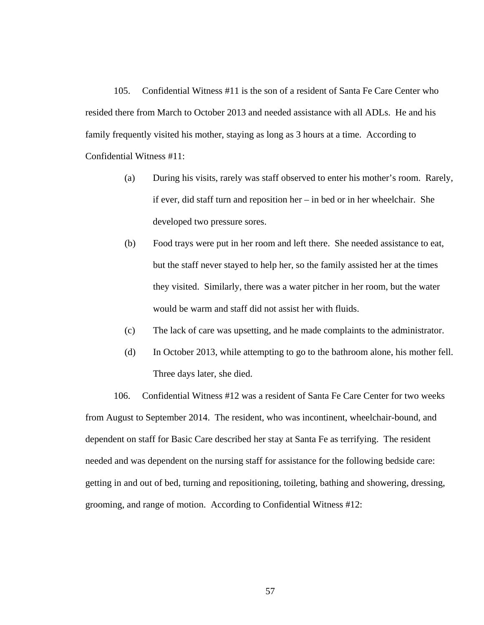105. Confidential Witness #11 is the son of a resident of Santa Fe Care Center who resided there from March to October 2013 and needed assistance with all ADLs. He and his family frequently visited his mother, staying as long as 3 hours at a time. According to Confidential Witness #11:

- (a) During his visits, rarely was staff observed to enter his mother's room. Rarely, if ever, did staff turn and reposition her – in bed or in her wheelchair. She developed two pressure sores.
- (b) Food trays were put in her room and left there. She needed assistance to eat, but the staff never stayed to help her, so the family assisted her at the times they visited. Similarly, there was a water pitcher in her room, but the water would be warm and staff did not assist her with fluids.
- (c) The lack of care was upsetting, and he made complaints to the administrator.
- (d) In October 2013, while attempting to go to the bathroom alone, his mother fell. Three days later, she died.

106. Confidential Witness #12 was a resident of Santa Fe Care Center for two weeks from August to September 2014. The resident, who was incontinent, wheelchair-bound, and dependent on staff for Basic Care described her stay at Santa Fe as terrifying. The resident needed and was dependent on the nursing staff for assistance for the following bedside care: getting in and out of bed, turning and repositioning, toileting, bathing and showering, dressing, grooming, and range of motion. According to Confidential Witness #12: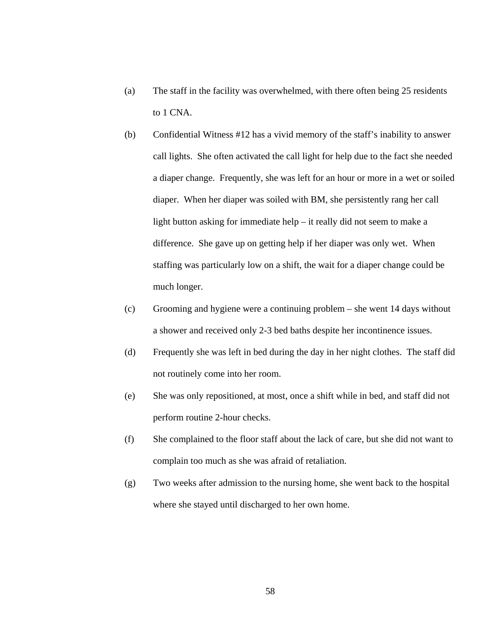- (a) The staff in the facility was overwhelmed, with there often being 25 residents to 1 CNA.
- (b) Confidential Witness #12 has a vivid memory of the staff's inability to answer call lights. She often activated the call light for help due to the fact she needed a diaper change. Frequently, she was left for an hour or more in a wet or soiled diaper. When her diaper was soiled with BM, she persistently rang her call light button asking for immediate help – it really did not seem to make a difference. She gave up on getting help if her diaper was only wet. When staffing was particularly low on a shift, the wait for a diaper change could be much longer.
- (c) Grooming and hygiene were a continuing problem she went 14 days without a shower and received only 2-3 bed baths despite her incontinence issues.
- (d) Frequently she was left in bed during the day in her night clothes. The staff did not routinely come into her room.
- (e) She was only repositioned, at most, once a shift while in bed, and staff did not perform routine 2-hour checks.
- (f) She complained to the floor staff about the lack of care, but she did not want to complain too much as she was afraid of retaliation.
- (g) Two weeks after admission to the nursing home, she went back to the hospital where she stayed until discharged to her own home.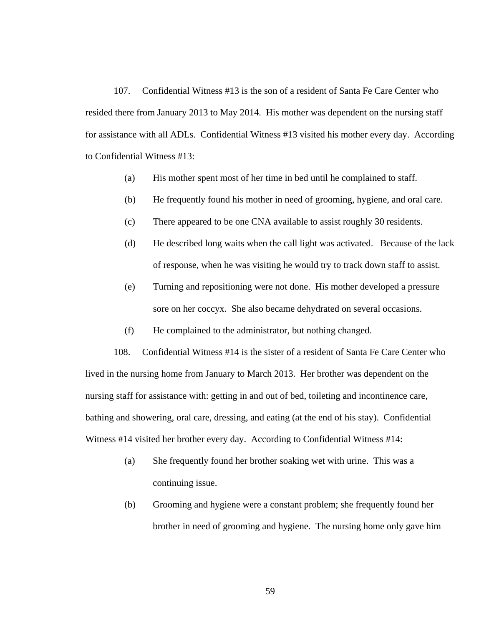107. Confidential Witness #13 is the son of a resident of Santa Fe Care Center who resided there from January 2013 to May 2014. His mother was dependent on the nursing staff for assistance with all ADLs. Confidential Witness #13 visited his mother every day. According to Confidential Witness #13:

- (a) His mother spent most of her time in bed until he complained to staff.
- (b) He frequently found his mother in need of grooming, hygiene, and oral care.
- (c) There appeared to be one CNA available to assist roughly 30 residents.
- (d) He described long waits when the call light was activated. Because of the lack of response, when he was visiting he would try to track down staff to assist.
- (e) Turning and repositioning were not done. His mother developed a pressure sore on her coccyx. She also became dehydrated on several occasions.
- (f) He complained to the administrator, but nothing changed.

108. Confidential Witness #14 is the sister of a resident of Santa Fe Care Center who lived in the nursing home from January to March 2013. Her brother was dependent on the nursing staff for assistance with: getting in and out of bed, toileting and incontinence care, bathing and showering, oral care, dressing, and eating (at the end of his stay). Confidential Witness #14 visited her brother every day. According to Confidential Witness #14:

- (a) She frequently found her brother soaking wet with urine. This was a continuing issue.
- (b) Grooming and hygiene were a constant problem; she frequently found her brother in need of grooming and hygiene. The nursing home only gave him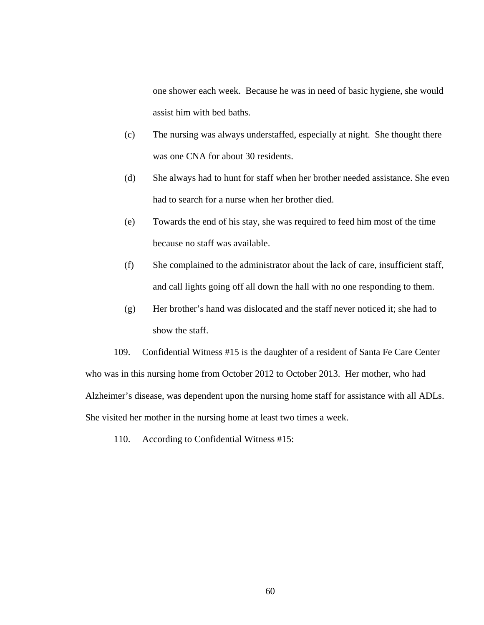one shower each week. Because he was in need of basic hygiene, she would assist him with bed baths.

- (c) The nursing was always understaffed, especially at night. She thought there was one CNA for about 30 residents.
- (d) She always had to hunt for staff when her brother needed assistance. She even had to search for a nurse when her brother died.
- (e) Towards the end of his stay, she was required to feed him most of the time because no staff was available.
- (f) She complained to the administrator about the lack of care, insufficient staff, and call lights going off all down the hall with no one responding to them.
- (g) Her brother's hand was dislocated and the staff never noticed it; she had to show the staff.

109. Confidential Witness #15 is the daughter of a resident of Santa Fe Care Center who was in this nursing home from October 2012 to October 2013. Her mother, who had Alzheimer's disease, was dependent upon the nursing home staff for assistance with all ADLs. She visited her mother in the nursing home at least two times a week.

110. According to Confidential Witness #15: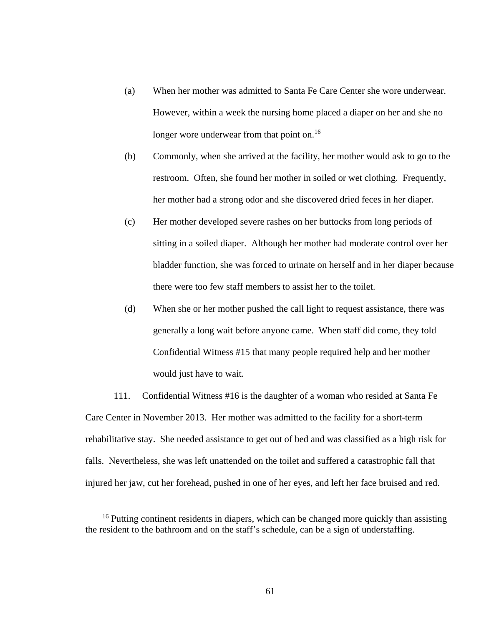- (a) When her mother was admitted to Santa Fe Care Center she wore underwear. However, within a week the nursing home placed a diaper on her and she no longer wore underwear from that point on.<sup>16</sup>
- (b) Commonly, when she arrived at the facility, her mother would ask to go to the restroom. Often, she found her mother in soiled or wet clothing. Frequently, her mother had a strong odor and she discovered dried feces in her diaper.
- (c) Her mother developed severe rashes on her buttocks from long periods of sitting in a soiled diaper. Although her mother had moderate control over her bladder function, she was forced to urinate on herself and in her diaper because there were too few staff members to assist her to the toilet.
- (d) When she or her mother pushed the call light to request assistance, there was generally a long wait before anyone came. When staff did come, they told Confidential Witness #15 that many people required help and her mother would just have to wait.

111. Confidential Witness #16 is the daughter of a woman who resided at Santa Fe Care Center in November 2013. Her mother was admitted to the facility for a short-term rehabilitative stay. She needed assistance to get out of bed and was classified as a high risk for falls. Nevertheless, she was left unattended on the toilet and suffered a catastrophic fall that injured her jaw, cut her forehead, pushed in one of her eyes, and left her face bruised and red.

<sup>&</sup>lt;sup>16</sup> Putting continent residents in diapers, which can be changed more quickly than assisting the resident to the bathroom and on the staff's schedule, can be a sign of understaffing.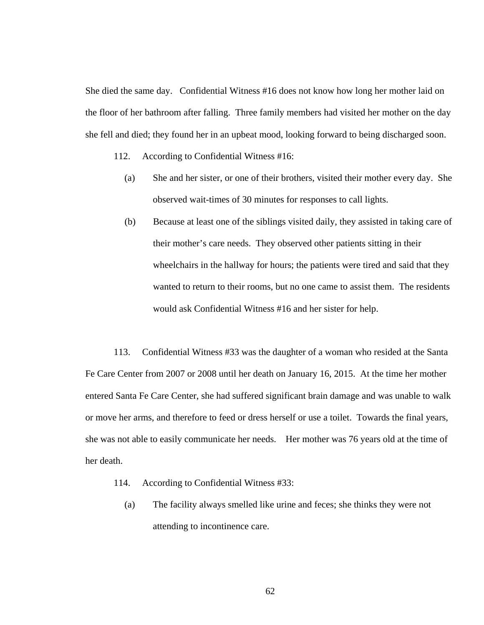She died the same day. Confidential Witness #16 does not know how long her mother laid on the floor of her bathroom after falling. Three family members had visited her mother on the day she fell and died; they found her in an upbeat mood, looking forward to being discharged soon.

- 112. According to Confidential Witness #16:
	- (a) She and her sister, or one of their brothers, visited their mother every day. She observed wait-times of 30 minutes for responses to call lights.
	- (b) Because at least one of the siblings visited daily, they assisted in taking care of their mother's care needs. They observed other patients sitting in their wheelchairs in the hallway for hours; the patients were tired and said that they wanted to return to their rooms, but no one came to assist them. The residents would ask Confidential Witness #16 and her sister for help.

113. Confidential Witness #33 was the daughter of a woman who resided at the Santa Fe Care Center from 2007 or 2008 until her death on January 16, 2015. At the time her mother entered Santa Fe Care Center, she had suffered significant brain damage and was unable to walk or move her arms, and therefore to feed or dress herself or use a toilet. Towards the final years, she was not able to easily communicate her needs. Her mother was 76 years old at the time of her death.

- 114. According to Confidential Witness #33:
	- (a) The facility always smelled like urine and feces; she thinks they were not attending to incontinence care.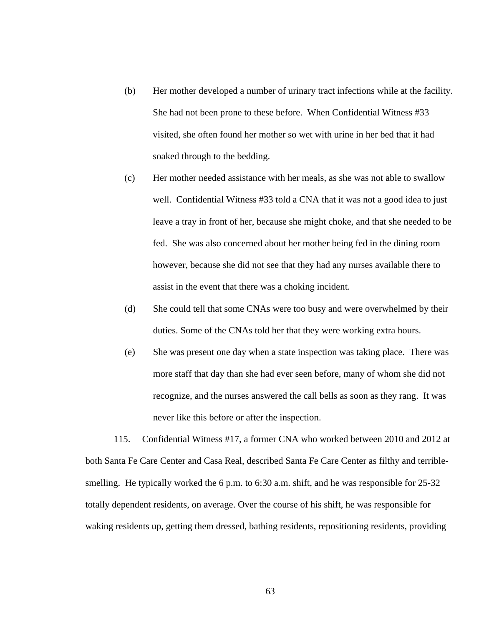- (b) Her mother developed a number of urinary tract infections while at the facility. She had not been prone to these before. When Confidential Witness #33 visited, she often found her mother so wet with urine in her bed that it had soaked through to the bedding.
- (c) Her mother needed assistance with her meals, as she was not able to swallow well. Confidential Witness #33 told a CNA that it was not a good idea to just leave a tray in front of her, because she might choke, and that she needed to be fed. She was also concerned about her mother being fed in the dining room however, because she did not see that they had any nurses available there to assist in the event that there was a choking incident.
- (d) She could tell that some CNAs were too busy and were overwhelmed by their duties. Some of the CNAs told her that they were working extra hours.
- (e) She was present one day when a state inspection was taking place. There was more staff that day than she had ever seen before, many of whom she did not recognize, and the nurses answered the call bells as soon as they rang. It was never like this before or after the inspection.

115. Confidential Witness #17, a former CNA who worked between 2010 and 2012 at both Santa Fe Care Center and Casa Real, described Santa Fe Care Center as filthy and terriblesmelling. He typically worked the 6 p.m. to 6:30 a.m. shift, and he was responsible for 25-32 totally dependent residents, on average. Over the course of his shift, he was responsible for waking residents up, getting them dressed, bathing residents, repositioning residents, providing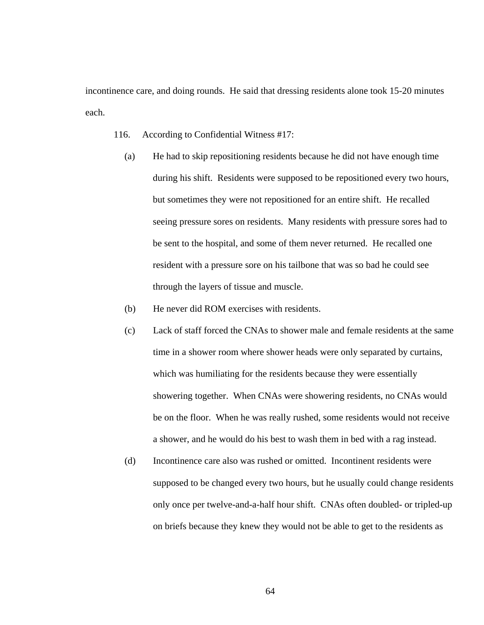incontinence care, and doing rounds. He said that dressing residents alone took 15-20 minutes each.

- 116. According to Confidential Witness #17:
	- (a) He had to skip repositioning residents because he did not have enough time during his shift. Residents were supposed to be repositioned every two hours, but sometimes they were not repositioned for an entire shift. He recalled seeing pressure sores on residents. Many residents with pressure sores had to be sent to the hospital, and some of them never returned. He recalled one resident with a pressure sore on his tailbone that was so bad he could see through the layers of tissue and muscle.
	- (b) He never did ROM exercises with residents.
	- (c) Lack of staff forced the CNAs to shower male and female residents at the same time in a shower room where shower heads were only separated by curtains, which was humiliating for the residents because they were essentially showering together. When CNAs were showering residents, no CNAs would be on the floor. When he was really rushed, some residents would not receive a shower, and he would do his best to wash them in bed with a rag instead.
	- (d) Incontinence care also was rushed or omitted. Incontinent residents were supposed to be changed every two hours, but he usually could change residents only once per twelve-and-a-half hour shift. CNAs often doubled- or tripled-up on briefs because they knew they would not be able to get to the residents as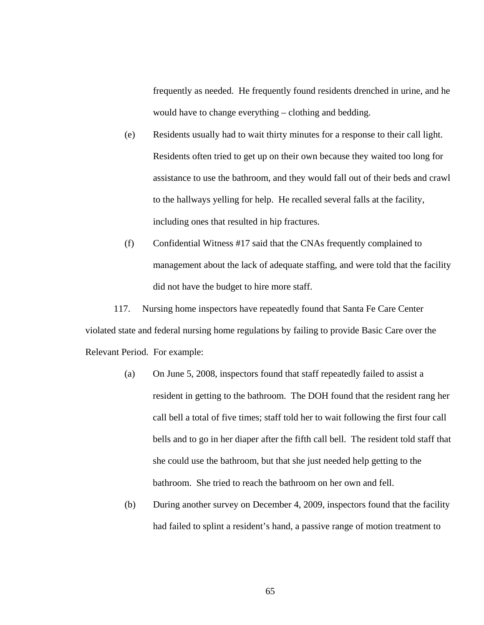frequently as needed. He frequently found residents drenched in urine, and he would have to change everything – clothing and bedding.

- (e) Residents usually had to wait thirty minutes for a response to their call light. Residents often tried to get up on their own because they waited too long for assistance to use the bathroom, and they would fall out of their beds and crawl to the hallways yelling for help. He recalled several falls at the facility, including ones that resulted in hip fractures.
- (f) Confidential Witness #17 said that the CNAs frequently complained to management about the lack of adequate staffing, and were told that the facility did not have the budget to hire more staff.

117. Nursing home inspectors have repeatedly found that Santa Fe Care Center violated state and federal nursing home regulations by failing to provide Basic Care over the Relevant Period. For example:

- (a) On June 5, 2008, inspectors found that staff repeatedly failed to assist a resident in getting to the bathroom. The DOH found that the resident rang her call bell a total of five times; staff told her to wait following the first four call bells and to go in her diaper after the fifth call bell. The resident told staff that she could use the bathroom, but that she just needed help getting to the bathroom. She tried to reach the bathroom on her own and fell.
- (b) During another survey on December 4, 2009, inspectors found that the facility had failed to splint a resident's hand, a passive range of motion treatment to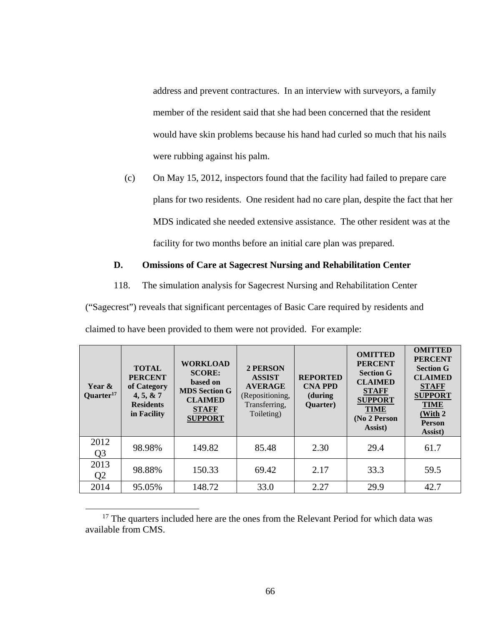address and prevent contractures. In an interview with surveyors, a family member of the resident said that she had been concerned that the resident would have skin problems because his hand had curled so much that his nails were rubbing against his palm.

(c) On May 15, 2012, inspectors found that the facility had failed to prepare care plans for two residents. One resident had no care plan, despite the fact that her MDS indicated she needed extensive assistance. The other resident was at the facility for two months before an initial care plan was prepared.

## **D. Omissions of Care at Sagecrest Nursing and Rehabilitation Center**

118. The simulation analysis for Sagecrest Nursing and Rehabilitation Center

("Sagecrest") reveals that significant percentages of Basic Care required by residents and claimed to have been provided to them were not provided. For example:

| Year &<br>Quarter <sup>17</sup> | <b>TOTAL</b><br><b>PERCENT</b><br>of Category<br>4, 5, 8, 7<br><b>Residents</b><br>in Facility | <b>WORKLOAD</b><br><b>SCORE:</b><br>based on<br><b>MDS</b> Section G<br><b>CLAIMED</b><br><b>STAFF</b><br><b>SUPPORT</b> | <b>2 PERSON</b><br><b>ASSIST</b><br><b>AVERAGE</b><br>(Repositioning,<br>Transferring,<br>Toileting) | <b>REPORTED</b><br><b>CNA PPD</b><br>(during)<br>Quarter) | <b>OMITTED</b><br><b>PERCENT</b><br><b>Section G</b><br><b>CLAIMED</b><br><b>STAFF</b><br><b>SUPPORT</b><br><b>TIME</b><br>(No 2 Person<br>Assist) | <b>OMITTED</b><br><b>PERCENT</b><br><b>Section G</b><br><b>CLAIMED</b><br><b>STAFF</b><br><b>SUPPORT</b><br><b>TIME</b><br>(With 2<br><b>Person</b><br>Assist) |
|---------------------------------|------------------------------------------------------------------------------------------------|--------------------------------------------------------------------------------------------------------------------------|------------------------------------------------------------------------------------------------------|-----------------------------------------------------------|----------------------------------------------------------------------------------------------------------------------------------------------------|----------------------------------------------------------------------------------------------------------------------------------------------------------------|
| 2012<br>Q <sub>3</sub>          | 98.98%                                                                                         | 149.82                                                                                                                   | 85.48                                                                                                | 2.30                                                      | 29.4                                                                                                                                               | 61.7                                                                                                                                                           |
| 2013<br>Q <sub>2</sub>          | 98.88%                                                                                         | 150.33                                                                                                                   | 69.42                                                                                                | 2.17                                                      | 33.3                                                                                                                                               | 59.5                                                                                                                                                           |
| 2014                            | 95.05%                                                                                         | 148.72                                                                                                                   | 33.0                                                                                                 | 2.27                                                      | 29.9                                                                                                                                               | 42.7                                                                                                                                                           |

<sup>&</sup>lt;sup>17</sup> The quarters included here are the ones from the Relevant Period for which data was available from CMS.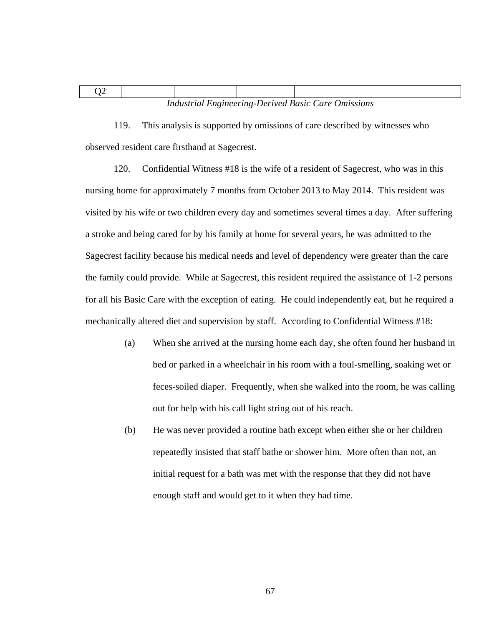| <b>Industrial Engineering-Derived Basic Care Omissions</b> |  |  |  |  |  |  |  |
|------------------------------------------------------------|--|--|--|--|--|--|--|

119. This analysis is supported by omissions of care described by witnesses who observed resident care firsthand at Sagecrest.

120. Confidential Witness #18 is the wife of a resident of Sagecrest, who was in this nursing home for approximately 7 months from October 2013 to May 2014. This resident was visited by his wife or two children every day and sometimes several times a day. After suffering a stroke and being cared for by his family at home for several years, he was admitted to the Sagecrest facility because his medical needs and level of dependency were greater than the care the family could provide. While at Sagecrest, this resident required the assistance of 1-2 persons for all his Basic Care with the exception of eating. He could independently eat, but he required a mechanically altered diet and supervision by staff. According to Confidential Witness #18:

- (a) When she arrived at the nursing home each day, she often found her husband in bed or parked in a wheelchair in his room with a foul-smelling, soaking wet or feces-soiled diaper. Frequently, when she walked into the room, he was calling out for help with his call light string out of his reach.
- (b) He was never provided a routine bath except when either she or her children repeatedly insisted that staff bathe or shower him. More often than not, an initial request for a bath was met with the response that they did not have enough staff and would get to it when they had time.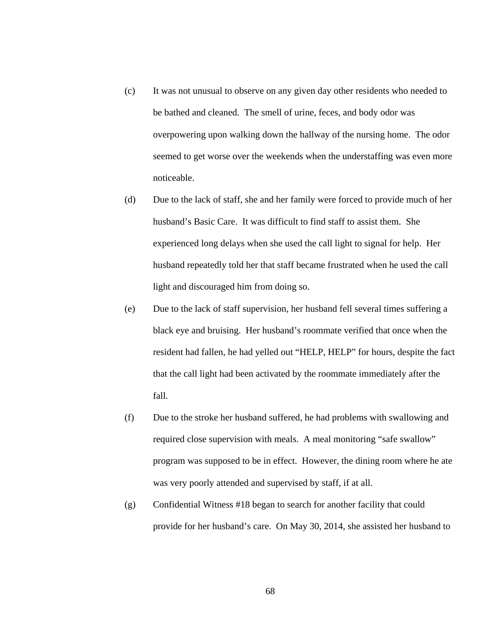- (c) It was not unusual to observe on any given day other residents who needed to be bathed and cleaned. The smell of urine, feces, and body odor was overpowering upon walking down the hallway of the nursing home. The odor seemed to get worse over the weekends when the understaffing was even more noticeable.
- (d) Due to the lack of staff, she and her family were forced to provide much of her husband's Basic Care. It was difficult to find staff to assist them. She experienced long delays when she used the call light to signal for help. Her husband repeatedly told her that staff became frustrated when he used the call light and discouraged him from doing so.
- (e) Due to the lack of staff supervision, her husband fell several times suffering a black eye and bruising. Her husband's roommate verified that once when the resident had fallen, he had yelled out "HELP, HELP" for hours, despite the fact that the call light had been activated by the roommate immediately after the fall.
- (f) Due to the stroke her husband suffered, he had problems with swallowing and required close supervision with meals. A meal monitoring "safe swallow" program was supposed to be in effect. However, the dining room where he ate was very poorly attended and supervised by staff, if at all.
- (g) Confidential Witness #18 began to search for another facility that could provide for her husband's care. On May 30, 2014, she assisted her husband to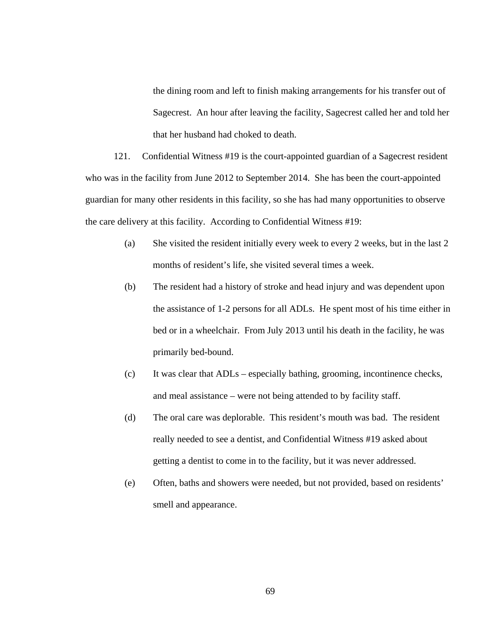the dining room and left to finish making arrangements for his transfer out of Sagecrest. An hour after leaving the facility, Sagecrest called her and told her that her husband had choked to death.

121. Confidential Witness #19 is the court-appointed guardian of a Sagecrest resident who was in the facility from June 2012 to September 2014. She has been the court-appointed guardian for many other residents in this facility, so she has had many opportunities to observe the care delivery at this facility. According to Confidential Witness #19:

- (a) She visited the resident initially every week to every 2 weeks, but in the last 2 months of resident's life, she visited several times a week.
- (b) The resident had a history of stroke and head injury and was dependent upon the assistance of 1-2 persons for all ADLs. He spent most of his time either in bed or in a wheelchair. From July 2013 until his death in the facility, he was primarily bed-bound.
- (c) It was clear that ADLs especially bathing, grooming, incontinence checks, and meal assistance – were not being attended to by facility staff.
- (d) The oral care was deplorable. This resident's mouth was bad. The resident really needed to see a dentist, and Confidential Witness #19 asked about getting a dentist to come in to the facility, but it was never addressed.
- (e) Often, baths and showers were needed, but not provided, based on residents' smell and appearance.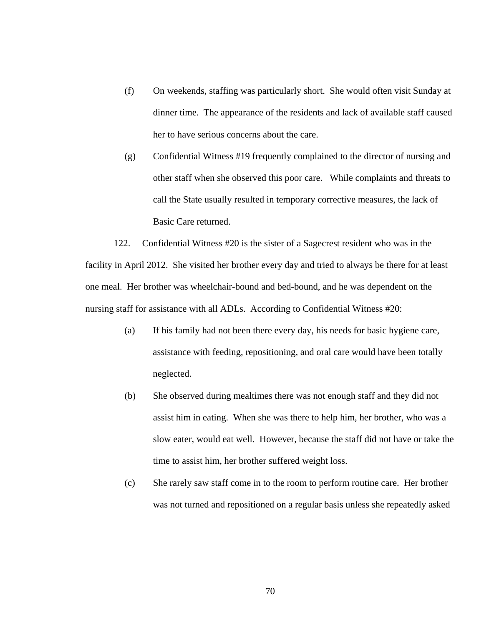- (f) On weekends, staffing was particularly short. She would often visit Sunday at dinner time. The appearance of the residents and lack of available staff caused her to have serious concerns about the care.
- (g) Confidential Witness #19 frequently complained to the director of nursing and other staff when she observed this poor care. While complaints and threats to call the State usually resulted in temporary corrective measures, the lack of Basic Care returned.

122. Confidential Witness #20 is the sister of a Sagecrest resident who was in the facility in April 2012. She visited her brother every day and tried to always be there for at least one meal. Her brother was wheelchair-bound and bed-bound, and he was dependent on the nursing staff for assistance with all ADLs. According to Confidential Witness #20:

- (a) If his family had not been there every day, his needs for basic hygiene care, assistance with feeding, repositioning, and oral care would have been totally neglected.
- (b) She observed during mealtimes there was not enough staff and they did not assist him in eating. When she was there to help him, her brother, who was a slow eater, would eat well. However, because the staff did not have or take the time to assist him, her brother suffered weight loss.
- (c) She rarely saw staff come in to the room to perform routine care. Her brother was not turned and repositioned on a regular basis unless she repeatedly asked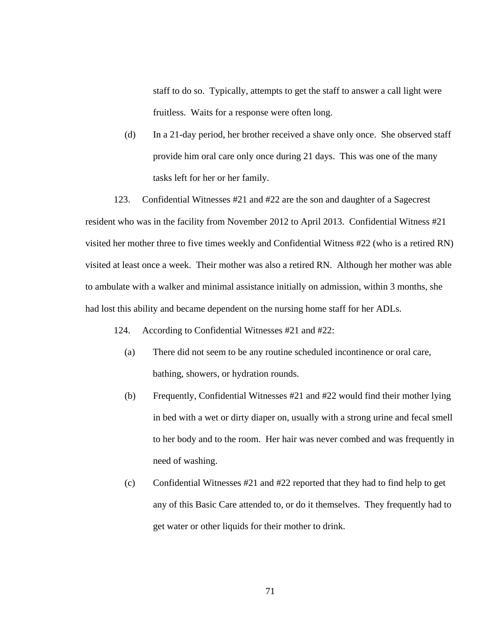staff to do so. Typically, attempts to get the staff to answer a call light were fruitless. Waits for a response were often long.

(d) In a 21-day period, her brother received a shave only once. She observed staff provide him oral care only once during 21 days. This was one of the many tasks left for her or her family.

123. Confidential Witnesses #21 and #22 are the son and daughter of a Sagecrest resident who was in the facility from November 2012 to April 2013. Confidential Witness #21 visited her mother three to five times weekly and Confidential Witness #22 (who is a retired RN) visited at least once a week. Their mother was also a retired RN. Although her mother was able to ambulate with a walker and minimal assistance initially on admission, within 3 months, she had lost this ability and became dependent on the nursing home staff for her ADLs.

- 124. According to Confidential Witnesses #21 and #22:
	- (a) There did not seem to be any routine scheduled incontinence or oral care, bathing, showers, or hydration rounds.
	- (b) Frequently, Confidential Witnesses #21 and #22 would find their mother lying in bed with a wet or dirty diaper on, usually with a strong urine and fecal smell to her body and to the room. Her hair was never combed and was frequently in need of washing.
	- (c) Confidential Witnesses  $\#21$  and  $\#22$  reported that they had to find help to get any of this Basic Care attended to, or do it themselves. They frequently had to get water or other liquids for their mother to drink.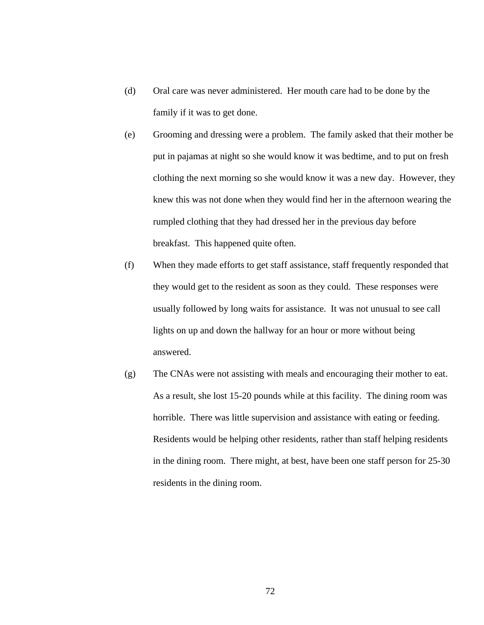- (d) Oral care was never administered. Her mouth care had to be done by the family if it was to get done.
- (e) Grooming and dressing were a problem. The family asked that their mother be put in pajamas at night so she would know it was bedtime, and to put on fresh clothing the next morning so she would know it was a new day. However, they knew this was not done when they would find her in the afternoon wearing the rumpled clothing that they had dressed her in the previous day before breakfast. This happened quite often.
- (f) When they made efforts to get staff assistance, staff frequently responded that they would get to the resident as soon as they could. These responses were usually followed by long waits for assistance. It was not unusual to see call lights on up and down the hallway for an hour or more without being answered.
- (g) The CNAs were not assisting with meals and encouraging their mother to eat. As a result, she lost 15-20 pounds while at this facility. The dining room was horrible. There was little supervision and assistance with eating or feeding. Residents would be helping other residents, rather than staff helping residents in the dining room. There might, at best, have been one staff person for 25-30 residents in the dining room.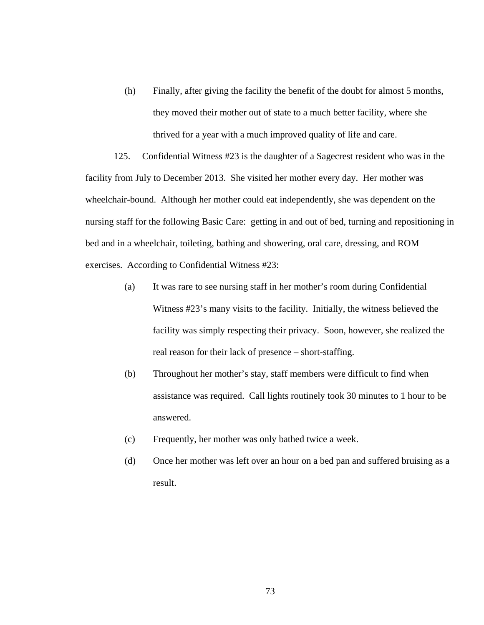(h) Finally, after giving the facility the benefit of the doubt for almost 5 months, they moved their mother out of state to a much better facility, where she thrived for a year with a much improved quality of life and care.

125. Confidential Witness #23 is the daughter of a Sagecrest resident who was in the facility from July to December 2013. She visited her mother every day. Her mother was wheelchair-bound. Although her mother could eat independently, she was dependent on the nursing staff for the following Basic Care: getting in and out of bed, turning and repositioning in bed and in a wheelchair, toileting, bathing and showering, oral care, dressing, and ROM exercises. According to Confidential Witness #23:

- (a) It was rare to see nursing staff in her mother's room during Confidential Witness #23's many visits to the facility. Initially, the witness believed the facility was simply respecting their privacy. Soon, however, she realized the real reason for their lack of presence – short-staffing.
- (b) Throughout her mother's stay, staff members were difficult to find when assistance was required. Call lights routinely took 30 minutes to 1 hour to be answered.
- (c) Frequently, her mother was only bathed twice a week.
- (d) Once her mother was left over an hour on a bed pan and suffered bruising as a result.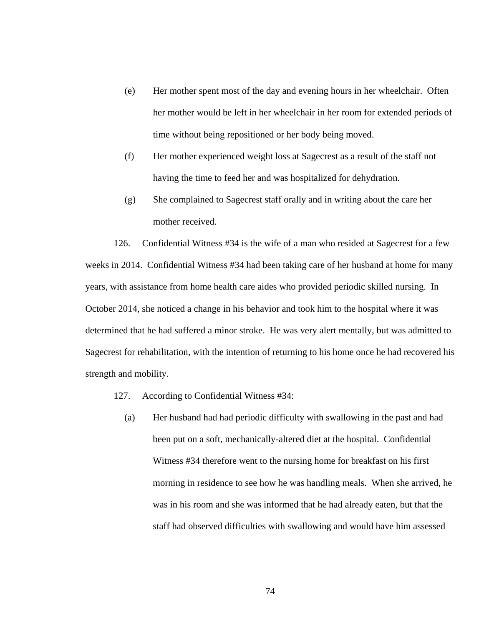- (e) Her mother spent most of the day and evening hours in her wheelchair. Often her mother would be left in her wheelchair in her room for extended periods of time without being repositioned or her body being moved.
- (f) Her mother experienced weight loss at Sagecrest as a result of the staff not having the time to feed her and was hospitalized for dehydration.
- (g) She complained to Sagecrest staff orally and in writing about the care her mother received.

126. Confidential Witness #34 is the wife of a man who resided at Sagecrest for a few weeks in 2014. Confidential Witness #34 had been taking care of her husband at home for many years, with assistance from home health care aides who provided periodic skilled nursing. In October 2014, she noticed a change in his behavior and took him to the hospital where it was determined that he had suffered a minor stroke. He was very alert mentally, but was admitted to Sagecrest for rehabilitation, with the intention of returning to his home once he had recovered his strength and mobility.

- 127. According to Confidential Witness #34:
	- (a) Her husband had had periodic difficulty with swallowing in the past and had been put on a soft, mechanically-altered diet at the hospital. Confidential Witness #34 therefore went to the nursing home for breakfast on his first morning in residence to see how he was handling meals. When she arrived, he was in his room and she was informed that he had already eaten, but that the staff had observed difficulties with swallowing and would have him assessed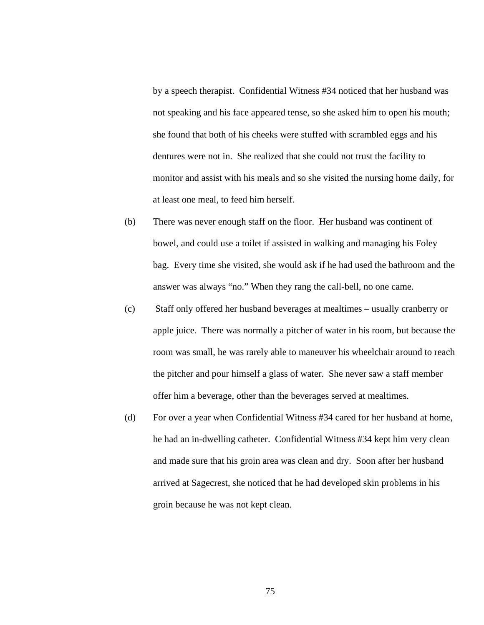by a speech therapist. Confidential Witness #34 noticed that her husband was not speaking and his face appeared tense, so she asked him to open his mouth; she found that both of his cheeks were stuffed with scrambled eggs and his dentures were not in. She realized that she could not trust the facility to monitor and assist with his meals and so she visited the nursing home daily, for at least one meal, to feed him herself.

- (b) There was never enough staff on the floor. Her husband was continent of bowel, and could use a toilet if assisted in walking and managing his Foley bag. Every time she visited, she would ask if he had used the bathroom and the answer was always "no." When they rang the call-bell, no one came.
- (c) Staff only offered her husband beverages at mealtimes usually cranberry or apple juice. There was normally a pitcher of water in his room, but because the room was small, he was rarely able to maneuver his wheelchair around to reach the pitcher and pour himself a glass of water. She never saw a staff member offer him a beverage, other than the beverages served at mealtimes.
- (d) For over a year when Confidential Witness #34 cared for her husband at home, he had an in-dwelling catheter. Confidential Witness #34 kept him very clean and made sure that his groin area was clean and dry. Soon after her husband arrived at Sagecrest, she noticed that he had developed skin problems in his groin because he was not kept clean.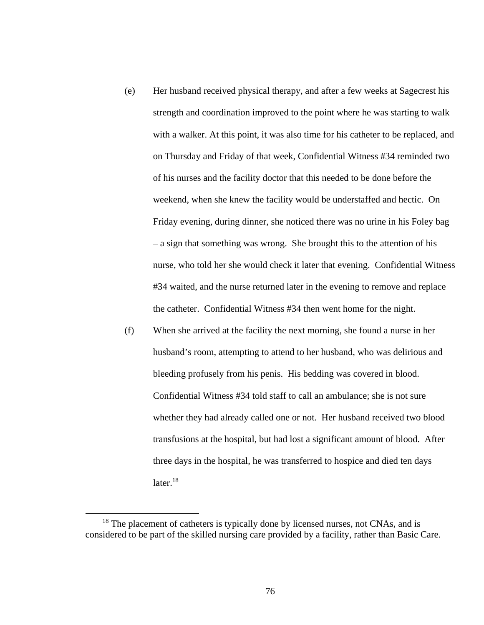- (e) Her husband received physical therapy, and after a few weeks at Sagecrest his strength and coordination improved to the point where he was starting to walk with a walker. At this point, it was also time for his catheter to be replaced, and on Thursday and Friday of that week, Confidential Witness #34 reminded two of his nurses and the facility doctor that this needed to be done before the weekend, when she knew the facility would be understaffed and hectic. On Friday evening, during dinner, she noticed there was no urine in his Foley bag – a sign that something was wrong. She brought this to the attention of his nurse, who told her she would check it later that evening. Confidential Witness #34 waited, and the nurse returned later in the evening to remove and replace the catheter. Confidential Witness #34 then went home for the night.
- (f) When she arrived at the facility the next morning, she found a nurse in her husband's room, attempting to attend to her husband, who was delirious and bleeding profusely from his penis. His bedding was covered in blood. Confidential Witness #34 told staff to call an ambulance; she is not sure whether they had already called one or not. Her husband received two blood transfusions at the hospital, but had lost a significant amount of blood. After three days in the hospital, he was transferred to hospice and died ten days  $later<sup>18</sup>$

 $18$  The placement of catheters is typically done by licensed nurses, not CNAs, and is considered to be part of the skilled nursing care provided by a facility, rather than Basic Care.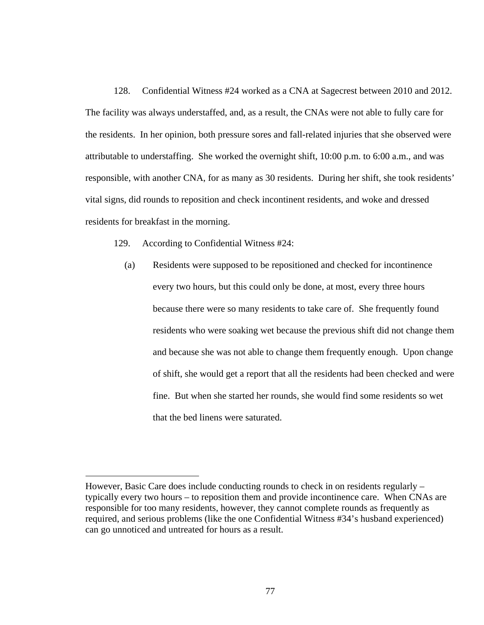128. Confidential Witness #24 worked as a CNA at Sagecrest between 2010 and 2012. The facility was always understaffed, and, as a result, the CNAs were not able to fully care for the residents. In her opinion, both pressure sores and fall-related injuries that she observed were attributable to understaffing. She worked the overnight shift, 10:00 p.m. to 6:00 a.m., and was responsible, with another CNA, for as many as 30 residents. During her shift, she took residents' vital signs, did rounds to reposition and check incontinent residents, and woke and dressed residents for breakfast in the morning.

129. According to Confidential Witness #24:

 $\overline{a}$ 

(a) Residents were supposed to be repositioned and checked for incontinence every two hours, but this could only be done, at most, every three hours because there were so many residents to take care of. She frequently found residents who were soaking wet because the previous shift did not change them and because she was not able to change them frequently enough. Upon change of shift, she would get a report that all the residents had been checked and were fine. But when she started her rounds, she would find some residents so wet that the bed linens were saturated.

However, Basic Care does include conducting rounds to check in on residents regularly – typically every two hours – to reposition them and provide incontinence care. When CNAs are responsible for too many residents, however, they cannot complete rounds as frequently as required, and serious problems (like the one Confidential Witness #34's husband experienced) can go unnoticed and untreated for hours as a result.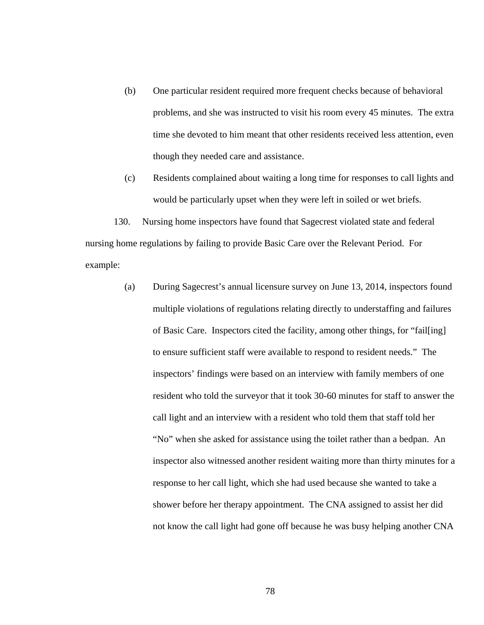- (b) One particular resident required more frequent checks because of behavioral problems, and she was instructed to visit his room every 45 minutes. The extra time she devoted to him meant that other residents received less attention, even though they needed care and assistance.
- (c) Residents complained about waiting a long time for responses to call lights and would be particularly upset when they were left in soiled or wet briefs.

130. Nursing home inspectors have found that Sagecrest violated state and federal nursing home regulations by failing to provide Basic Care over the Relevant Period. For example:

> (a) During Sagecrest's annual licensure survey on June 13, 2014, inspectors found multiple violations of regulations relating directly to understaffing and failures of Basic Care. Inspectors cited the facility, among other things, for "fail[ing] to ensure sufficient staff were available to respond to resident needs." The inspectors' findings were based on an interview with family members of one resident who told the surveyor that it took 30-60 minutes for staff to answer the call light and an interview with a resident who told them that staff told her "No" when she asked for assistance using the toilet rather than a bedpan. An inspector also witnessed another resident waiting more than thirty minutes for a response to her call light, which she had used because she wanted to take a shower before her therapy appointment. The CNA assigned to assist her did not know the call light had gone off because he was busy helping another CNA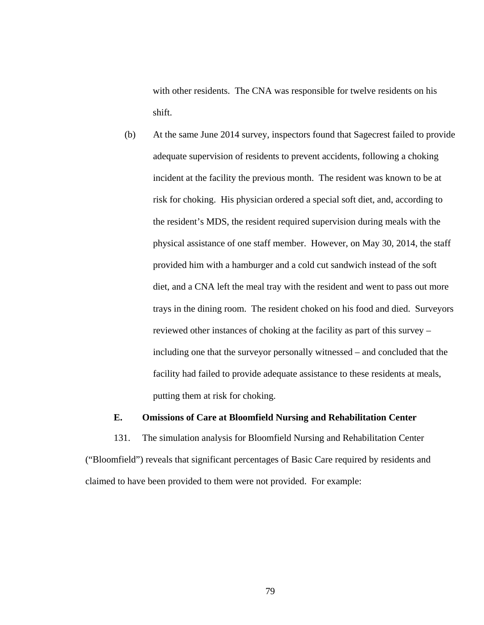with other residents. The CNA was responsible for twelve residents on his shift.

(b) At the same June 2014 survey, inspectors found that Sagecrest failed to provide adequate supervision of residents to prevent accidents, following a choking incident at the facility the previous month. The resident was known to be at risk for choking. His physician ordered a special soft diet, and, according to the resident's MDS, the resident required supervision during meals with the physical assistance of one staff member. However, on May 30, 2014, the staff provided him with a hamburger and a cold cut sandwich instead of the soft diet, and a CNA left the meal tray with the resident and went to pass out more trays in the dining room. The resident choked on his food and died. Surveyors reviewed other instances of choking at the facility as part of this survey – including one that the surveyor personally witnessed – and concluded that the facility had failed to provide adequate assistance to these residents at meals, putting them at risk for choking.

### **E. Omissions of Care at Bloomfield Nursing and Rehabilitation Center**

131. The simulation analysis for Bloomfield Nursing and Rehabilitation Center ("Bloomfield") reveals that significant percentages of Basic Care required by residents and claimed to have been provided to them were not provided. For example: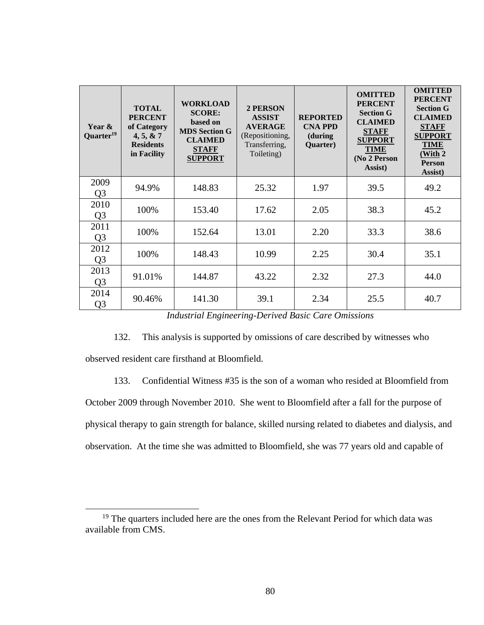| Year &<br>Quarter <sup>19</sup> | <b>TOTAL</b><br><b>PERCENT</b><br>of Category<br>4, 5, 8, 7<br><b>Residents</b><br>in Facility | <b>WORKLOAD</b><br><b>SCORE:</b><br>based on<br><b>MDS Section G</b><br><b>CLAIMED</b><br><b>STAFF</b><br><b>SUPPORT</b> | <b>2 PERSON</b><br><b>ASSIST</b><br><b>AVERAGE</b><br>(Repositioning,<br>Transferring,<br>Toileting) | <b>REPORTED</b><br><b>CNA PPD</b><br>(during)<br>Quarter) | <b>OMITTED</b><br><b>PERCENT</b><br><b>Section G</b><br><b>CLAIMED</b><br><b>STAFF</b><br><b>SUPPORT</b><br><b>TIME</b><br>(No 2 Person<br>Assist) | <b>OMITTED</b><br><b>PERCENT</b><br><b>Section G</b><br><b>CLAIMED</b><br><b>STAFF</b><br><b>SUPPORT</b><br><b>TIME</b><br>(With 2)<br><b>Person</b><br>Assist) |
|---------------------------------|------------------------------------------------------------------------------------------------|--------------------------------------------------------------------------------------------------------------------------|------------------------------------------------------------------------------------------------------|-----------------------------------------------------------|----------------------------------------------------------------------------------------------------------------------------------------------------|-----------------------------------------------------------------------------------------------------------------------------------------------------------------|
| 2009<br>Q <sub>3</sub>          | 94.9%                                                                                          | 148.83                                                                                                                   | 25.32                                                                                                | 1.97                                                      | 39.5                                                                                                                                               | 49.2                                                                                                                                                            |
| 2010<br>Q <sub>3</sub>          | 100%                                                                                           | 153.40                                                                                                                   | 17.62                                                                                                | 2.05                                                      | 38.3                                                                                                                                               | 45.2                                                                                                                                                            |
| 2011<br>Q <sub>3</sub>          | 100%                                                                                           | 152.64                                                                                                                   | 13.01                                                                                                | 2.20                                                      | 33.3                                                                                                                                               | 38.6                                                                                                                                                            |
| 2012<br>Q <sub>3</sub>          | 100%                                                                                           | 148.43                                                                                                                   | 10.99                                                                                                | 2.25                                                      | 30.4                                                                                                                                               | 35.1                                                                                                                                                            |
| 2013<br>Q <sub>3</sub>          | 91.01%                                                                                         | 144.87                                                                                                                   | 43.22                                                                                                | 2.32                                                      | 27.3                                                                                                                                               | 44.0                                                                                                                                                            |
| 2014<br>Q <sub>3</sub>          | 90.46%                                                                                         | 141.30                                                                                                                   | 39.1                                                                                                 | 2.34                                                      | 25.5                                                                                                                                               | 40.7                                                                                                                                                            |

*Industrial Engineering-Derived Basic Care Omissions* 

132. This analysis is supported by omissions of care described by witnesses who observed resident care firsthand at Bloomfield.

133. Confidential Witness #35 is the son of a woman who resided at Bloomfield from

October 2009 through November 2010. She went to Bloomfield after a fall for the purpose of physical therapy to gain strength for balance, skilled nursing related to diabetes and dialysis, and observation. At the time she was admitted to Bloomfield, she was 77 years old and capable of

<sup>&</sup>lt;sup>19</sup> The quarters included here are the ones from the Relevant Period for which data was available from CMS.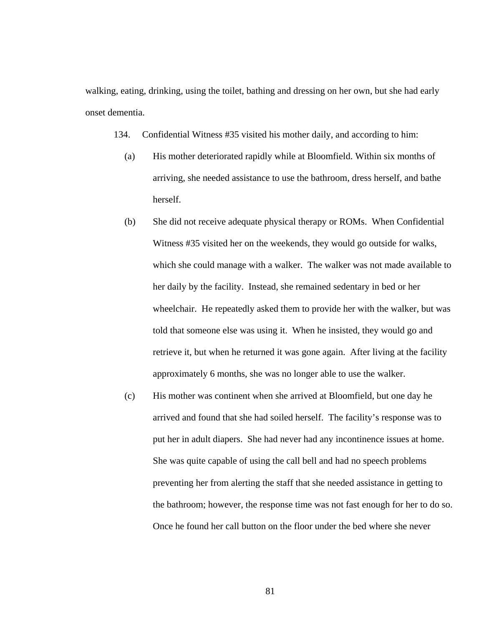walking, eating, drinking, using the toilet, bathing and dressing on her own, but she had early onset dementia.

134. Confidential Witness #35 visited his mother daily, and according to him:

- (a) His mother deteriorated rapidly while at Bloomfield. Within six months of arriving, she needed assistance to use the bathroom, dress herself, and bathe herself.
- (b) She did not receive adequate physical therapy or ROMs. When Confidential Witness #35 visited her on the weekends, they would go outside for walks, which she could manage with a walker. The walker was not made available to her daily by the facility. Instead, she remained sedentary in bed or her wheelchair. He repeatedly asked them to provide her with the walker, but was told that someone else was using it. When he insisted, they would go and retrieve it, but when he returned it was gone again. After living at the facility approximately 6 months, she was no longer able to use the walker.
- (c) His mother was continent when she arrived at Bloomfield, but one day he arrived and found that she had soiled herself. The facility's response was to put her in adult diapers. She had never had any incontinence issues at home. She was quite capable of using the call bell and had no speech problems preventing her from alerting the staff that she needed assistance in getting to the bathroom; however, the response time was not fast enough for her to do so. Once he found her call button on the floor under the bed where she never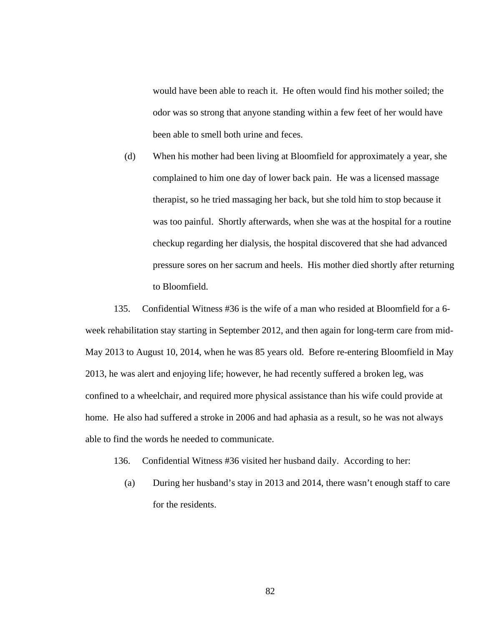would have been able to reach it. He often would find his mother soiled; the odor was so strong that anyone standing within a few feet of her would have been able to smell both urine and feces.

(d) When his mother had been living at Bloomfield for approximately a year, she complained to him one day of lower back pain. He was a licensed massage therapist, so he tried massaging her back, but she told him to stop because it was too painful. Shortly afterwards, when she was at the hospital for a routine checkup regarding her dialysis, the hospital discovered that she had advanced pressure sores on her sacrum and heels. His mother died shortly after returning to Bloomfield.

135. Confidential Witness #36 is the wife of a man who resided at Bloomfield for a 6 week rehabilitation stay starting in September 2012, and then again for long-term care from mid-May 2013 to August 10, 2014, when he was 85 years old. Before re-entering Bloomfield in May 2013, he was alert and enjoying life; however, he had recently suffered a broken leg, was confined to a wheelchair, and required more physical assistance than his wife could provide at home. He also had suffered a stroke in 2006 and had aphasia as a result, so he was not always able to find the words he needed to communicate.

- 136. Confidential Witness #36 visited her husband daily. According to her:
	- (a) During her husband's stay in 2013 and 2014, there wasn't enough staff to care for the residents.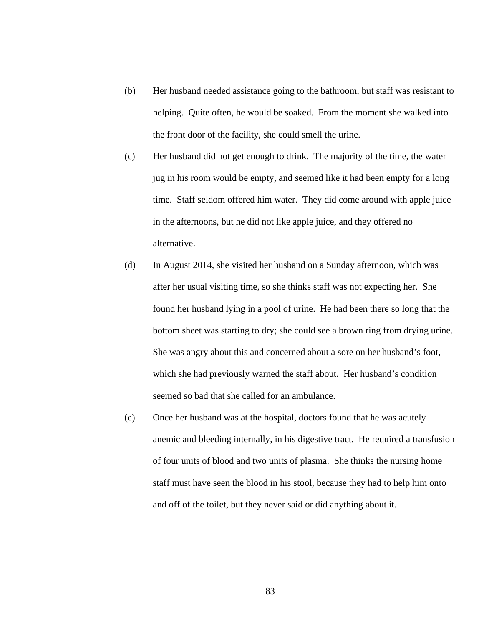- (b) Her husband needed assistance going to the bathroom, but staff was resistant to helping. Quite often, he would be soaked. From the moment she walked into the front door of the facility, she could smell the urine.
- (c) Her husband did not get enough to drink. The majority of the time, the water jug in his room would be empty, and seemed like it had been empty for a long time. Staff seldom offered him water. They did come around with apple juice in the afternoons, but he did not like apple juice, and they offered no alternative.
- (d) In August 2014, she visited her husband on a Sunday afternoon, which was after her usual visiting time, so she thinks staff was not expecting her. She found her husband lying in a pool of urine. He had been there so long that the bottom sheet was starting to dry; she could see a brown ring from drying urine. She was angry about this and concerned about a sore on her husband's foot, which she had previously warned the staff about. Her husband's condition seemed so bad that she called for an ambulance.
- (e) Once her husband was at the hospital, doctors found that he was acutely anemic and bleeding internally, in his digestive tract. He required a transfusion of four units of blood and two units of plasma. She thinks the nursing home staff must have seen the blood in his stool, because they had to help him onto and off of the toilet, but they never said or did anything about it.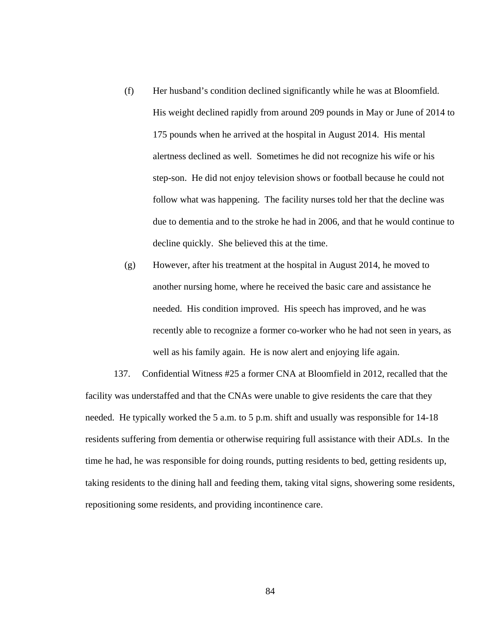- (f) Her husband's condition declined significantly while he was at Bloomfield. His weight declined rapidly from around 209 pounds in May or June of 2014 to 175 pounds when he arrived at the hospital in August 2014. His mental alertness declined as well. Sometimes he did not recognize his wife or his step-son. He did not enjoy television shows or football because he could not follow what was happening. The facility nurses told her that the decline was due to dementia and to the stroke he had in 2006, and that he would continue to decline quickly. She believed this at the time.
- (g) However, after his treatment at the hospital in August 2014, he moved to another nursing home, where he received the basic care and assistance he needed. His condition improved. His speech has improved, and he was recently able to recognize a former co-worker who he had not seen in years, as well as his family again. He is now alert and enjoying life again.

137. Confidential Witness #25 a former CNA at Bloomfield in 2012, recalled that the facility was understaffed and that the CNAs were unable to give residents the care that they needed. He typically worked the 5 a.m. to 5 p.m. shift and usually was responsible for 14-18 residents suffering from dementia or otherwise requiring full assistance with their ADLs. In the time he had, he was responsible for doing rounds, putting residents to bed, getting residents up, taking residents to the dining hall and feeding them, taking vital signs, showering some residents, repositioning some residents, and providing incontinence care.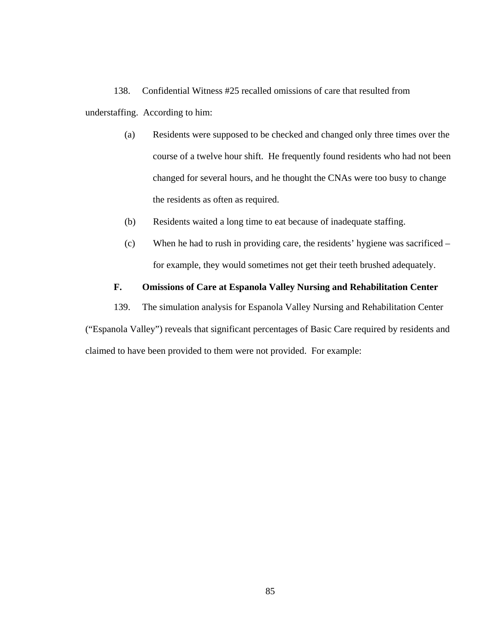138. Confidential Witness #25 recalled omissions of care that resulted from understaffing. According to him:

- (a) Residents were supposed to be checked and changed only three times over the course of a twelve hour shift. He frequently found residents who had not been changed for several hours, and he thought the CNAs were too busy to change the residents as often as required.
- (b) Residents waited a long time to eat because of inadequate staffing.
- (c) When he had to rush in providing care, the residents' hygiene was sacrificed for example, they would sometimes not get their teeth brushed adequately.

### **F. Omissions of Care at Espanola Valley Nursing and Rehabilitation Center**

139. The simulation analysis for Espanola Valley Nursing and Rehabilitation Center

("Espanola Valley") reveals that significant percentages of Basic Care required by residents and claimed to have been provided to them were not provided. For example: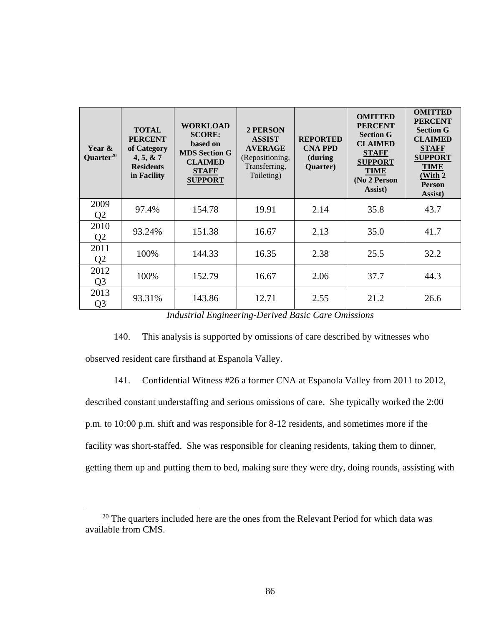| Year &<br>Quarter <sup>20</sup> | <b>TOTAL</b><br><b>PERCENT</b><br>of Category<br>4, 5, 8, 7<br><b>Residents</b><br>in Facility | <b>WORKLOAD</b><br><b>SCORE:</b><br>based on<br><b>MDS</b> Section G<br><b>CLAIMED</b><br><b>STAFF</b><br><b>SUPPORT</b> | <b>2 PERSON</b><br><b>ASSIST</b><br><b>AVERAGE</b><br>(Repositioning,<br>Transferring,<br>Toileting) | <b>REPORTED</b><br><b>CNA PPD</b><br>(during<br>Quarter) | <b>OMITTED</b><br><b>PERCENT</b><br><b>Section G</b><br><b>CLAIMED</b><br><b>STAFF</b><br><b>SUPPORT</b><br><b>TIME</b><br>(No 2 Person<br>Assist) | <b>OMITTED</b><br><b>PERCENT</b><br><b>Section G</b><br><b>CLAIMED</b><br><b>STAFF</b><br><b>SUPPORT</b><br><b>TIME</b><br>(With 2)<br><b>Person</b><br>Assist) |
|---------------------------------|------------------------------------------------------------------------------------------------|--------------------------------------------------------------------------------------------------------------------------|------------------------------------------------------------------------------------------------------|----------------------------------------------------------|----------------------------------------------------------------------------------------------------------------------------------------------------|-----------------------------------------------------------------------------------------------------------------------------------------------------------------|
| 2009<br>Q <sub>2</sub>          | 97.4%                                                                                          | 154.78                                                                                                                   | 19.91                                                                                                | 2.14                                                     | 35.8                                                                                                                                               | 43.7                                                                                                                                                            |
| 2010<br>Q2                      | 93.24%                                                                                         | 151.38                                                                                                                   | 16.67                                                                                                | 2.13                                                     | 35.0                                                                                                                                               | 41.7                                                                                                                                                            |
| 2011<br>Q2                      | 100%                                                                                           | 144.33                                                                                                                   | 16.35                                                                                                | 2.38                                                     | 25.5                                                                                                                                               | 32.2                                                                                                                                                            |
| 2012<br>Q <sub>3</sub>          | 100%                                                                                           | 152.79                                                                                                                   | 16.67                                                                                                | 2.06                                                     | 37.7                                                                                                                                               | 44.3                                                                                                                                                            |
| 2013<br>Q <sub>3</sub>          | 93.31%                                                                                         | 143.86                                                                                                                   | 12.71                                                                                                | 2.55                                                     | 21.2                                                                                                                                               | 26.6                                                                                                                                                            |

*Industrial Engineering-Derived Basic Care Omissions* 

140. This analysis is supported by omissions of care described by witnesses who observed resident care firsthand at Espanola Valley.

141. Confidential Witness #26 a former CNA at Espanola Valley from 2011 to 2012,

described constant understaffing and serious omissions of care. She typically worked the 2:00 p.m. to 10:00 p.m. shift and was responsible for 8-12 residents, and sometimes more if the facility was short-staffed. She was responsible for cleaning residents, taking them to dinner, getting them up and putting them to bed, making sure they were dry, doing rounds, assisting with

 $20$  The quarters included here are the ones from the Relevant Period for which data was available from CMS.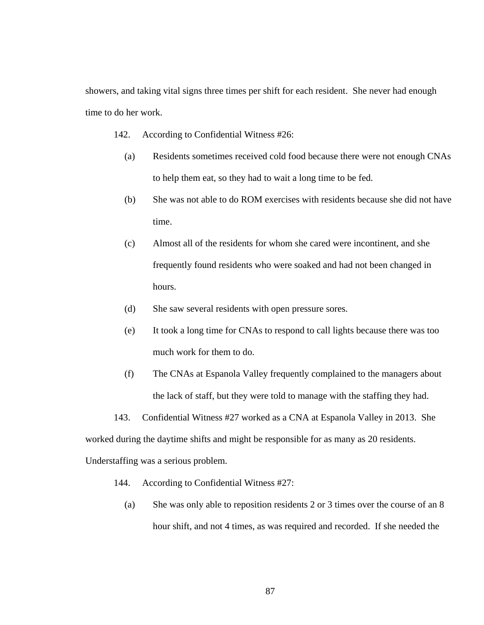showers, and taking vital signs three times per shift for each resident. She never had enough time to do her work.

- 142. According to Confidential Witness #26:
	- (a) Residents sometimes received cold food because there were not enough CNAs to help them eat, so they had to wait a long time to be fed.
	- (b) She was not able to do ROM exercises with residents because she did not have time.
	- (c) Almost all of the residents for whom she cared were incontinent, and she frequently found residents who were soaked and had not been changed in hours.
	- (d) She saw several residents with open pressure sores.
	- (e) It took a long time for CNAs to respond to call lights because there was too much work for them to do.
	- (f) The CNAs at Espanola Valley frequently complained to the managers about the lack of staff, but they were told to manage with the staffing they had.
- 143. Confidential Witness #27 worked as a CNA at Espanola Valley in 2013. She

worked during the daytime shifts and might be responsible for as many as 20 residents.

Understaffing was a serious problem.

- 144. According to Confidential Witness #27:
	- (a) She was only able to reposition residents 2 or 3 times over the course of an 8 hour shift, and not 4 times, as was required and recorded. If she needed the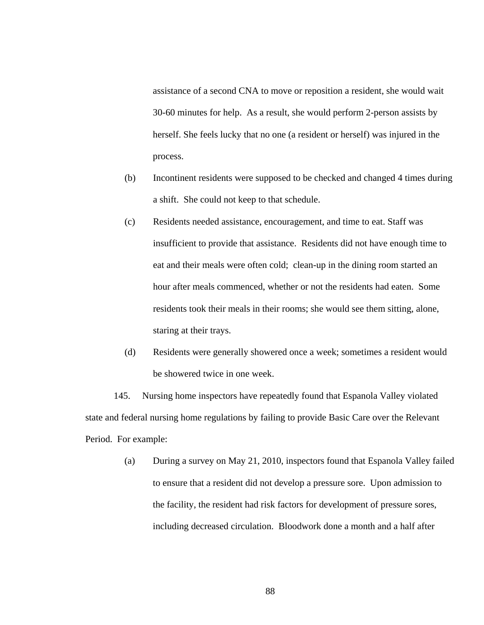assistance of a second CNA to move or reposition a resident, she would wait 30-60 minutes for help. As a result, she would perform 2-person assists by herself. She feels lucky that no one (a resident or herself) was injured in the process.

- (b) Incontinent residents were supposed to be checked and changed 4 times during a shift. She could not keep to that schedule.
- (c) Residents needed assistance, encouragement, and time to eat. Staff was insufficient to provide that assistance. Residents did not have enough time to eat and their meals were often cold; clean-up in the dining room started an hour after meals commenced, whether or not the residents had eaten. Some residents took their meals in their rooms; she would see them sitting, alone, staring at their trays.
- (d) Residents were generally showered once a week; sometimes a resident would be showered twice in one week.

145. Nursing home inspectors have repeatedly found that Espanola Valley violated state and federal nursing home regulations by failing to provide Basic Care over the Relevant Period. For example:

> (a) During a survey on May 21, 2010, inspectors found that Espanola Valley failed to ensure that a resident did not develop a pressure sore. Upon admission to the facility, the resident had risk factors for development of pressure sores, including decreased circulation. Bloodwork done a month and a half after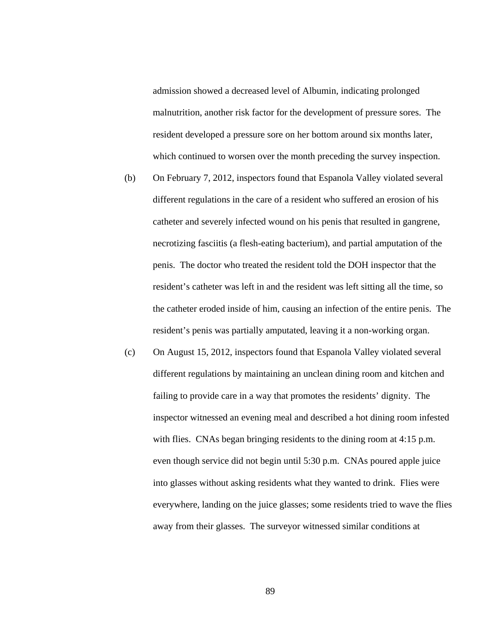admission showed a decreased level of Albumin, indicating prolonged malnutrition, another risk factor for the development of pressure sores. The resident developed a pressure sore on her bottom around six months later, which continued to worsen over the month preceding the survey inspection.

- (b) On February 7, 2012, inspectors found that Espanola Valley violated several different regulations in the care of a resident who suffered an erosion of his catheter and severely infected wound on his penis that resulted in gangrene, necrotizing fasciitis (a flesh-eating bacterium), and partial amputation of the penis. The doctor who treated the resident told the DOH inspector that the resident's catheter was left in and the resident was left sitting all the time, so the catheter eroded inside of him, causing an infection of the entire penis. The resident's penis was partially amputated, leaving it a non-working organ.
- (c) On August 15, 2012, inspectors found that Espanola Valley violated several different regulations by maintaining an unclean dining room and kitchen and failing to provide care in a way that promotes the residents' dignity. The inspector witnessed an evening meal and described a hot dining room infested with flies. CNAs began bringing residents to the dining room at 4:15 p.m. even though service did not begin until 5:30 p.m. CNAs poured apple juice into glasses without asking residents what they wanted to drink. Flies were everywhere, landing on the juice glasses; some residents tried to wave the flies away from their glasses. The surveyor witnessed similar conditions at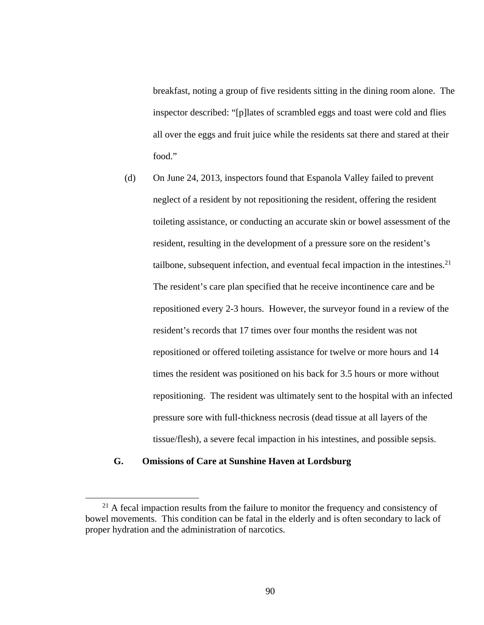breakfast, noting a group of five residents sitting in the dining room alone. The inspector described: "[p]lates of scrambled eggs and toast were cold and flies all over the eggs and fruit juice while the residents sat there and stared at their food."

(d) On June 24, 2013, inspectors found that Espanola Valley failed to prevent neglect of a resident by not repositioning the resident, offering the resident toileting assistance, or conducting an accurate skin or bowel assessment of the resident, resulting in the development of a pressure sore on the resident's tailbone, subsequent infection, and eventual fecal impaction in the intestines.<sup>21</sup> The resident's care plan specified that he receive incontinence care and be repositioned every 2-3 hours. However, the surveyor found in a review of the resident's records that 17 times over four months the resident was not repositioned or offered toileting assistance for twelve or more hours and 14 times the resident was positioned on his back for 3.5 hours or more without repositioning. The resident was ultimately sent to the hospital with an infected pressure sore with full-thickness necrosis (dead tissue at all layers of the tissue/flesh), a severe fecal impaction in his intestines, and possible sepsis.

#### **G. Omissions of Care at Sunshine Haven at Lordsburg**

 $21$  A fecal impaction results from the failure to monitor the frequency and consistency of bowel movements. This condition can be fatal in the elderly and is often secondary to lack of proper hydration and the administration of narcotics.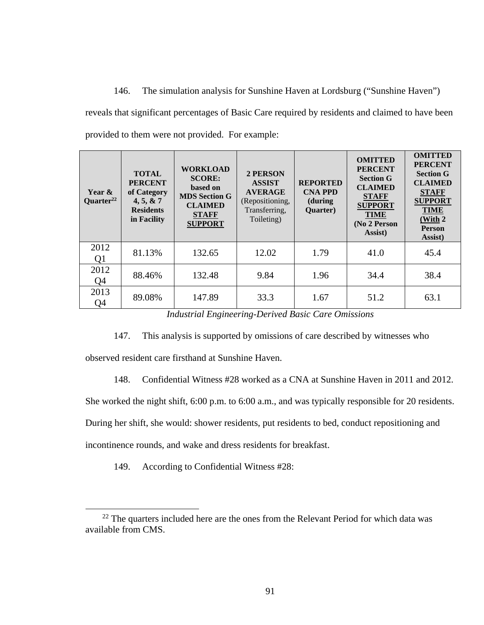146. The simulation analysis for Sunshine Haven at Lordsburg ("Sunshine Haven") reveals that significant percentages of Basic Care required by residents and claimed to have been provided to them were not provided. For example:

| Year &<br>Quarter <sup>22</sup> | <b>TOTAL</b><br><b>PERCENT</b><br>of Category<br>4, 5, 8, 7<br><b>Residents</b><br>in Facility | <b>WORKLOAD</b><br><b>SCORE:</b><br>based on<br><b>MDS</b> Section G<br><b>CLAIMED</b><br><b>STAFF</b><br><b>SUPPORT</b> | 2 PERSON<br><b>ASSIST</b><br><b>AVERAGE</b><br>(Repositioning,<br>Transferring,<br>Toileting) | <b>REPORTED</b><br><b>CNA PPD</b><br>(during<br>Quarter) | <b>OMITTED</b><br><b>PERCENT</b><br><b>Section G</b><br><b>CLAIMED</b><br><b>STAFF</b><br><b>SUPPORT</b><br><b>TIME</b><br>(No 2 Person<br>Assist) | <b>OMITTED</b><br><b>PERCENT</b><br><b>Section G</b><br><b>CLAIMED</b><br><b>STAFF</b><br><b>SUPPORT</b><br><b>TIME</b><br>(With 2<br><b>Person</b><br>Assist) |
|---------------------------------|------------------------------------------------------------------------------------------------|--------------------------------------------------------------------------------------------------------------------------|-----------------------------------------------------------------------------------------------|----------------------------------------------------------|----------------------------------------------------------------------------------------------------------------------------------------------------|----------------------------------------------------------------------------------------------------------------------------------------------------------------|
| 2012<br>Q1                      | 81.13%                                                                                         | 132.65                                                                                                                   | 12.02                                                                                         | 1.79                                                     | 41.0                                                                                                                                               | 45.4                                                                                                                                                           |
| 2012<br>Q4                      | 88.46%                                                                                         | 132.48                                                                                                                   | 9.84                                                                                          | 1.96                                                     | 34.4                                                                                                                                               | 38.4                                                                                                                                                           |
| 2013<br>Q4                      | 89.08%                                                                                         | 147.89                                                                                                                   | 33.3                                                                                          | 1.67                                                     | 51.2                                                                                                                                               | 63.1                                                                                                                                                           |

*Industrial Engineering-Derived Basic Care Omissions* 

147. This analysis is supported by omissions of care described by witnesses who

observed resident care firsthand at Sunshine Haven.

148. Confidential Witness #28 worked as a CNA at Sunshine Haven in 2011 and 2012.

She worked the night shift, 6:00 p.m. to 6:00 a.m., and was typically responsible for 20 residents.

During her shift, she would: shower residents, put residents to bed, conduct repositioning and

incontinence rounds, and wake and dress residents for breakfast.

149. According to Confidential Witness #28:

<sup>&</sup>lt;sup>22</sup> The quarters included here are the ones from the Relevant Period for which data was available from CMS.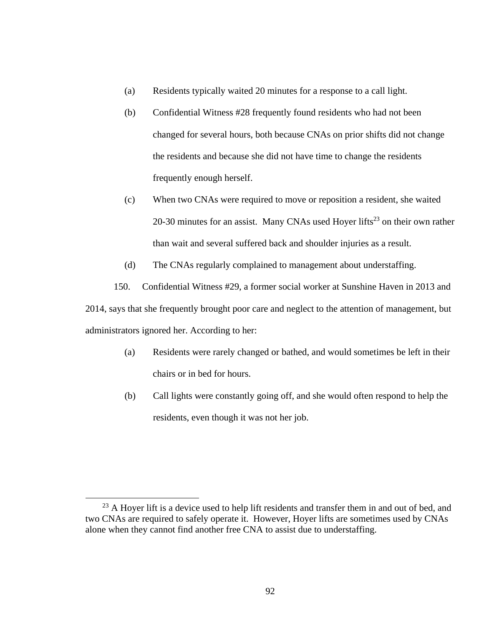- (a) Residents typically waited 20 minutes for a response to a call light.
- (b) Confidential Witness #28 frequently found residents who had not been changed for several hours, both because CNAs on prior shifts did not change the residents and because she did not have time to change the residents frequently enough herself.
- (c) When two CNAs were required to move or reposition a resident, she waited 20-30 minutes for an assist. Many CNAs used Hoyer lifts<sup>23</sup> on their own rather than wait and several suffered back and shoulder injuries as a result.
- (d) The CNAs regularly complained to management about understaffing.

150. Confidential Witness #29, a former social worker at Sunshine Haven in 2013 and

2014, says that she frequently brought poor care and neglect to the attention of management, but administrators ignored her. According to her:

- (a) Residents were rarely changed or bathed, and would sometimes be left in their chairs or in bed for hours.
- (b) Call lights were constantly going off, and she would often respond to help the residents, even though it was not her job.

<sup>&</sup>lt;sup>23</sup> A Hoyer lift is a device used to help lift residents and transfer them in and out of bed, and two CNAs are required to safely operate it. However, Hoyer lifts are sometimes used by CNAs alone when they cannot find another free CNA to assist due to understaffing.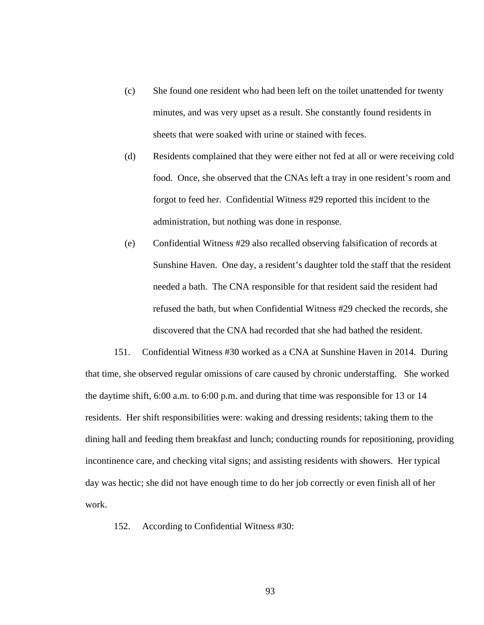- (c) She found one resident who had been left on the toilet unattended for twenty minutes, and was very upset as a result. She constantly found residents in sheets that were soaked with urine or stained with feces.
- (d) Residents complained that they were either not fed at all or were receiving cold food. Once, she observed that the CNAs left a tray in one resident's room and forgot to feed her. Confidential Witness #29 reported this incident to the administration, but nothing was done in response.
- (e) Confidential Witness #29 also recalled observing falsification of records at Sunshine Haven. One day, a resident's daughter told the staff that the resident needed a bath. The CNA responsible for that resident said the resident had refused the bath, but when Confidential Witness #29 checked the records, she discovered that the CNA had recorded that she had bathed the resident.

151. Confidential Witness #30 worked as a CNA at Sunshine Haven in 2014. During that time, she observed regular omissions of care caused by chronic understaffing. She worked the daytime shift, 6:00 a.m. to 6:00 p.m. and during that time was responsible for 13 or 14 residents. Her shift responsibilities were: waking and dressing residents; taking them to the dining hall and feeding them breakfast and lunch; conducting rounds for repositioning, providing incontinence care, and checking vital signs; and assisting residents with showers. Her typical day was hectic; she did not have enough time to do her job correctly or even finish all of her work.

152. According to Confidential Witness #30: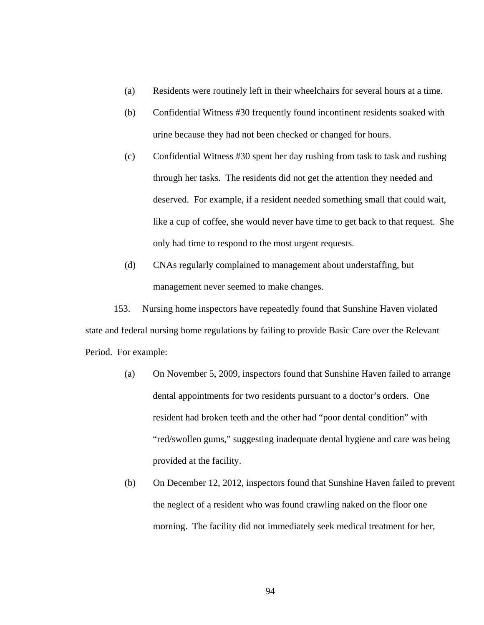- (a) Residents were routinely left in their wheelchairs for several hours at a time.
- (b) Confidential Witness #30 frequently found incontinent residents soaked with urine because they had not been checked or changed for hours.
- (c) Confidential Witness #30 spent her day rushing from task to task and rushing through her tasks. The residents did not get the attention they needed and deserved. For example, if a resident needed something small that could wait, like a cup of coffee, she would never have time to get back to that request. She only had time to respond to the most urgent requests.
- (d) CNAs regularly complained to management about understaffing, but management never seemed to make changes.

153. Nursing home inspectors have repeatedly found that Sunshine Haven violated state and federal nursing home regulations by failing to provide Basic Care over the Relevant Period. For example:

- (a) On November 5, 2009, inspectors found that Sunshine Haven failed to arrange dental appointments for two residents pursuant to a doctor's orders. One resident had broken teeth and the other had "poor dental condition" with "red/swollen gums," suggesting inadequate dental hygiene and care was being provided at the facility.
- (b) On December 12, 2012, inspectors found that Sunshine Haven failed to prevent the neglect of a resident who was found crawling naked on the floor one morning. The facility did not immediately seek medical treatment for her,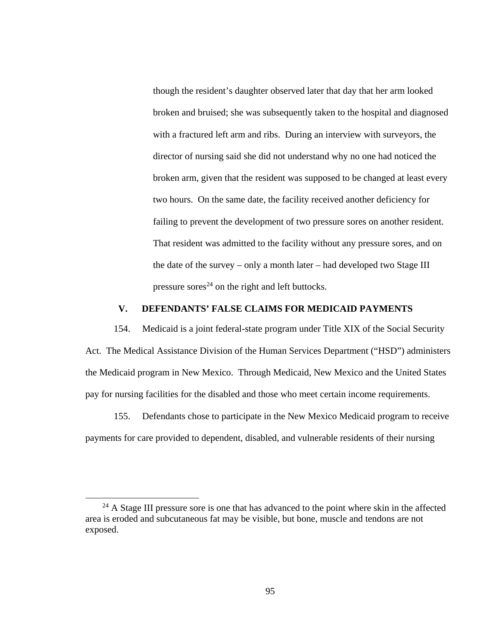though the resident's daughter observed later that day that her arm looked broken and bruised; she was subsequently taken to the hospital and diagnosed with a fractured left arm and ribs. During an interview with surveyors, the director of nursing said she did not understand why no one had noticed the broken arm, given that the resident was supposed to be changed at least every two hours. On the same date, the facility received another deficiency for failing to prevent the development of two pressure sores on another resident. That resident was admitted to the facility without any pressure sores, and on the date of the survey – only a month later – had developed two Stage III pressure sores<sup>24</sup> on the right and left buttocks.

## **V. DEFENDANTS' FALSE CLAIMS FOR MEDICAID PAYMENTS**

154. Medicaid is a joint federal-state program under Title XIX of the Social Security Act. The Medical Assistance Division of the Human Services Department ("HSD") administers the Medicaid program in New Mexico. Through Medicaid, New Mexico and the United States pay for nursing facilities for the disabled and those who meet certain income requirements.

155. Defendants chose to participate in the New Mexico Medicaid program to receive payments for care provided to dependent, disabled, and vulnerable residents of their nursing

 $24$  A Stage III pressure sore is one that has advanced to the point where skin in the affected area is eroded and subcutaneous fat may be visible, but bone, muscle and tendons are not exposed.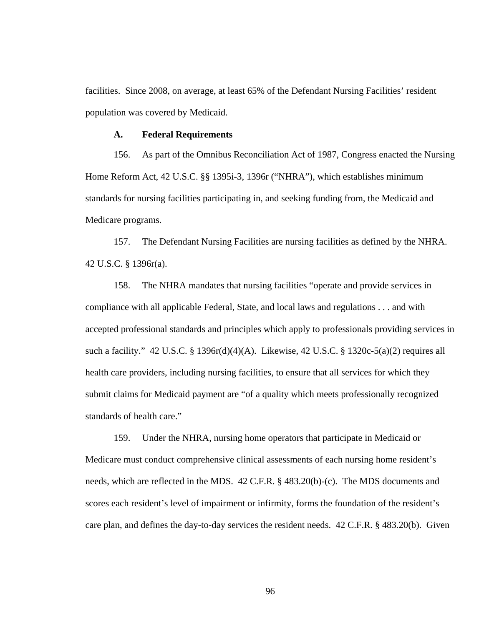facilities. Since 2008, on average, at least 65% of the Defendant Nursing Facilities' resident population was covered by Medicaid.

#### **A. Federal Requirements**

156. As part of the Omnibus Reconciliation Act of 1987, Congress enacted the Nursing Home Reform Act, 42 U.S.C. §§ 1395i-3, 1396r ("NHRA"), which establishes minimum standards for nursing facilities participating in, and seeking funding from, the Medicaid and Medicare programs.

157. The Defendant Nursing Facilities are nursing facilities as defined by the NHRA. 42 U.S.C. § 1396r(a).

158. The NHRA mandates that nursing facilities "operate and provide services in compliance with all applicable Federal, State, and local laws and regulations . . . and with accepted professional standards and principles which apply to professionals providing services in such a facility." 42 U.S.C. § 1396r(d)(4)(A). Likewise, 42 U.S.C. § 1320c-5(a)(2) requires all health care providers, including nursing facilities, to ensure that all services for which they submit claims for Medicaid payment are "of a quality which meets professionally recognized standards of health care."

159. Under the NHRA, nursing home operators that participate in Medicaid or Medicare must conduct comprehensive clinical assessments of each nursing home resident's needs, which are reflected in the MDS. 42 C.F.R. § 483.20(b)-(c). The MDS documents and scores each resident's level of impairment or infirmity, forms the foundation of the resident's care plan, and defines the day-to-day services the resident needs. 42 C.F.R. § 483.20(b). Given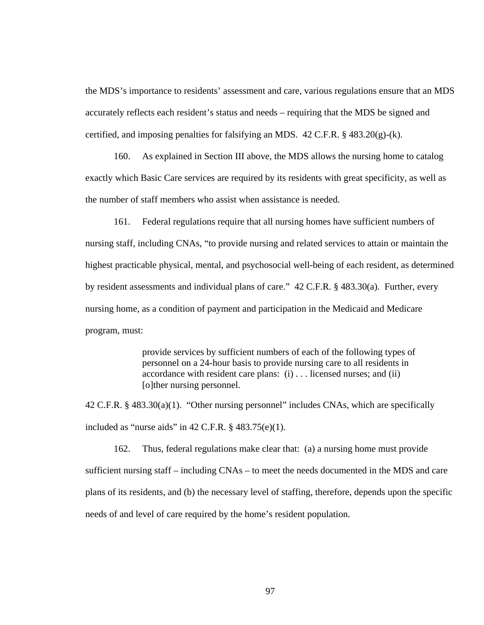the MDS's importance to residents' assessment and care, various regulations ensure that an MDS accurately reflects each resident's status and needs – requiring that the MDS be signed and certified, and imposing penalties for falsifying an MDS. 42 C.F.R. § 483.20(g)-(k).

160. As explained in Section III above, the MDS allows the nursing home to catalog exactly which Basic Care services are required by its residents with great specificity, as well as the number of staff members who assist when assistance is needed.

161. Federal regulations require that all nursing homes have sufficient numbers of nursing staff, including CNAs, "to provide nursing and related services to attain or maintain the highest practicable physical, mental, and psychosocial well-being of each resident, as determined by resident assessments and individual plans of care." 42 C.F.R. § 483.30(a). Further, every nursing home, as a condition of payment and participation in the Medicaid and Medicare program, must:

> provide services by sufficient numbers of each of the following types of personnel on a 24-hour basis to provide nursing care to all residents in accordance with resident care plans: (i) . . . licensed nurses; and (ii) [o]ther nursing personnel.

42 C.F.R. § 483.30(a)(1). "Other nursing personnel" includes CNAs, which are specifically included as "nurse aids" in  $42$  C.F.R.  $\S$   $483.75(e)(1)$ .

162. Thus, federal regulations make clear that: (a) a nursing home must provide sufficient nursing staff – including CNAs – to meet the needs documented in the MDS and care plans of its residents, and (b) the necessary level of staffing, therefore, depends upon the specific needs of and level of care required by the home's resident population.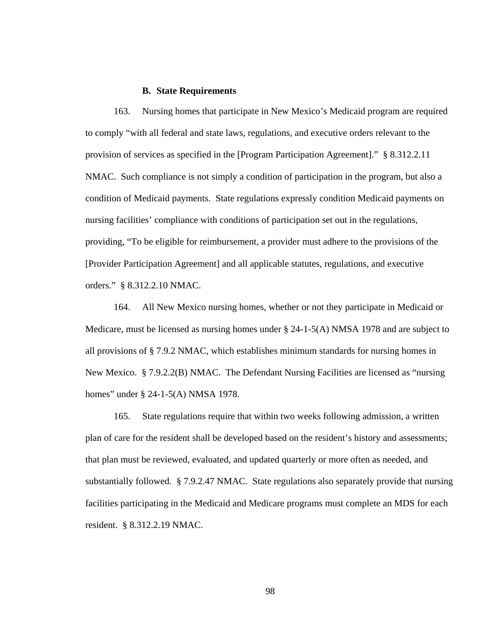#### **B. State Requirements**

163. Nursing homes that participate in New Mexico's Medicaid program are required to comply "with all federal and state laws, regulations, and executive orders relevant to the provision of services as specified in the [Program Participation Agreement]." § 8.312.2.11 NMAC. Such compliance is not simply a condition of participation in the program, but also a condition of Medicaid payments. State regulations expressly condition Medicaid payments on nursing facilities' compliance with conditions of participation set out in the regulations, providing, "To be eligible for reimbursement, a provider must adhere to the provisions of the [Provider Participation Agreement] and all applicable statutes, regulations, and executive orders." § 8.312.2.10 NMAC.

164. All New Mexico nursing homes, whether or not they participate in Medicaid or Medicare, must be licensed as nursing homes under  $\S 24-1-5(A)$  NMSA 1978 and are subject to all provisions of § 7.9.2 NMAC, which establishes minimum standards for nursing homes in New Mexico. § 7.9.2.2(B) NMAC. The Defendant Nursing Facilities are licensed as "nursing homes" under § 24-1-5(A) NMSA 1978.

165. State regulations require that within two weeks following admission, a written plan of care for the resident shall be developed based on the resident's history and assessments; that plan must be reviewed, evaluated, and updated quarterly or more often as needed, and substantially followed. § 7.9.2.47 NMAC. State regulations also separately provide that nursing facilities participating in the Medicaid and Medicare programs must complete an MDS for each resident. § 8.312.2.19 NMAC.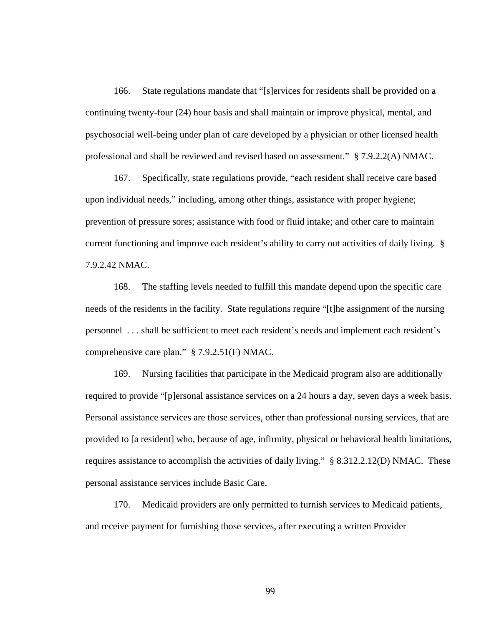166. State regulations mandate that "[s]ervices for residents shall be provided on a continuing twenty-four (24) hour basis and shall maintain or improve physical, mental, and psychosocial well-being under plan of care developed by a physician or other licensed health professional and shall be reviewed and revised based on assessment." § 7.9.2.2(A) NMAC.

167. Specifically, state regulations provide, "each resident shall receive care based upon individual needs," including, among other things, assistance with proper hygiene; prevention of pressure sores; assistance with food or fluid intake; and other care to maintain current functioning and improve each resident's ability to carry out activities of daily living. § 7.9.2.42 NMAC.

168. The staffing levels needed to fulfill this mandate depend upon the specific care needs of the residents in the facility. State regulations require "[t]he assignment of the nursing personnel . . . shall be sufficient to meet each resident's needs and implement each resident's comprehensive care plan." § 7.9.2.51(F) NMAC.

169. Nursing facilities that participate in the Medicaid program also are additionally required to provide "[p]ersonal assistance services on a 24 hours a day, seven days a week basis. Personal assistance services are those services, other than professional nursing services, that are provided to [a resident] who, because of age, infirmity, physical or behavioral health limitations, requires assistance to accomplish the activities of daily living." § 8.312.2.12(D) NMAC. These personal assistance services include Basic Care.

170. Medicaid providers are only permitted to furnish services to Medicaid patients, and receive payment for furnishing those services, after executing a written Provider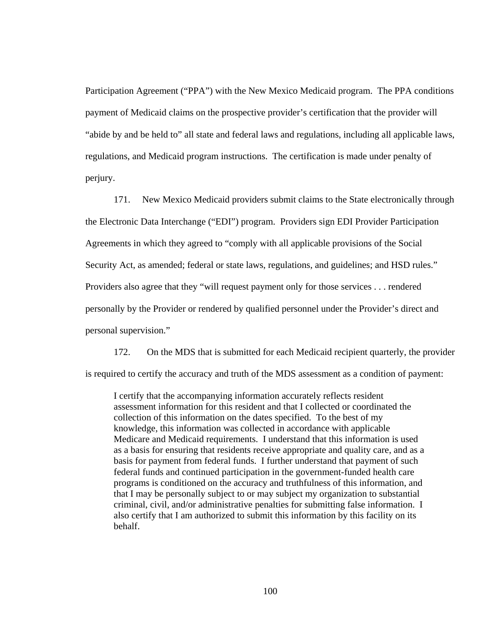Participation Agreement ("PPA") with the New Mexico Medicaid program. The PPA conditions payment of Medicaid claims on the prospective provider's certification that the provider will "abide by and be held to" all state and federal laws and regulations, including all applicable laws, regulations, and Medicaid program instructions. The certification is made under penalty of perjury.

171. New Mexico Medicaid providers submit claims to the State electronically through the Electronic Data Interchange ("EDI") program. Providers sign EDI Provider Participation Agreements in which they agreed to "comply with all applicable provisions of the Social Security Act, as amended; federal or state laws, regulations, and guidelines; and HSD rules." Providers also agree that they "will request payment only for those services . . . rendered personally by the Provider or rendered by qualified personnel under the Provider's direct and personal supervision."

172. On the MDS that is submitted for each Medicaid recipient quarterly, the provider is required to certify the accuracy and truth of the MDS assessment as a condition of payment:

I certify that the accompanying information accurately reflects resident assessment information for this resident and that I collected or coordinated the collection of this information on the dates specified. To the best of my knowledge, this information was collected in accordance with applicable Medicare and Medicaid requirements. I understand that this information is used as a basis for ensuring that residents receive appropriate and quality care, and as a basis for payment from federal funds. I further understand that payment of such federal funds and continued participation in the government-funded health care programs is conditioned on the accuracy and truthfulness of this information, and that I may be personally subject to or may subject my organization to substantial criminal, civil, and/or administrative penalties for submitting false information. I also certify that I am authorized to submit this information by this facility on its behalf.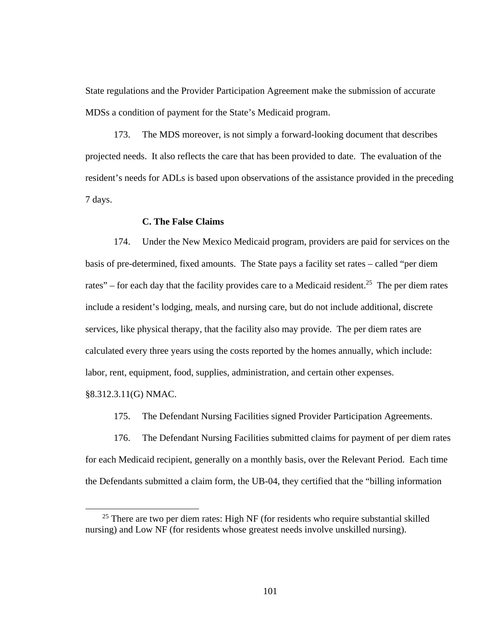State regulations and the Provider Participation Agreement make the submission of accurate MDSs a condition of payment for the State's Medicaid program.

173. The MDS moreover, is not simply a forward-looking document that describes projected needs. It also reflects the care that has been provided to date. The evaluation of the resident's needs for ADLs is based upon observations of the assistance provided in the preceding 7 days.

## **C. The False Claims**

174. Under the New Mexico Medicaid program, providers are paid for services on the basis of pre-determined, fixed amounts. The State pays a facility set rates – called "per diem rates" – for each day that the facility provides care to a Medicaid resident.<sup>25</sup> The per diem rates include a resident's lodging, meals, and nursing care, but do not include additional, discrete services, like physical therapy, that the facility also may provide. The per diem rates are calculated every three years using the costs reported by the homes annually, which include: labor, rent, equipment, food, supplies, administration, and certain other expenses.

§8.312.3.11(G) NMAC.

175. The Defendant Nursing Facilities signed Provider Participation Agreements.

176. The Defendant Nursing Facilities submitted claims for payment of per diem rates for each Medicaid recipient, generally on a monthly basis, over the Relevant Period. Each time the Defendants submitted a claim form, the UB-04, they certified that the "billing information

 $25$  There are two per diem rates: High NF (for residents who require substantial skilled nursing) and Low NF (for residents whose greatest needs involve unskilled nursing).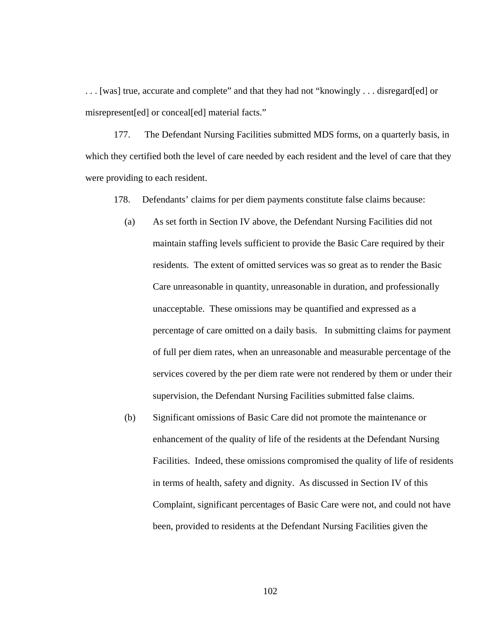. . . [was] true, accurate and complete" and that they had not "knowingly . . . disregard[ed] or misrepresent[ed] or conceal[ed] material facts."

177. The Defendant Nursing Facilities submitted MDS forms, on a quarterly basis, in which they certified both the level of care needed by each resident and the level of care that they were providing to each resident.

178. Defendants' claims for per diem payments constitute false claims because:

- (a) As set forth in Section IV above, the Defendant Nursing Facilities did not maintain staffing levels sufficient to provide the Basic Care required by their residents. The extent of omitted services was so great as to render the Basic Care unreasonable in quantity, unreasonable in duration, and professionally unacceptable. These omissions may be quantified and expressed as a percentage of care omitted on a daily basis. In submitting claims for payment of full per diem rates, when an unreasonable and measurable percentage of the services covered by the per diem rate were not rendered by them or under their supervision, the Defendant Nursing Facilities submitted false claims.
- (b) Significant omissions of Basic Care did not promote the maintenance or enhancement of the quality of life of the residents at the Defendant Nursing Facilities. Indeed, these omissions compromised the quality of life of residents in terms of health, safety and dignity. As discussed in Section IV of this Complaint, significant percentages of Basic Care were not, and could not have been, provided to residents at the Defendant Nursing Facilities given the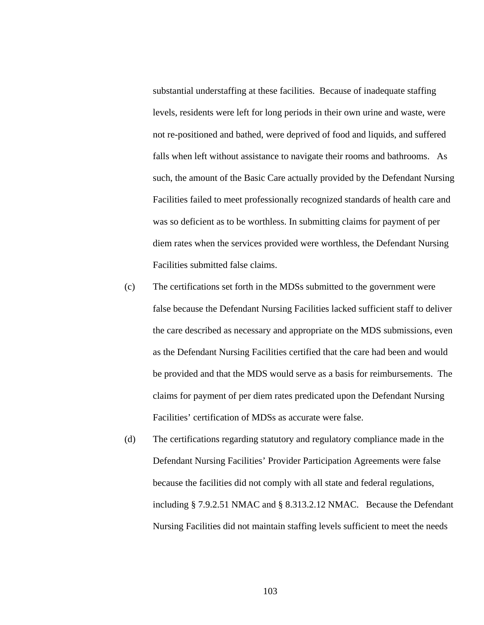substantial understaffing at these facilities. Because of inadequate staffing levels, residents were left for long periods in their own urine and waste, were not re-positioned and bathed, were deprived of food and liquids, and suffered falls when left without assistance to navigate their rooms and bathrooms. As such, the amount of the Basic Care actually provided by the Defendant Nursing Facilities failed to meet professionally recognized standards of health care and was so deficient as to be worthless. In submitting claims for payment of per diem rates when the services provided were worthless, the Defendant Nursing Facilities submitted false claims.

- (c) The certifications set forth in the MDSs submitted to the government were false because the Defendant Nursing Facilities lacked sufficient staff to deliver the care described as necessary and appropriate on the MDS submissions, even as the Defendant Nursing Facilities certified that the care had been and would be provided and that the MDS would serve as a basis for reimbursements. The claims for payment of per diem rates predicated upon the Defendant Nursing Facilities' certification of MDSs as accurate were false.
- (d) The certifications regarding statutory and regulatory compliance made in the Defendant Nursing Facilities' Provider Participation Agreements were false because the facilities did not comply with all state and federal regulations, including § 7.9.2.51 NMAC and § 8.313.2.12 NMAC. Because the Defendant Nursing Facilities did not maintain staffing levels sufficient to meet the needs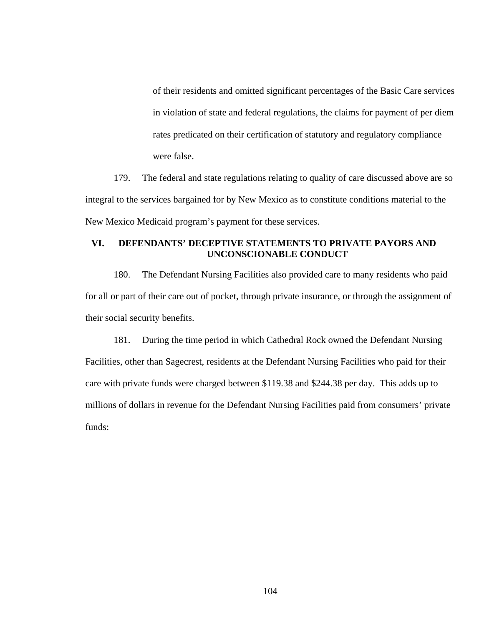of their residents and omitted significant percentages of the Basic Care services in violation of state and federal regulations, the claims for payment of per diem rates predicated on their certification of statutory and regulatory compliance were false.

179. The federal and state regulations relating to quality of care discussed above are so integral to the services bargained for by New Mexico as to constitute conditions material to the New Mexico Medicaid program's payment for these services.

# **VI. DEFENDANTS' DECEPTIVE STATEMENTS TO PRIVATE PAYORS AND UNCONSCIONABLE CONDUCT**

180. The Defendant Nursing Facilities also provided care to many residents who paid for all or part of their care out of pocket, through private insurance, or through the assignment of their social security benefits.

181. During the time period in which Cathedral Rock owned the Defendant Nursing Facilities, other than Sagecrest, residents at the Defendant Nursing Facilities who paid for their care with private funds were charged between \$119.38 and \$244.38 per day. This adds up to millions of dollars in revenue for the Defendant Nursing Facilities paid from consumers' private funds: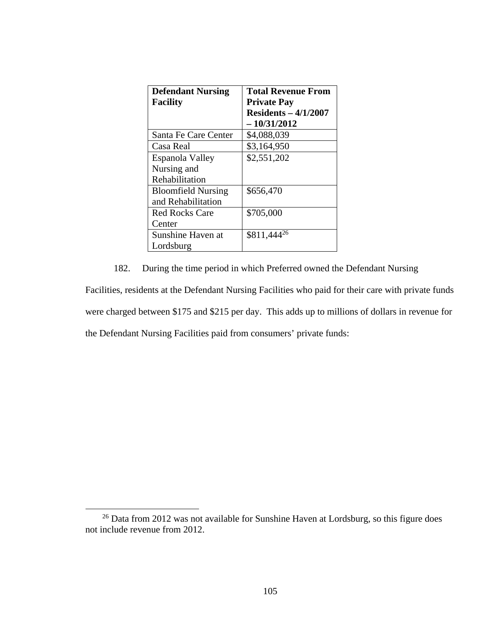| <b>Defendant Nursing</b>  | <b>Total Revenue From</b> |
|---------------------------|---------------------------|
| <b>Facility</b>           | <b>Private Pay</b>        |
|                           | $Residents - 4/1/2007$    |
|                           | $-10/31/2012$             |
| Santa Fe Care Center      | \$4,088,039               |
| Casa Real                 | \$3,164,950               |
| Espanola Valley           | \$2,551,202               |
| Nursing and               |                           |
| Rehabilitation            |                           |
| <b>Bloomfield Nursing</b> | \$656,470                 |
| and Rehabilitation        |                           |
| Red Rocks Care            | \$705,000                 |
| Center                    |                           |
| Sunshine Haven at         | \$811,444 <sup>26</sup>   |
| Lordsburg                 |                           |

182. During the time period in which Preferred owned the Defendant Nursing

Facilities, residents at the Defendant Nursing Facilities who paid for their care with private funds were charged between \$175 and \$215 per day. This adds up to millions of dollars in revenue for the Defendant Nursing Facilities paid from consumers' private funds:

 <sup>26</sup> Data from 2012 was not available for Sunshine Haven at Lordsburg, so this figure does not include revenue from 2012.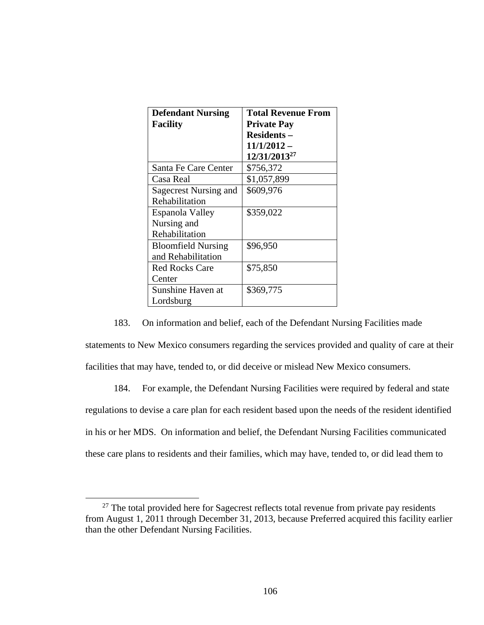| <b>Defendant Nursing</b>  | <b>Total Revenue From</b> |
|---------------------------|---------------------------|
| <b>Facility</b>           | <b>Private Pay</b>        |
|                           | <b>Residents –</b>        |
|                           | $11/1/2012 -$             |
|                           | 12/31/2013 <sup>27</sup>  |
| Santa Fe Care Center      | \$756,372                 |
| Casa Real                 | \$1,057,899               |
| Sagecrest Nursing and     | \$609,976                 |
| Rehabilitation            |                           |
| Espanola Valley           | \$359,022                 |
| Nursing and               |                           |
| Rehabilitation            |                           |
| <b>Bloomfield Nursing</b> | \$96,950                  |
| and Rehabilitation        |                           |
| <b>Red Rocks Care</b>     | \$75,850                  |
| Center                    |                           |
| Sunshine Haven at         | \$369,775                 |
| Lordsburg                 |                           |

183. On information and belief, each of the Defendant Nursing Facilities made

statements to New Mexico consumers regarding the services provided and quality of care at their facilities that may have, tended to, or did deceive or mislead New Mexico consumers.

184. For example, the Defendant Nursing Facilities were required by federal and state regulations to devise a care plan for each resident based upon the needs of the resident identified in his or her MDS. On information and belief, the Defendant Nursing Facilities communicated these care plans to residents and their families, which may have, tended to, or did lead them to

<sup>&</sup>lt;sup>27</sup> The total provided here for Sagecrest reflects total revenue from private pay residents from August 1, 2011 through December 31, 2013, because Preferred acquired this facility earlier than the other Defendant Nursing Facilities.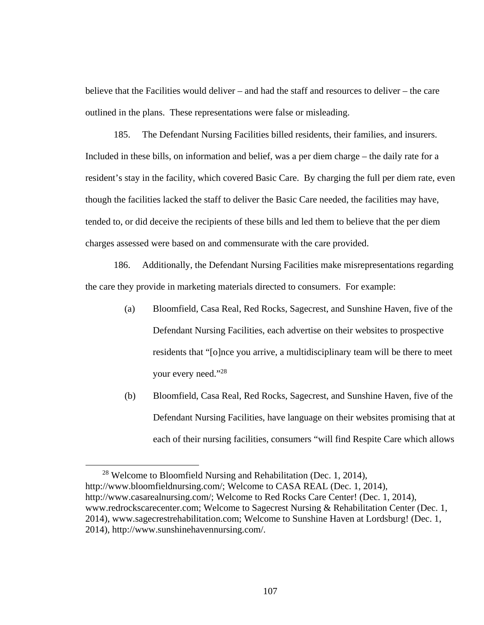believe that the Facilities would deliver – and had the staff and resources to deliver – the care outlined in the plans. These representations were false or misleading.

185. The Defendant Nursing Facilities billed residents, their families, and insurers. Included in these bills, on information and belief, was a per diem charge – the daily rate for a resident's stay in the facility, which covered Basic Care. By charging the full per diem rate, even though the facilities lacked the staff to deliver the Basic Care needed, the facilities may have, tended to, or did deceive the recipients of these bills and led them to believe that the per diem charges assessed were based on and commensurate with the care provided.

186. Additionally, the Defendant Nursing Facilities make misrepresentations regarding the care they provide in marketing materials directed to consumers. For example:

- (a) Bloomfield, Casa Real, Red Rocks, Sagecrest, and Sunshine Haven, five of the Defendant Nursing Facilities, each advertise on their websites to prospective residents that "[o]nce you arrive, a multidisciplinary team will be there to meet your every need."28
- (b) Bloomfield, Casa Real, Red Rocks, Sagecrest, and Sunshine Haven, five of the Defendant Nursing Facilities, have language on their websites promising that at each of their nursing facilities, consumers "will find Respite Care which allows

 <sup>28</sup> Welcome to Bloomfield Nursing and Rehabilitation (Dec. 1, 2014), http://www.bloomfieldnursing.com/; Welcome to CASA REAL (Dec. 1, 2014), http://www.casarealnursing.com/; Welcome to Red Rocks Care Center! (Dec. 1, 2014), www.redrockscarecenter.com; Welcome to Sagecrest Nursing & Rehabilitation Center (Dec. 1, 2014), www.sagecrestrehabilitation.com; Welcome to Sunshine Haven at Lordsburg! (Dec. 1, 2014), http://www.sunshinehavennursing.com/.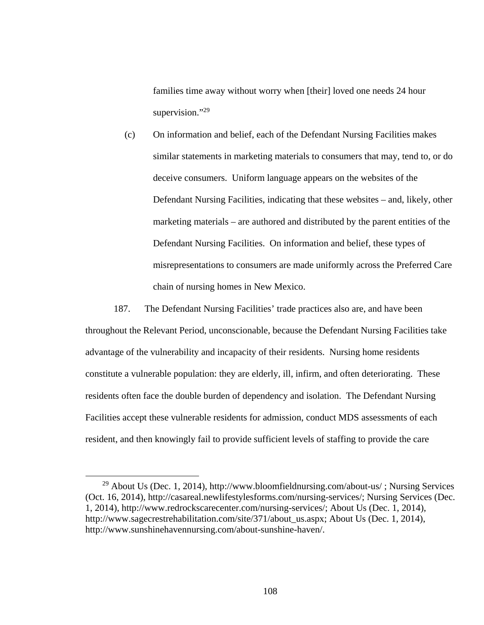families time away without worry when [their] loved one needs 24 hour supervision."<sup>29</sup>

(c) On information and belief, each of the Defendant Nursing Facilities makes similar statements in marketing materials to consumers that may, tend to, or do deceive consumers. Uniform language appears on the websites of the Defendant Nursing Facilities, indicating that these websites – and, likely, other marketing materials – are authored and distributed by the parent entities of the Defendant Nursing Facilities. On information and belief, these types of misrepresentations to consumers are made uniformly across the Preferred Care chain of nursing homes in New Mexico.

187. The Defendant Nursing Facilities' trade practices also are, and have been throughout the Relevant Period, unconscionable, because the Defendant Nursing Facilities take advantage of the vulnerability and incapacity of their residents. Nursing home residents constitute a vulnerable population: they are elderly, ill, infirm, and often deteriorating. These residents often face the double burden of dependency and isolation. The Defendant Nursing Facilities accept these vulnerable residents for admission, conduct MDS assessments of each resident, and then knowingly fail to provide sufficient levels of staffing to provide the care

<sup>&</sup>lt;sup>29</sup> About Us (Dec. 1, 2014), http://www.bloomfieldnursing.com/about-us/; Nursing Services (Oct. 16, 2014), http://casareal.newlifestylesforms.com/nursing-services/; Nursing Services (Dec. 1, 2014), http://www.redrockscarecenter.com/nursing-services/; About Us (Dec. 1, 2014), http://www.sagecrestrehabilitation.com/site/371/about\_us.aspx; About Us (Dec. 1, 2014), http://www.sunshinehavennursing.com/about-sunshine-haven/.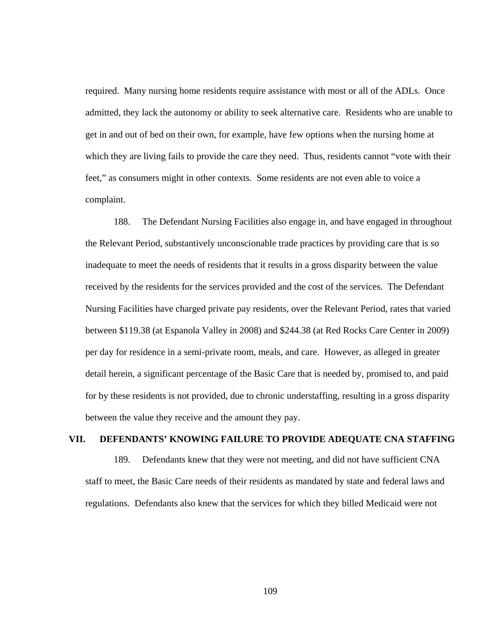required. Many nursing home residents require assistance with most or all of the ADLs. Once admitted, they lack the autonomy or ability to seek alternative care. Residents who are unable to get in and out of bed on their own, for example, have few options when the nursing home at which they are living fails to provide the care they need. Thus, residents cannot "vote with their feet," as consumers might in other contexts. Some residents are not even able to voice a complaint.

188. The Defendant Nursing Facilities also engage in, and have engaged in throughout the Relevant Period, substantively unconscionable trade practices by providing care that is so inadequate to meet the needs of residents that it results in a gross disparity between the value received by the residents for the services provided and the cost of the services. The Defendant Nursing Facilities have charged private pay residents, over the Relevant Period, rates that varied between \$119.38 (at Espanola Valley in 2008) and \$244.38 (at Red Rocks Care Center in 2009) per day for residence in a semi-private room, meals, and care. However, as alleged in greater detail herein, a significant percentage of the Basic Care that is needed by, promised to, and paid for by these residents is not provided, due to chronic understaffing, resulting in a gross disparity between the value they receive and the amount they pay.

#### **VII. DEFENDANTS' KNOWING FAILURE TO PROVIDE ADEQUATE CNA STAFFING**

189. Defendants knew that they were not meeting, and did not have sufficient CNA staff to meet, the Basic Care needs of their residents as mandated by state and federal laws and regulations. Defendants also knew that the services for which they billed Medicaid were not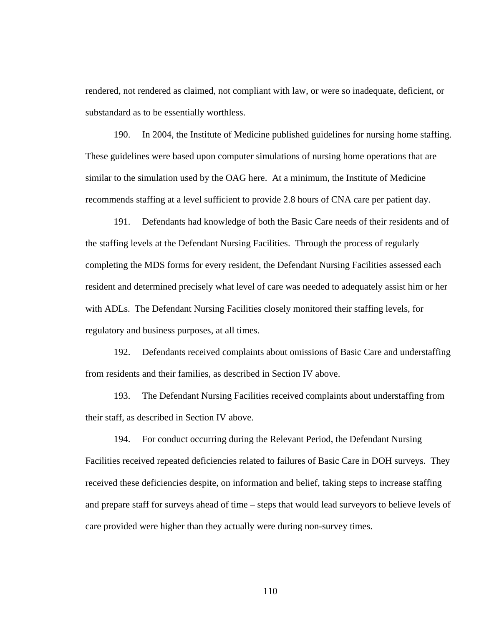rendered, not rendered as claimed, not compliant with law, or were so inadequate, deficient, or substandard as to be essentially worthless.

190. In 2004, the Institute of Medicine published guidelines for nursing home staffing. These guidelines were based upon computer simulations of nursing home operations that are similar to the simulation used by the OAG here. At a minimum, the Institute of Medicine recommends staffing at a level sufficient to provide 2.8 hours of CNA care per patient day.

191. Defendants had knowledge of both the Basic Care needs of their residents and of the staffing levels at the Defendant Nursing Facilities. Through the process of regularly completing the MDS forms for every resident, the Defendant Nursing Facilities assessed each resident and determined precisely what level of care was needed to adequately assist him or her with ADLs. The Defendant Nursing Facilities closely monitored their staffing levels, for regulatory and business purposes, at all times.

192. Defendants received complaints about omissions of Basic Care and understaffing from residents and their families, as described in Section IV above.

193. The Defendant Nursing Facilities received complaints about understaffing from their staff, as described in Section IV above.

194. For conduct occurring during the Relevant Period, the Defendant Nursing Facilities received repeated deficiencies related to failures of Basic Care in DOH surveys. They received these deficiencies despite, on information and belief, taking steps to increase staffing and prepare staff for surveys ahead of time – steps that would lead surveyors to believe levels of care provided were higher than they actually were during non-survey times.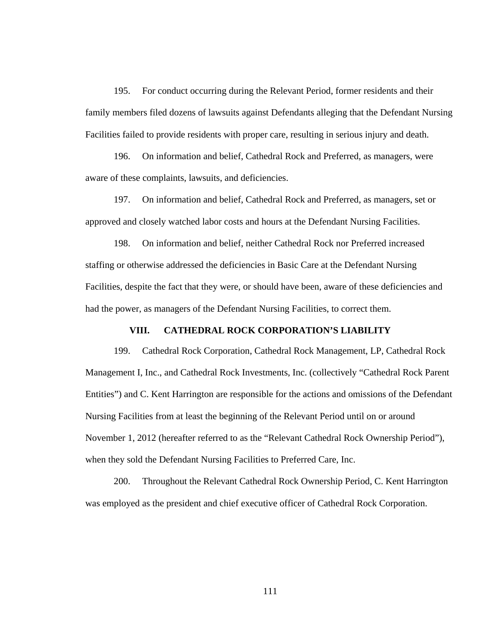195. For conduct occurring during the Relevant Period, former residents and their family members filed dozens of lawsuits against Defendants alleging that the Defendant Nursing Facilities failed to provide residents with proper care, resulting in serious injury and death.

196. On information and belief, Cathedral Rock and Preferred, as managers, were aware of these complaints, lawsuits, and deficiencies.

197. On information and belief, Cathedral Rock and Preferred, as managers, set or approved and closely watched labor costs and hours at the Defendant Nursing Facilities.

198. On information and belief, neither Cathedral Rock nor Preferred increased staffing or otherwise addressed the deficiencies in Basic Care at the Defendant Nursing Facilities, despite the fact that they were, or should have been, aware of these deficiencies and had the power, as managers of the Defendant Nursing Facilities, to correct them.

### **VIII. CATHEDRAL ROCK CORPORATION'S LIABILITY**

199. Cathedral Rock Corporation, Cathedral Rock Management, LP, Cathedral Rock Management I, Inc., and Cathedral Rock Investments, Inc. (collectively "Cathedral Rock Parent Entities") and C. Kent Harrington are responsible for the actions and omissions of the Defendant Nursing Facilities from at least the beginning of the Relevant Period until on or around November 1, 2012 (hereafter referred to as the "Relevant Cathedral Rock Ownership Period"), when they sold the Defendant Nursing Facilities to Preferred Care, Inc.

200. Throughout the Relevant Cathedral Rock Ownership Period, C. Kent Harrington was employed as the president and chief executive officer of Cathedral Rock Corporation.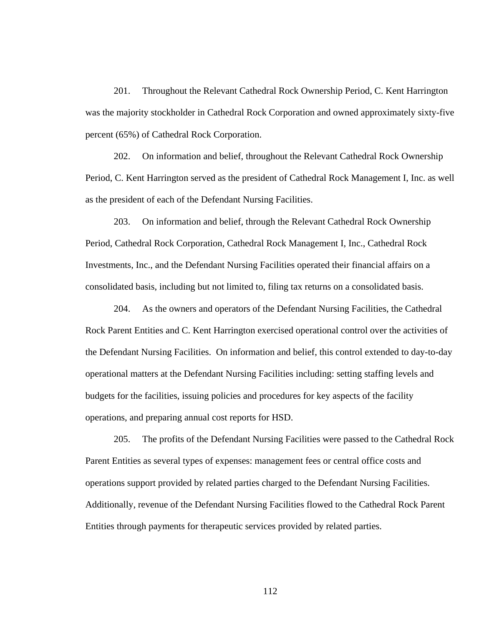201. Throughout the Relevant Cathedral Rock Ownership Period, C. Kent Harrington was the majority stockholder in Cathedral Rock Corporation and owned approximately sixty-five percent (65%) of Cathedral Rock Corporation.

202. On information and belief, throughout the Relevant Cathedral Rock Ownership Period, C. Kent Harrington served as the president of Cathedral Rock Management I, Inc. as well as the president of each of the Defendant Nursing Facilities.

203. On information and belief, through the Relevant Cathedral Rock Ownership Period, Cathedral Rock Corporation, Cathedral Rock Management I, Inc., Cathedral Rock Investments, Inc., and the Defendant Nursing Facilities operated their financial affairs on a consolidated basis, including but not limited to, filing tax returns on a consolidated basis.

204. As the owners and operators of the Defendant Nursing Facilities, the Cathedral Rock Parent Entities and C. Kent Harrington exercised operational control over the activities of the Defendant Nursing Facilities. On information and belief, this control extended to day-to-day operational matters at the Defendant Nursing Facilities including: setting staffing levels and budgets for the facilities, issuing policies and procedures for key aspects of the facility operations, and preparing annual cost reports for HSD.

205. The profits of the Defendant Nursing Facilities were passed to the Cathedral Rock Parent Entities as several types of expenses: management fees or central office costs and operations support provided by related parties charged to the Defendant Nursing Facilities. Additionally, revenue of the Defendant Nursing Facilities flowed to the Cathedral Rock Parent Entities through payments for therapeutic services provided by related parties.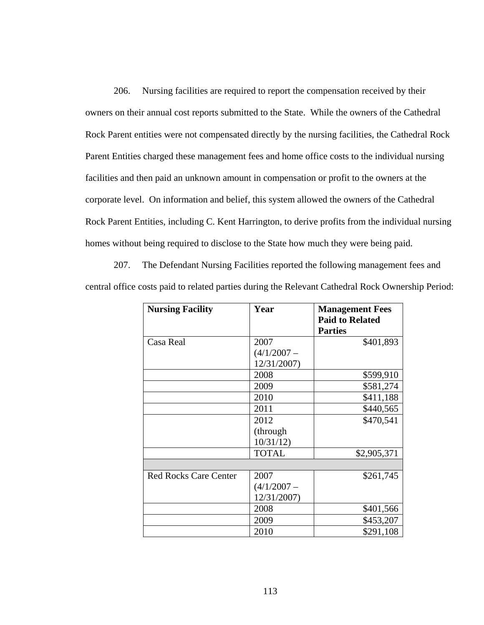206. Nursing facilities are required to report the compensation received by their owners on their annual cost reports submitted to the State. While the owners of the Cathedral Rock Parent entities were not compensated directly by the nursing facilities, the Cathedral Rock Parent Entities charged these management fees and home office costs to the individual nursing facilities and then paid an unknown amount in compensation or profit to the owners at the corporate level. On information and belief, this system allowed the owners of the Cathedral Rock Parent Entities, including C. Kent Harrington, to derive profits from the individual nursing homes without being required to disclose to the State how much they were being paid.

207. The Defendant Nursing Facilities reported the following management fees and central office costs paid to related parties during the Relevant Cathedral Rock Ownership Period:

| <b>Nursing Facility</b>      | Year          | <b>Management Fees</b> |
|------------------------------|---------------|------------------------|
|                              |               | <b>Paid to Related</b> |
|                              |               | <b>Parties</b>         |
| Casa Real                    | 2007          | \$401,893              |
|                              | $(4/1/2007 -$ |                        |
|                              | 12/31/2007)   |                        |
|                              | 2008          | \$599,910              |
|                              | 2009          | \$581,274              |
|                              | 2010          | \$411,188              |
|                              | 2011          | \$440,565              |
|                              | 2012          | \$470,541              |
|                              | (through)     |                        |
|                              | 10/31/12      |                        |
|                              | <b>TOTAL</b>  | \$2,905,371            |
|                              |               |                        |
| <b>Red Rocks Care Center</b> | 2007          | \$261,745              |
|                              | $(4/1/2007 -$ |                        |
|                              | 12/31/2007)   |                        |
|                              | 2008          | \$401,566              |
|                              | 2009          | \$453,207              |
|                              | 2010          | \$291,108              |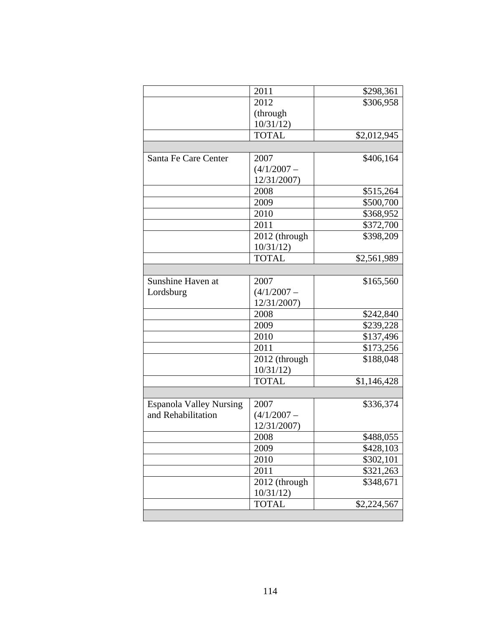|                                | 2011          | \$298,361   |
|--------------------------------|---------------|-------------|
|                                | 2012          | \$306,958   |
|                                | (through      |             |
|                                | 10/31/12      |             |
|                                | <b>TOTAL</b>  | \$2,012,945 |
|                                |               |             |
| Santa Fe Care Center           | 2007          | \$406,164   |
|                                | $(4/1/2007 -$ |             |
|                                | 12/31/2007)   |             |
|                                | 2008          | \$515,264   |
|                                | 2009          | \$500,700   |
|                                | 2010          | \$368,952   |
|                                | 2011          | \$372,700   |
|                                | 2012 (through | \$398,209   |
|                                | 10/31/12      |             |
|                                | <b>TOTAL</b>  | \$2,561,989 |
|                                |               |             |
| Sunshine Haven at              | 2007          | \$165,560   |
| Lordsburg                      | $(4/1/2007 -$ |             |
|                                | 12/31/2007)   |             |
|                                | 2008          | \$242,840   |
|                                | 2009          | \$239,228   |
|                                | 2010          | \$137,496   |
|                                | 2011          | \$173,256   |
|                                | 2012 (through | \$188,048   |
|                                | 10/31/12      |             |
|                                | <b>TOTAL</b>  | \$1,146,428 |
|                                |               |             |
| <b>Espanola Valley Nursing</b> | 2007          | \$336,374   |
| and Rehabilitation             | $(4/1/2007 -$ |             |
|                                | 12/31/2007)   |             |
|                                |               |             |
|                                | 2008          | \$488,055   |
|                                | 2009          | \$428,103   |
|                                | 2010          | \$302,101   |
|                                | 2011          | \$321,263   |
|                                | 2012 (through | \$348,671   |
|                                | 10/31/12      |             |
|                                | <b>TOTAL</b>  | \$2,224,567 |
|                                |               |             |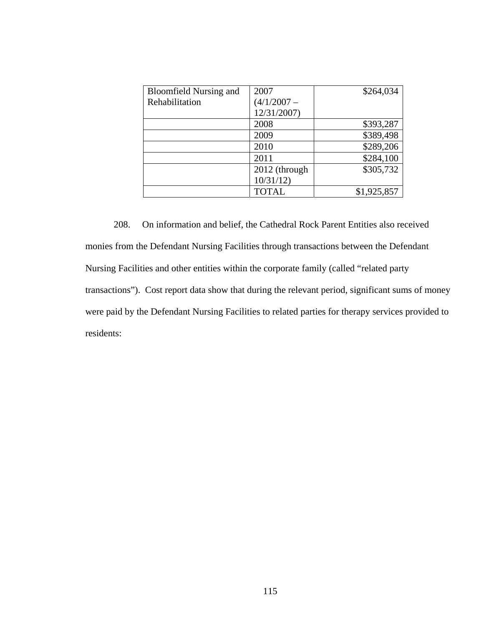| <b>Bloomfield Nursing and</b> | 2007          | \$264,034   |
|-------------------------------|---------------|-------------|
| Rehabilitation                | $(4/1/2007 -$ |             |
|                               | 12/31/2007)   |             |
|                               | 2008          | \$393,287   |
|                               | 2009          | \$389,498   |
|                               | 2010          | \$289,206   |
|                               | 2011          | \$284,100   |
|                               | 2012 (through | \$305,732   |
|                               | 10/31/12      |             |
|                               | <b>TOTAL</b>  | \$1,925,857 |

208. On information and belief, the Cathedral Rock Parent Entities also received monies from the Defendant Nursing Facilities through transactions between the Defendant Nursing Facilities and other entities within the corporate family (called "related party transactions"). Cost report data show that during the relevant period, significant sums of money were paid by the Defendant Nursing Facilities to related parties for therapy services provided to residents: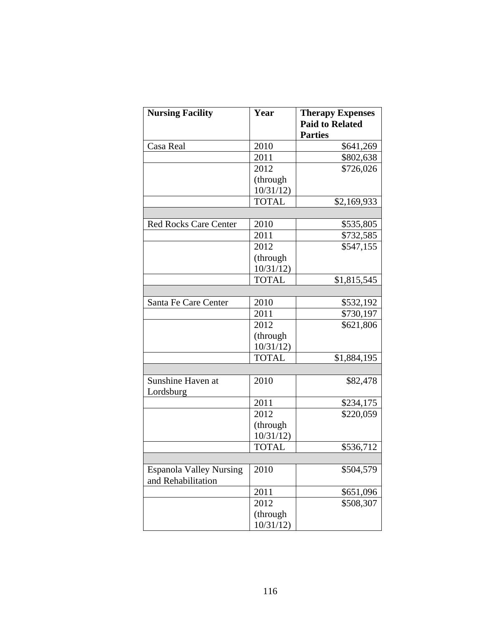| <b>Nursing Facility</b>                              | Year         | <b>Therapy Expenses</b><br><b>Paid to Related</b><br><b>Parties</b> |
|------------------------------------------------------|--------------|---------------------------------------------------------------------|
| Casa Real                                            | 2010         | \$641,269                                                           |
|                                                      | 2011         | \$802,638                                                           |
|                                                      | 2012         | \$726,026                                                           |
|                                                      | (through     |                                                                     |
|                                                      | 10/31/12     |                                                                     |
|                                                      | <b>TOTAL</b> | \$2,169,933                                                         |
|                                                      |              |                                                                     |
| <b>Red Rocks Care Center</b>                         | 2010         | \$535,805                                                           |
|                                                      | 2011         | \$732,585                                                           |
|                                                      | 2012         | \$547,155                                                           |
|                                                      | (through     |                                                                     |
|                                                      | 10/31/12     |                                                                     |
|                                                      | <b>TOTAL</b> | \$1,815,545                                                         |
|                                                      |              |                                                                     |
| Santa Fe Care Center                                 | 2010         | \$532,192                                                           |
|                                                      | 2011         | \$730,197                                                           |
|                                                      | 2012         | \$621,806                                                           |
|                                                      | (through     |                                                                     |
|                                                      | 10/31/12     |                                                                     |
|                                                      | <b>TOTAL</b> | \$1,884,195                                                         |
|                                                      |              |                                                                     |
| Sunshine Haven at<br>Lordsburg                       | 2010         | \$82,478                                                            |
|                                                      | 2011         | \$234,175                                                           |
|                                                      | 2012         | \$220,059                                                           |
|                                                      | (through     |                                                                     |
|                                                      | 10/31/12     |                                                                     |
|                                                      | <b>TOTAL</b> | \$536,712                                                           |
|                                                      |              |                                                                     |
| <b>Espanola Valley Nursing</b><br>and Rehabilitation | 2010         | \$504,579                                                           |
|                                                      | 2011         | \$651,096                                                           |
|                                                      | 2012         | \$508,307                                                           |
|                                                      | (through     |                                                                     |
|                                                      | 10/31/12     |                                                                     |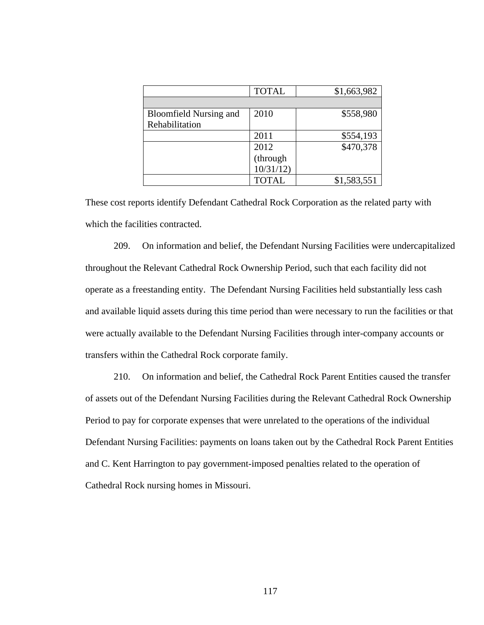|                               | <b>TOTAL</b> | \$1,663,982 |
|-------------------------------|--------------|-------------|
|                               |              |             |
| <b>Bloomfield Nursing and</b> | 2010         | \$558,980   |
| Rehabilitation                |              |             |
|                               | 2011         | \$554,193   |
|                               | 2012         | \$470,378   |
|                               | (through     |             |
|                               | 10/31/12     |             |
|                               | <b>TOTAL</b> | \$1,583,551 |

These cost reports identify Defendant Cathedral Rock Corporation as the related party with which the facilities contracted.

209. On information and belief, the Defendant Nursing Facilities were undercapitalized throughout the Relevant Cathedral Rock Ownership Period, such that each facility did not operate as a freestanding entity. The Defendant Nursing Facilities held substantially less cash and available liquid assets during this time period than were necessary to run the facilities or that were actually available to the Defendant Nursing Facilities through inter-company accounts or transfers within the Cathedral Rock corporate family.

210. On information and belief, the Cathedral Rock Parent Entities caused the transfer of assets out of the Defendant Nursing Facilities during the Relevant Cathedral Rock Ownership Period to pay for corporate expenses that were unrelated to the operations of the individual Defendant Nursing Facilities: payments on loans taken out by the Cathedral Rock Parent Entities and C. Kent Harrington to pay government-imposed penalties related to the operation of Cathedral Rock nursing homes in Missouri.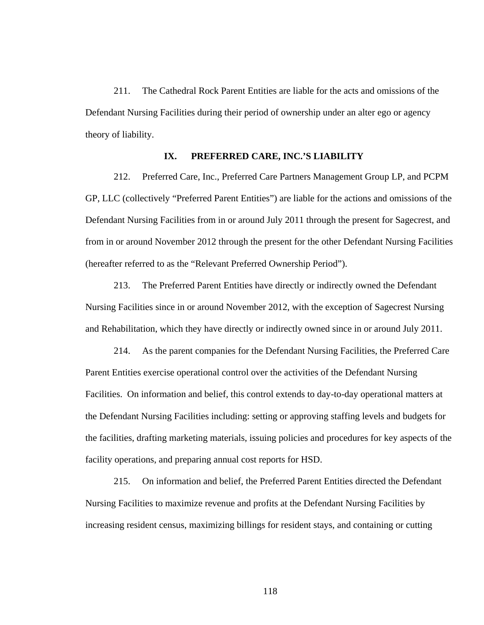211. The Cathedral Rock Parent Entities are liable for the acts and omissions of the Defendant Nursing Facilities during their period of ownership under an alter ego or agency theory of liability.

## **IX. PREFERRED CARE, INC.'S LIABILITY**

212. Preferred Care, Inc., Preferred Care Partners Management Group LP, and PCPM GP, LLC (collectively "Preferred Parent Entities") are liable for the actions and omissions of the Defendant Nursing Facilities from in or around July 2011 through the present for Sagecrest, and from in or around November 2012 through the present for the other Defendant Nursing Facilities (hereafter referred to as the "Relevant Preferred Ownership Period").

213. The Preferred Parent Entities have directly or indirectly owned the Defendant Nursing Facilities since in or around November 2012, with the exception of Sagecrest Nursing and Rehabilitation, which they have directly or indirectly owned since in or around July 2011.

214. As the parent companies for the Defendant Nursing Facilities, the Preferred Care Parent Entities exercise operational control over the activities of the Defendant Nursing Facilities. On information and belief, this control extends to day-to-day operational matters at the Defendant Nursing Facilities including: setting or approving staffing levels and budgets for the facilities, drafting marketing materials, issuing policies and procedures for key aspects of the facility operations, and preparing annual cost reports for HSD.

215. On information and belief, the Preferred Parent Entities directed the Defendant Nursing Facilities to maximize revenue and profits at the Defendant Nursing Facilities by increasing resident census, maximizing billings for resident stays, and containing or cutting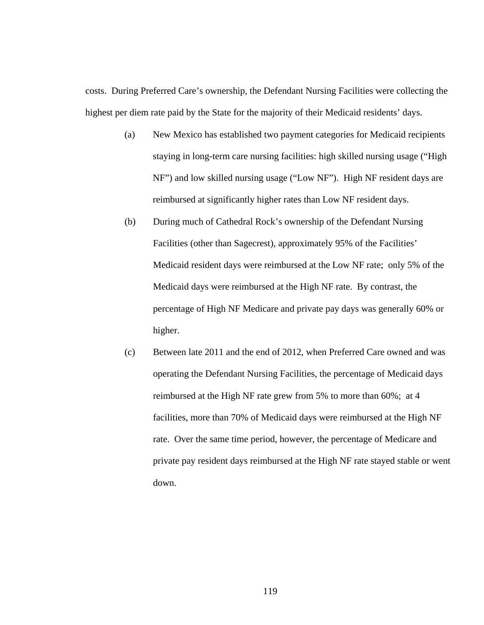costs. During Preferred Care's ownership, the Defendant Nursing Facilities were collecting the highest per diem rate paid by the State for the majority of their Medicaid residents' days.

- (a) New Mexico has established two payment categories for Medicaid recipients staying in long-term care nursing facilities: high skilled nursing usage ("High NF") and low skilled nursing usage ("Low NF"). High NF resident days are reimbursed at significantly higher rates than Low NF resident days.
- (b) During much of Cathedral Rock's ownership of the Defendant Nursing Facilities (other than Sagecrest), approximately 95% of the Facilities' Medicaid resident days were reimbursed at the Low NF rate; only 5% of the Medicaid days were reimbursed at the High NF rate. By contrast, the percentage of High NF Medicare and private pay days was generally 60% or higher.
- (c) Between late 2011 and the end of 2012, when Preferred Care owned and was operating the Defendant Nursing Facilities, the percentage of Medicaid days reimbursed at the High NF rate grew from 5% to more than 60%; at 4 facilities, more than 70% of Medicaid days were reimbursed at the High NF rate. Over the same time period, however, the percentage of Medicare and private pay resident days reimbursed at the High NF rate stayed stable or went down.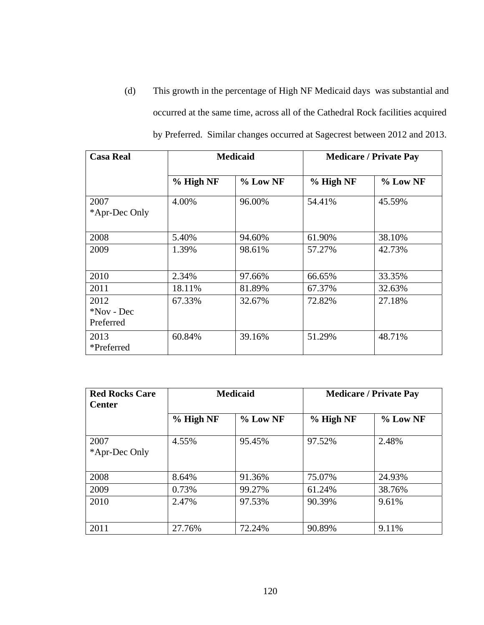(d) This growth in the percentage of High NF Medicaid days was substantial and occurred at the same time, across all of the Cathedral Rock facilities acquired by Preferred. Similar changes occurred at Sagecrest between 2012 and 2013.

| <b>Casa Real</b>                   |           | <b>Medicaid</b> | <b>Medicare / Private Pay</b> |            |
|------------------------------------|-----------|-----------------|-------------------------------|------------|
|                                    | % High NF | $%$ Low NF      | % High NF                     | $%$ Low NF |
| 2007<br>*Apr-Dec Only              | 4.00%     | 96.00%          | 54.41%                        | 45.59%     |
| 2008                               | 5.40%     | 94.60%          | 61.90%                        | 38.10%     |
| 2009                               | 1.39%     | 98.61%          | 57.27%                        | 42.73%     |
| 2010                               | 2.34%     | 97.66%          | 66.65%                        | 33.35%     |
| 2011                               | 18.11%    | 81.89%          | 67.37%                        | 32.63%     |
| 2012<br>$*$ Nov - Dec<br>Preferred | 67.33%    | 32.67%          | 72.82%                        | 27.18%     |
| 2013<br>*Preferred                 | 60.84%    | 39.16%          | 51.29%                        | 48.71%     |

| <b>Red Rocks Care</b><br><b>Center</b> |           | <b>Medicaid</b> | <b>Medicare / Private Pay</b> |          |
|----------------------------------------|-----------|-----------------|-------------------------------|----------|
|                                        | % High NF | % Low NF        | % High NF                     | % Low NF |
| 2007<br>*Apr-Dec Only                  | 4.55%     | 95.45%          | 97.52%                        | 2.48%    |
| 2008                                   | 8.64%     | 91.36%          | 75.07%                        | 24.93%   |
| 2009                                   | 0.73%     | 99.27%          | 61.24%                        | 38.76%   |
| 2010                                   | 2.47%     | 97.53%          | 90.39%                        | 9.61%    |
| 2011                                   | 27.76%    | 72.24%          | 90.89%                        | 9.11%    |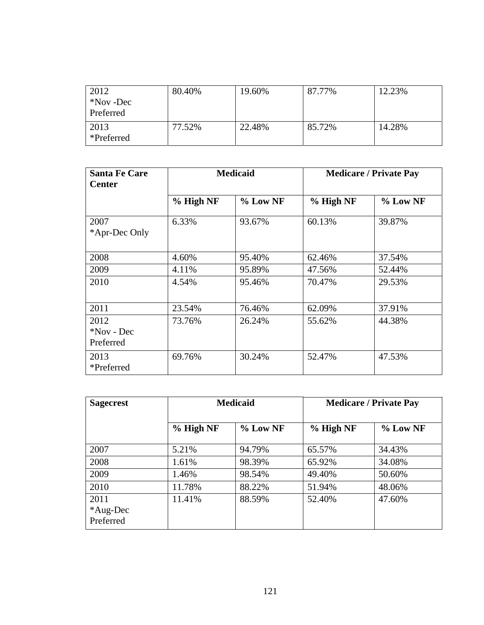| 2012       | 80.40% | 19.60% | 87.77% | 12.23% |
|------------|--------|--------|--------|--------|
| *Nov -Dec  |        |        |        |        |
| Preferred  |        |        |        |        |
| 2013       | 77.52% | 22.48% | 85.72% | 14.28% |
| *Preferred |        |        |        |        |

| <b>Santa Fe Care</b><br><b>Center</b> | <b>Medicaid</b> |            | <b>Medicare / Private Pay</b> |          |
|---------------------------------------|-----------------|------------|-------------------------------|----------|
|                                       | % High NF       | $%$ Low NF | % High NF                     | % Low NF |
| 2007<br>*Apr-Dec Only                 | 6.33%           | 93.67%     | 60.13%                        | 39.87%   |
| 2008                                  | 4.60%           | 95.40%     | 62.46%                        | 37.54%   |
| 2009                                  | 4.11%           | 95.89%     | 47.56%                        | 52.44%   |
| 2010                                  | 4.54%           | 95.46%     | 70.47%                        | 29.53%   |
| 2011                                  | 23.54%          | 76.46%     | 62.09%                        | 37.91%   |
| 2012<br>*Nov - Dec<br>Preferred       | 73.76%          | 26.24%     | 55.62%                        | 44.38%   |
| 2013<br>*Preferred                    | 69.76%          | 30.24%     | 52.47%                        | 47.53%   |

| <b>Sagecrest</b>              | <b>Medicaid</b> |            | <b>Medicare / Private Pay</b> |          |
|-------------------------------|-----------------|------------|-------------------------------|----------|
|                               | % High NF       | $%$ Low NF | % High NF                     | % Low NF |
| 2007                          | 5.21%           | 94.79%     | 65.57%                        | 34.43%   |
| 2008                          | 1.61%           | 98.39%     | 65.92%                        | 34.08%   |
| 2009                          | 1.46%           | 98.54%     | 49.40%                        | 50.60%   |
| 2010                          | 11.78%          | 88.22%     | 51.94%                        | 48.06%   |
| 2011<br>*Aug-Dec<br>Preferred | 11.41%          | 88.59%     | 52.40%                        | 47.60%   |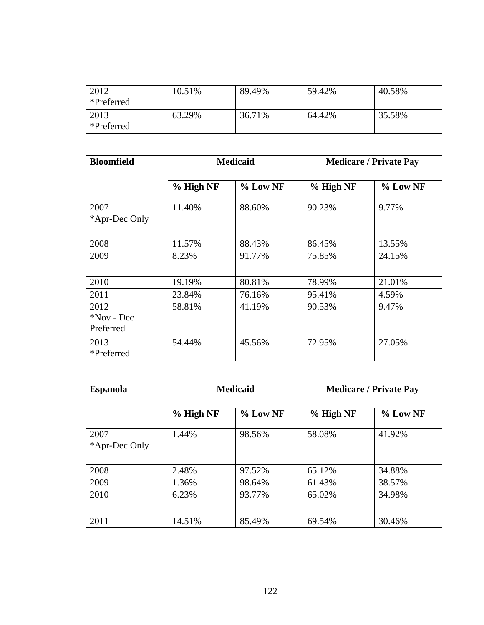| 2012<br>*Preferred | 10.51% | 89.49% | 59.42% | 40.58% |
|--------------------|--------|--------|--------|--------|
| 2013<br>*Preferred | 63.29% | 36.71% | 64.42% | 35.58% |

| <b>Bloomfield</b>               | <b>Medicaid</b> |            | <b>Medicare / Private Pay</b> |            |
|---------------------------------|-----------------|------------|-------------------------------|------------|
|                                 | % High NF       | $%$ Low NF | % High NF                     | $%$ Low NF |
| 2007<br>*Apr-Dec Only           | 11.40%          | 88.60%     | 90.23%                        | 9.77%      |
| 2008                            | 11.57%          | 88.43%     | 86.45%                        | 13.55%     |
| 2009                            | 8.23%           | 91.77%     | 75.85%                        | 24.15%     |
| 2010                            | 19.19%          | 80.81%     | 78.99%                        | 21.01%     |
| 2011                            | 23.84%          | 76.16%     | 95.41%                        | 4.59%      |
| 2012<br>*Nov - Dec<br>Preferred | 58.81%          | 41.19%     | 90.53%                        | 9.47%      |
| 2013<br>*Preferred              | 54.44%          | 45.56%     | 72.95%                        | 27.05%     |

| <b>Espanola</b>       | <b>Medicaid</b> |          | <b>Medicare / Private Pay</b> |          |
|-----------------------|-----------------|----------|-------------------------------|----------|
|                       | % High NF       | % Low NF | % High NF                     | % Low NF |
| 2007<br>*Apr-Dec Only | 1.44%           | 98.56%   | 58.08%                        | 41.92%   |
| 2008                  | 2.48%           | 97.52%   | 65.12%                        | 34.88%   |
| 2009                  | 1.36%           | 98.64%   | 61.43%                        | 38.57%   |
| 2010                  | 6.23%           | 93.77%   | 65.02%                        | 34.98%   |
| 2011                  | 14.51%          | 85.49%   | 69.54%                        | 30.46%   |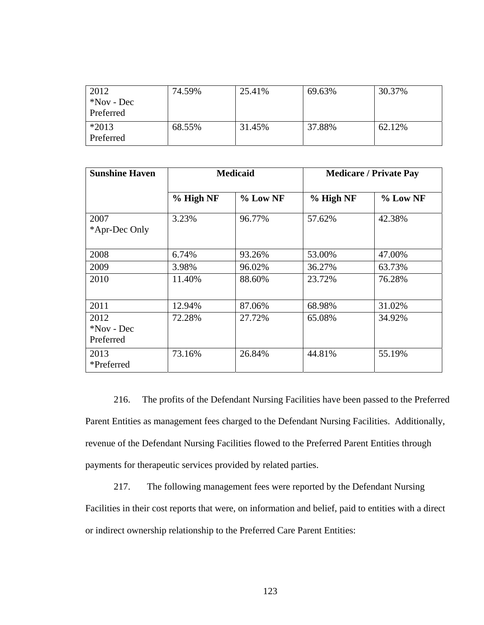| 2012          | 74.59% | 25.41% | 69.63% | 30.37% |
|---------------|--------|--------|--------|--------|
| $*$ Nov - Dec |        |        |        |        |
| Preferred     |        |        |        |        |
| $*2013$       | 68.55% | 31.45% | 37.88% | 62.12% |
| Preferred     |        |        |        |        |

| <b>Sunshine Haven</b>           | <b>Medicaid</b> |            | <b>Medicare / Private Pay</b> |          |
|---------------------------------|-----------------|------------|-------------------------------|----------|
|                                 | % High NF       | $%$ Low NF | % High NF                     | % Low NF |
| 2007<br>*Apr-Dec Only           | 3.23%           | 96.77%     | 57.62%                        | 42.38%   |
| 2008                            | 6.74%           | 93.26%     | 53.00%                        | 47.00%   |
| 2009                            | 3.98%           | 96.02%     | 36.27%                        | 63.73%   |
| 2010                            | 11.40%          | 88.60%     | 23.72%                        | 76.28%   |
| 2011                            | 12.94%          | 87.06%     | 68.98%                        | 31.02%   |
| 2012<br>*Nov - Dec<br>Preferred | 72.28%          | 27.72%     | 65.08%                        | 34.92%   |
| 2013<br>*Preferred              | 73.16%          | 26.84%     | 44.81%                        | 55.19%   |

216. The profits of the Defendant Nursing Facilities have been passed to the Preferred Parent Entities as management fees charged to the Defendant Nursing Facilities. Additionally, revenue of the Defendant Nursing Facilities flowed to the Preferred Parent Entities through payments for therapeutic services provided by related parties.

217. The following management fees were reported by the Defendant Nursing Facilities in their cost reports that were, on information and belief, paid to entities with a direct or indirect ownership relationship to the Preferred Care Parent Entities: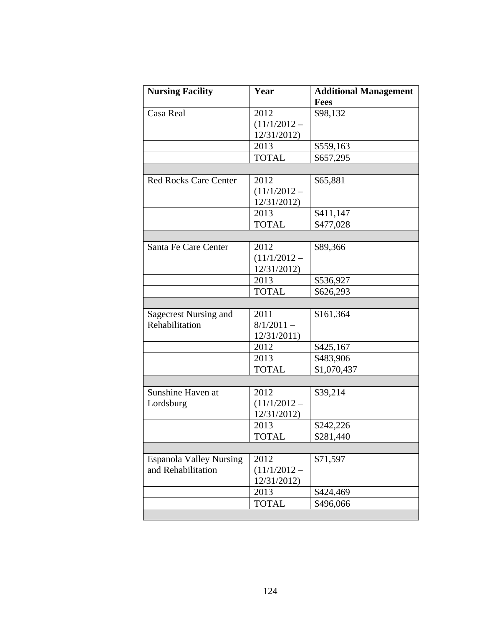| <b>Nursing Facility</b>        | Year           | <b>Additional Management</b> |
|--------------------------------|----------------|------------------------------|
|                                |                | <b>Fees</b>                  |
| Casa Real                      | 2012           | \$98,132                     |
|                                | $(11/1/2012 -$ |                              |
|                                | 12/31/2012)    |                              |
|                                | 2013           | \$559,163                    |
|                                | <b>TOTAL</b>   | \$657,295                    |
|                                |                |                              |
| <b>Red Rocks Care Center</b>   | 2012           | \$65,881                     |
|                                | $(11/1/2012 -$ |                              |
|                                | 12/31/2012)    |                              |
|                                | 2013           | \$411,147                    |
|                                | <b>TOTAL</b>   | \$477,028                    |
|                                |                |                              |
| Santa Fe Care Center           | 2012           | \$89,366                     |
|                                | $(11/1/2012 -$ |                              |
|                                | 12/31/2012)    |                              |
|                                | 2013           | \$536,927                    |
|                                | <b>TOTAL</b>   | \$626,293                    |
|                                |                |                              |
| Sagecrest Nursing and          | 2011           | \$161,364                    |
| Rehabilitation                 | $8/1/2011 -$   |                              |
|                                | 12/31/2011)    |                              |
|                                | 2012           | \$425,167                    |
|                                | 2013           | \$483,906                    |
|                                | <b>TOTAL</b>   | \$1,070,437                  |
|                                |                |                              |
| Sunshine Haven at              | 2012           | \$39,214                     |
| Lordsburg                      | $(11/1/2012 -$ |                              |
|                                | 12/31/2012)    |                              |
|                                | 2013           | \$242,226                    |
|                                | <b>TOTAL</b>   | \$281,440                    |
|                                |                |                              |
| <b>Espanola Valley Nursing</b> | 2012           | \$71,597                     |
| and Rehabilitation             | $(11/1/2012 -$ |                              |
|                                | 12/31/2012)    |                              |
|                                | 2013           | \$424,469                    |
|                                | <b>TOTAL</b>   | \$496,066                    |
|                                |                |                              |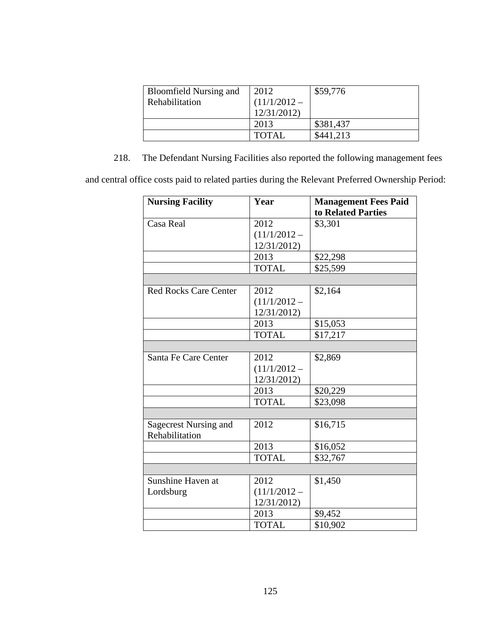| <b>Bloomfield Nursing and</b> | 2012           | \$59,776  |
|-------------------------------|----------------|-----------|
| Rehabilitation                | $(11/1/2012 -$ |           |
|                               | 12/31/2012     |           |
|                               | 2013           | \$381,437 |
|                               | <b>TOTAL</b>   | \$441.213 |

218. The Defendant Nursing Facilities also reported the following management fees

and central office costs paid to related parties during the Relevant Preferred Ownership Period:

| <b>Nursing Facility</b>      | Year           | <b>Management Fees Paid</b> |
|------------------------------|----------------|-----------------------------|
|                              |                | to Related Parties          |
| Casa Real                    | 2012           | \$3,301                     |
|                              | $(11/1/2012 -$ |                             |
|                              | 12/31/2012)    |                             |
|                              | 2013           | \$22,298                    |
|                              | <b>TOTAL</b>   | \$25,599                    |
|                              |                |                             |
| <b>Red Rocks Care Center</b> | 2012           | \$2,164                     |
|                              | $(11/1/2012 -$ |                             |
|                              | 12/31/2012)    |                             |
|                              | 2013           | \$15,053                    |
|                              | <b>TOTAL</b>   | \$17,217                    |
|                              |                |                             |
| Santa Fe Care Center         | 2012           | \$2,869                     |
|                              | $(11/1/2012 -$ |                             |
|                              | 12/31/2012)    |                             |
|                              | 2013           | \$20,229                    |
|                              | <b>TOTAL</b>   | \$23,098                    |
|                              |                |                             |
| Sagecrest Nursing and        | 2012           | \$16,715                    |
| Rehabilitation               |                |                             |
|                              | 2013           | \$16,052                    |
|                              | <b>TOTAL</b>   | \$32,767                    |
|                              |                |                             |
| Sunshine Haven at            | 2012           | \$1,450                     |
| Lordsburg                    | $(11/1/2012 -$ |                             |
|                              | 12/31/2012)    |                             |
|                              | 2013           | \$9,452                     |
|                              | <b>TOTAL</b>   | \$10,902                    |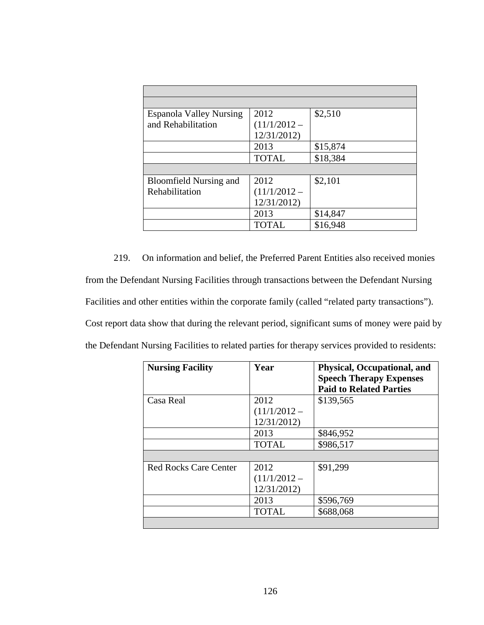| <b>Espanola Valley Nursing</b> | 2012           | \$2,510  |
|--------------------------------|----------------|----------|
| and Rehabilitation             | $(11/1/2012 -$ |          |
|                                | 12/31/2012)    |          |
|                                | 2013           | \$15,874 |
|                                | <b>TOTAL</b>   | \$18,384 |
|                                |                |          |
| <b>Bloomfield Nursing and</b>  | 2012           | \$2,101  |
| Rehabilitation                 | $(11/1/2012 -$ |          |
|                                | 12/31/2012)    |          |
|                                | 2013           | \$14,847 |
|                                | <b>TOTAL</b>   | \$16,948 |

219. On information and belief, the Preferred Parent Entities also received monies from the Defendant Nursing Facilities through transactions between the Defendant Nursing Facilities and other entities within the corporate family (called "related party transactions"). Cost report data show that during the relevant period, significant sums of money were paid by the Defendant Nursing Facilities to related parties for therapy services provided to residents:

| <b>Nursing Facility</b>      | Year           | Physical, Occupational, and<br><b>Speech Therapy Expenses</b> |
|------------------------------|----------------|---------------------------------------------------------------|
|                              |                | <b>Paid to Related Parties</b>                                |
| Casa Real                    | 2012           | \$139,565                                                     |
|                              | $(11/1/2012 -$ |                                                               |
|                              | 12/31/2012)    |                                                               |
|                              | 2013           | \$846,952                                                     |
|                              | <b>TOTAL</b>   | \$986,517                                                     |
|                              |                |                                                               |
| <b>Red Rocks Care Center</b> | 2012           | \$91,299                                                      |
|                              | $(11/1/2012 -$ |                                                               |
|                              | 12/31/2012)    |                                                               |
|                              | 2013           | \$596,769                                                     |
|                              | <b>TOTAL</b>   | \$688,068                                                     |
|                              |                |                                                               |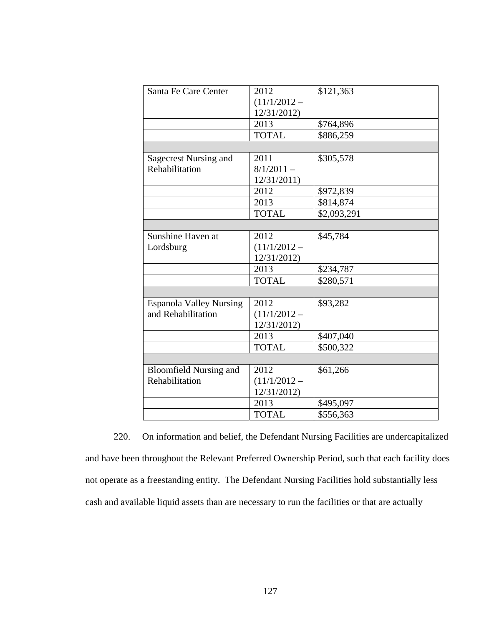| Santa Fe Care Center           | 2012           | \$121,363   |
|--------------------------------|----------------|-------------|
|                                | $(11/1/2012 -$ |             |
|                                | 12/31/2012)    |             |
|                                | 2013           | \$764,896   |
|                                | <b>TOTAL</b>   | \$886,259   |
|                                |                |             |
| <b>Sagecrest Nursing and</b>   | 2011           | \$305,578   |
| Rehabilitation                 | $8/1/2011 -$   |             |
|                                | 12/31/2011     |             |
|                                | 2012           | \$972,839   |
|                                | 2013           | \$814,874   |
|                                | <b>TOTAL</b>   | \$2,093,291 |
|                                |                |             |
| Sunshine Haven at              | 2012           | \$45,784    |
| Lordsburg                      | $(11/1/2012 -$ |             |
|                                | 12/31/2012)    |             |
|                                | 2013           | \$234,787   |
|                                | <b>TOTAL</b>   | \$280,571   |
|                                |                |             |
| <b>Espanola Valley Nursing</b> | 2012           | \$93,282    |
| and Rehabilitation             | $(11/1/2012 -$ |             |
|                                | 12/31/2012)    |             |
|                                | 2013           | \$407,040   |
|                                | <b>TOTAL</b>   | \$500,322   |
|                                |                |             |
| <b>Bloomfield Nursing and</b>  | 2012           | \$61,266    |
| Rehabilitation                 | $(11/1/2012 -$ |             |
|                                | 12/31/2012)    |             |
|                                | 2013           | \$495,097   |
|                                | <b>TOTAL</b>   | \$556,363   |

220. On information and belief, the Defendant Nursing Facilities are undercapitalized and have been throughout the Relevant Preferred Ownership Period, such that each facility does not operate as a freestanding entity. The Defendant Nursing Facilities hold substantially less cash and available liquid assets than are necessary to run the facilities or that are actually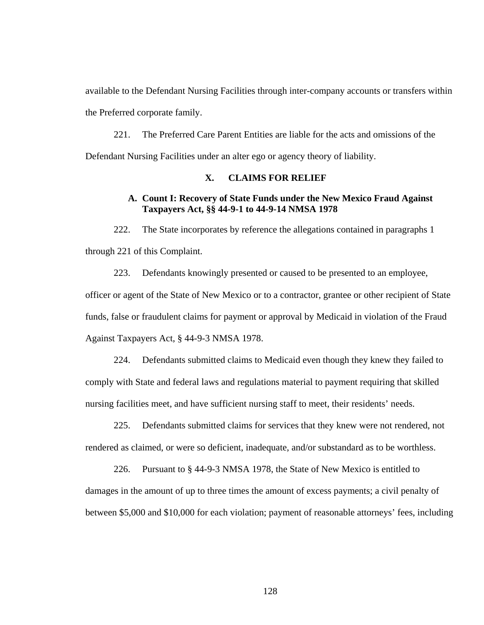available to the Defendant Nursing Facilities through inter-company accounts or transfers within the Preferred corporate family.

221. The Preferred Care Parent Entities are liable for the acts and omissions of the Defendant Nursing Facilities under an alter ego or agency theory of liability.

# **X. CLAIMS FOR RELIEF**

# **A. Count I: Recovery of State Funds under the New Mexico Fraud Against Taxpayers Act, §§ 44-9-1 to 44-9-14 NMSA 1978**

222. The State incorporates by reference the allegations contained in paragraphs 1 through 221 of this Complaint.

223. Defendants knowingly presented or caused to be presented to an employee, officer or agent of the State of New Mexico or to a contractor, grantee or other recipient of State funds, false or fraudulent claims for payment or approval by Medicaid in violation of the Fraud Against Taxpayers Act, § 44-9-3 NMSA 1978.

224. Defendants submitted claims to Medicaid even though they knew they failed to comply with State and federal laws and regulations material to payment requiring that skilled nursing facilities meet, and have sufficient nursing staff to meet, their residents' needs.

225. Defendants submitted claims for services that they knew were not rendered, not rendered as claimed, or were so deficient, inadequate, and/or substandard as to be worthless.

226. Pursuant to § 44-9-3 NMSA 1978, the State of New Mexico is entitled to damages in the amount of up to three times the amount of excess payments; a civil penalty of between \$5,000 and \$10,000 for each violation; payment of reasonable attorneys' fees, including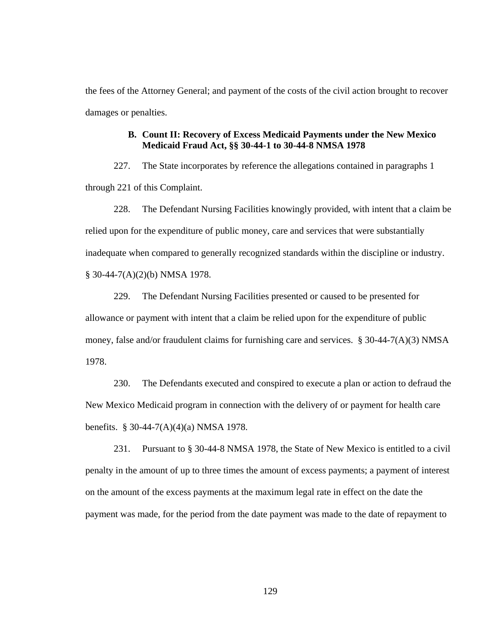the fees of the Attorney General; and payment of the costs of the civil action brought to recover damages or penalties.

## **B. Count II: Recovery of Excess Medicaid Payments under the New Mexico Medicaid Fraud Act, §§ 30-44-1 to 30-44-8 NMSA 1978**

227. The State incorporates by reference the allegations contained in paragraphs 1 through 221 of this Complaint.

228. The Defendant Nursing Facilities knowingly provided, with intent that a claim be relied upon for the expenditure of public money, care and services that were substantially inadequate when compared to generally recognized standards within the discipline or industry. § 30-44-7(A)(2)(b) NMSA 1978.

229. The Defendant Nursing Facilities presented or caused to be presented for allowance or payment with intent that a claim be relied upon for the expenditure of public money, false and/or fraudulent claims for furnishing care and services. § 30-44-7(A)(3) NMSA 1978.

230. The Defendants executed and conspired to execute a plan or action to defraud the New Mexico Medicaid program in connection with the delivery of or payment for health care benefits. § 30-44-7(A)(4)(a) NMSA 1978.

231. Pursuant to § 30-44-8 NMSA 1978, the State of New Mexico is entitled to a civil penalty in the amount of up to three times the amount of excess payments; a payment of interest on the amount of the excess payments at the maximum legal rate in effect on the date the payment was made, for the period from the date payment was made to the date of repayment to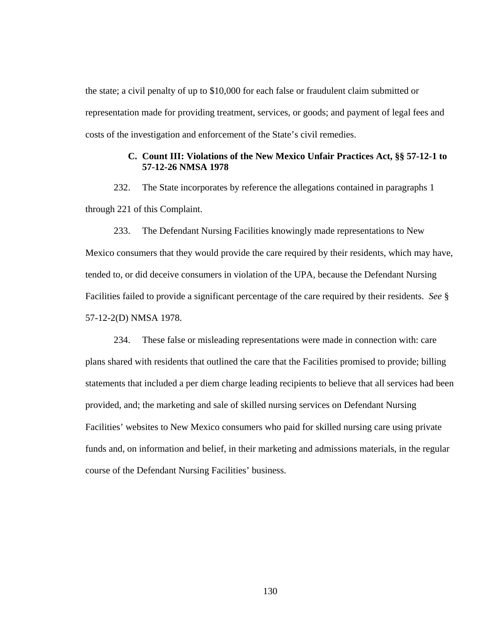the state; a civil penalty of up to \$10,000 for each false or fraudulent claim submitted or representation made for providing treatment, services, or goods; and payment of legal fees and costs of the investigation and enforcement of the State's civil remedies.

## **C. Count III: Violations of the New Mexico Unfair Practices Act, §§ 57-12-1 to 57-12-26 NMSA 1978**

232. The State incorporates by reference the allegations contained in paragraphs 1 through 221 of this Complaint.

233. The Defendant Nursing Facilities knowingly made representations to New Mexico consumers that they would provide the care required by their residents, which may have, tended to, or did deceive consumers in violation of the UPA, because the Defendant Nursing Facilities failed to provide a significant percentage of the care required by their residents. *See* § 57-12-2(D) NMSA 1978.

234. These false or misleading representations were made in connection with: care plans shared with residents that outlined the care that the Facilities promised to provide; billing statements that included a per diem charge leading recipients to believe that all services had been provided, and; the marketing and sale of skilled nursing services on Defendant Nursing Facilities' websites to New Mexico consumers who paid for skilled nursing care using private funds and, on information and belief, in their marketing and admissions materials, in the regular course of the Defendant Nursing Facilities' business.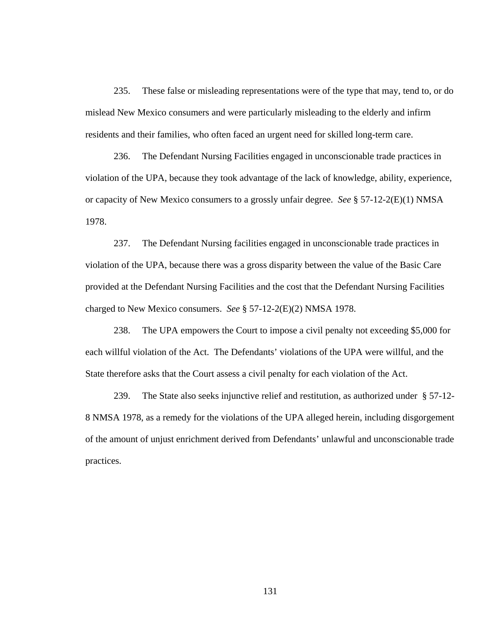235. These false or misleading representations were of the type that may, tend to, or do mislead New Mexico consumers and were particularly misleading to the elderly and infirm residents and their families, who often faced an urgent need for skilled long-term care.

236. The Defendant Nursing Facilities engaged in unconscionable trade practices in violation of the UPA, because they took advantage of the lack of knowledge, ability, experience, or capacity of New Mexico consumers to a grossly unfair degree. *See* § 57-12-2(E)(1) NMSA 1978.

237. The Defendant Nursing facilities engaged in unconscionable trade practices in violation of the UPA, because there was a gross disparity between the value of the Basic Care provided at the Defendant Nursing Facilities and the cost that the Defendant Nursing Facilities charged to New Mexico consumers. *See* § 57-12-2(E)(2) NMSA 1978.

238. The UPA empowers the Court to impose a civil penalty not exceeding \$5,000 for each willful violation of the Act. The Defendants' violations of the UPA were willful, and the State therefore asks that the Court assess a civil penalty for each violation of the Act.

239. The State also seeks injunctive relief and restitution, as authorized under § 57-12- 8 NMSA 1978, as a remedy for the violations of the UPA alleged herein, including disgorgement of the amount of unjust enrichment derived from Defendants' unlawful and unconscionable trade practices.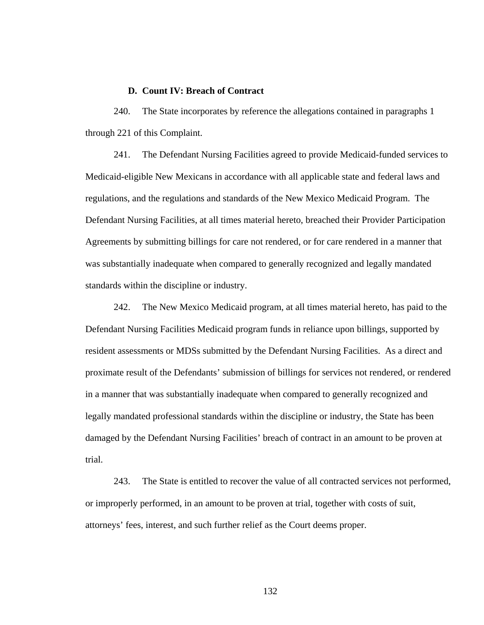#### **D. Count IV: Breach of Contract**

240. The State incorporates by reference the allegations contained in paragraphs 1 through 221 of this Complaint.

241. The Defendant Nursing Facilities agreed to provide Medicaid-funded services to Medicaid-eligible New Mexicans in accordance with all applicable state and federal laws and regulations, and the regulations and standards of the New Mexico Medicaid Program. The Defendant Nursing Facilities, at all times material hereto, breached their Provider Participation Agreements by submitting billings for care not rendered, or for care rendered in a manner that was substantially inadequate when compared to generally recognized and legally mandated standards within the discipline or industry.

242. The New Mexico Medicaid program, at all times material hereto, has paid to the Defendant Nursing Facilities Medicaid program funds in reliance upon billings, supported by resident assessments or MDSs submitted by the Defendant Nursing Facilities. As a direct and proximate result of the Defendants' submission of billings for services not rendered, or rendered in a manner that was substantially inadequate when compared to generally recognized and legally mandated professional standards within the discipline or industry, the State has been damaged by the Defendant Nursing Facilities' breach of contract in an amount to be proven at trial.

243. The State is entitled to recover the value of all contracted services not performed, or improperly performed, in an amount to be proven at trial, together with costs of suit, attorneys' fees, interest, and such further relief as the Court deems proper.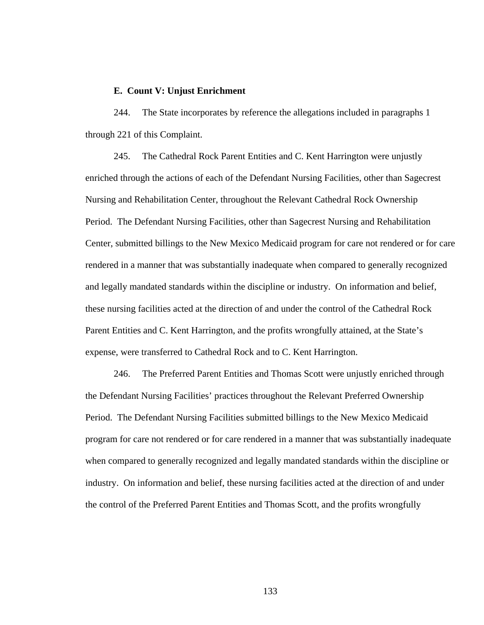#### **E. Count V: Unjust Enrichment**

244. The State incorporates by reference the allegations included in paragraphs 1 through 221 of this Complaint.

245. The Cathedral Rock Parent Entities and C. Kent Harrington were unjustly enriched through the actions of each of the Defendant Nursing Facilities, other than Sagecrest Nursing and Rehabilitation Center, throughout the Relevant Cathedral Rock Ownership Period. The Defendant Nursing Facilities, other than Sagecrest Nursing and Rehabilitation Center, submitted billings to the New Mexico Medicaid program for care not rendered or for care rendered in a manner that was substantially inadequate when compared to generally recognized and legally mandated standards within the discipline or industry. On information and belief, these nursing facilities acted at the direction of and under the control of the Cathedral Rock Parent Entities and C. Kent Harrington, and the profits wrongfully attained, at the State's expense, were transferred to Cathedral Rock and to C. Kent Harrington.

246. The Preferred Parent Entities and Thomas Scott were unjustly enriched through the Defendant Nursing Facilities' practices throughout the Relevant Preferred Ownership Period. The Defendant Nursing Facilities submitted billings to the New Mexico Medicaid program for care not rendered or for care rendered in a manner that was substantially inadequate when compared to generally recognized and legally mandated standards within the discipline or industry. On information and belief, these nursing facilities acted at the direction of and under the control of the Preferred Parent Entities and Thomas Scott, and the profits wrongfully